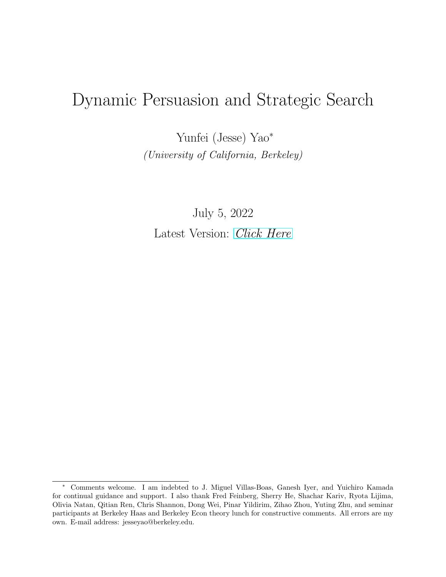# Dynamic Persuasion and Strategic Search

Yunfei (Jesse) Yao<sup>∗</sup> (University of California, Berkeley)

July 5, 2022 Latest Version: [Click Here](http://www.jesseyao.com/Dynamic_Persuasion_and_Strategic_Search.pdf)

<sup>∗</sup> Comments welcome. I am indebted to J. Miguel Villas-Boas, Ganesh Iyer, and Yuichiro Kamada for continual guidance and support. I also thank Fred Feinberg, Sherry He, Shachar Kariv, Ryota Lijima, Olivia Natan, Qitian Ren, Chris Shannon, Dong Wei, Pinar Yildirim, Zihao Zhou, Yuting Zhu, and seminar participants at Berkeley Haas and Berkeley Econ theory lunch for constructive comments. All errors are my own. E-mail address: jesseyao@berkeley.edu.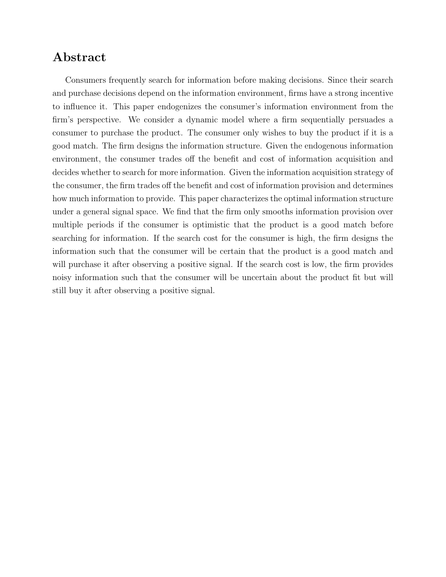# Abstract

Consumers frequently search for information before making decisions. Since their search and purchase decisions depend on the information environment, firms have a strong incentive to influence it. This paper endogenizes the consumer's information environment from the firm's perspective. We consider a dynamic model where a firm sequentially persuades a consumer to purchase the product. The consumer only wishes to buy the product if it is a good match. The firm designs the information structure. Given the endogenous information environment, the consumer trades off the benefit and cost of information acquisition and decides whether to search for more information. Given the information acquisition strategy of the consumer, the firm trades off the benefit and cost of information provision and determines how much information to provide. This paper characterizes the optimal information structure under a general signal space. We find that the firm only smooths information provision over multiple periods if the consumer is optimistic that the product is a good match before searching for information. If the search cost for the consumer is high, the firm designs the information such that the consumer will be certain that the product is a good match and will purchase it after observing a positive signal. If the search cost is low, the firm provides noisy information such that the consumer will be uncertain about the product fit but will still buy it after observing a positive signal.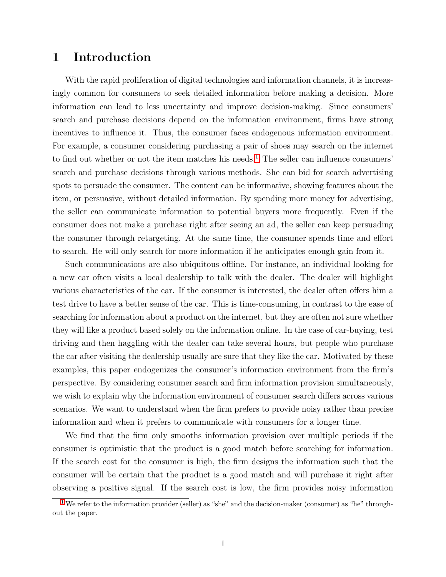# 1 Introduction

<span id="page-2-1"></span>With the rapid proliferation of digital technologies and information channels, it is increasingly common for consumers to seek detailed information before making a decision. More information can lead to less uncertainty and improve decision-making. Since consumers' search and purchase decisions depend on the information environment, firms have strong incentives to influence it. Thus, the consumer faces endogenous information environment. For example, a consumer considering purchasing a pair of shoes may search on the internet to find out whether or not the item matches his needs.<sup>[1](#page-2-0)</sup> The seller can influence consumers' search and purchase decisions through various methods. She can bid for search advertising spots to persuade the consumer. The content can be informative, showing features about the item, or persuasive, without detailed information. By spending more money for advertising, the seller can communicate information to potential buyers more frequently. Even if the consumer does not make a purchase right after seeing an ad, the seller can keep persuading the consumer through retargeting. At the same time, the consumer spends time and effort to search. He will only search for more information if he anticipates enough gain from it.

Such communications are also ubiquitous offline. For instance, an individual looking for a new car often visits a local dealership to talk with the dealer. The dealer will highlight various characteristics of the car. If the consumer is interested, the dealer often offers him a test drive to have a better sense of the car. This is time-consuming, in contrast to the ease of searching for information about a product on the internet, but they are often not sure whether they will like a product based solely on the information online. In the case of car-buying, test driving and then haggling with the dealer can take several hours, but people who purchase the car after visiting the dealership usually are sure that they like the car. Motivated by these examples, this paper endogenizes the consumer's information environment from the firm's perspective. By considering consumer search and firm information provision simultaneously, we wish to explain why the information environment of consumer search differs across various scenarios. We want to understand when the firm prefers to provide noisy rather than precise information and when it prefers to communicate with consumers for a longer time.

We find that the firm only smooths information provision over multiple periods if the consumer is optimistic that the product is a good match before searching for information. If the search cost for the consumer is high, the firm designs the information such that the consumer will be certain that the product is a good match and will purchase it right after observing a positive signal. If the search cost is low, the firm provides noisy information

<span id="page-2-0"></span> $1$  We refer to the information provider (seller) as "she" and the decision-maker (consumer) as "he" throughout the paper.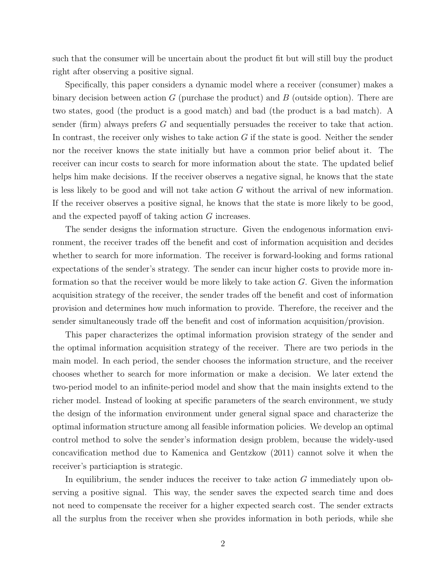such that the consumer will be uncertain about the product fit but will still buy the product right after observing a positive signal.

Specifically, this paper considers a dynamic model where a receiver (consumer) makes a binary decision between action G (purchase the product) and B (outside option). There are two states, good (the product is a good match) and bad (the product is a bad match). A sender (firm) always prefers G and sequentially persuades the receiver to take that action. In contrast, the receiver only wishes to take action  $G$  if the state is good. Neither the sender nor the receiver knows the state initially but have a common prior belief about it. The receiver can incur costs to search for more information about the state. The updated belief helps him make decisions. If the receiver observes a negative signal, he knows that the state is less likely to be good and will not take action G without the arrival of new information. If the receiver observes a positive signal, he knows that the state is more likely to be good, and the expected payoff of taking action G increases.

The sender designs the information structure. Given the endogenous information environment, the receiver trades off the benefit and cost of information acquisition and decides whether to search for more information. The receiver is forward-looking and forms rational expectations of the sender's strategy. The sender can incur higher costs to provide more information so that the receiver would be more likely to take action G. Given the information acquisition strategy of the receiver, the sender trades off the benefit and cost of information provision and determines how much information to provide. Therefore, the receiver and the sender simultaneously trade off the benefit and cost of information acquisition/provision.

This paper characterizes the optimal information provision strategy of the sender and the optimal information acquisition strategy of the receiver. There are two periods in the main model. In each period, the sender chooses the information structure, and the receiver chooses whether to search for more information or make a decision. We later extend the two-period model to an infinite-period model and show that the main insights extend to the richer model. Instead of looking at specific parameters of the search environment, we study the design of the information environment under general signal space and characterize the optimal information structure among all feasible information policies. We develop an optimal control method to solve the sender's information design problem, because the widely-used concavification method due to Kamenica and Gentzkow (2011) cannot solve it when the receiver's particiaption is strategic.

In equilibrium, the sender induces the receiver to take action  $G$  immediately upon observing a positive signal. This way, the sender saves the expected search time and does not need to compensate the receiver for a higher expected search cost. The sender extracts all the surplus from the receiver when she provides information in both periods, while she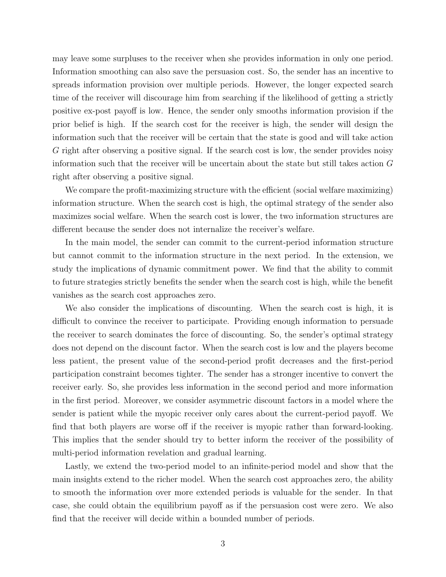may leave some surpluses to the receiver when she provides information in only one period. Information smoothing can also save the persuasion cost. So, the sender has an incentive to spreads information provision over multiple periods. However, the longer expected search time of the receiver will discourage him from searching if the likelihood of getting a strictly positive ex-post payoff is low. Hence, the sender only smooths information provision if the prior belief is high. If the search cost for the receiver is high, the sender will design the information such that the receiver will be certain that the state is good and will take action G right after observing a positive signal. If the search cost is low, the sender provides noisy information such that the receiver will be uncertain about the state but still takes action G right after observing a positive signal.

We compare the profit-maximizing structure with the efficient (social welfare maximizing) information structure. When the search cost is high, the optimal strategy of the sender also maximizes social welfare. When the search cost is lower, the two information structures are different because the sender does not internalize the receiver's welfare.

In the main model, the sender can commit to the current-period information structure but cannot commit to the information structure in the next period. In the extension, we study the implications of dynamic commitment power. We find that the ability to commit to future strategies strictly benefits the sender when the search cost is high, while the benefit vanishes as the search cost approaches zero.

We also consider the implications of discounting. When the search cost is high, it is difficult to convince the receiver to participate. Providing enough information to persuade the receiver to search dominates the force of discounting. So, the sender's optimal strategy does not depend on the discount factor. When the search cost is low and the players become less patient, the present value of the second-period profit decreases and the first-period participation constraint becomes tighter. The sender has a stronger incentive to convert the receiver early. So, she provides less information in the second period and more information in the first period. Moreover, we consider asymmetric discount factors in a model where the sender is patient while the myopic receiver only cares about the current-period payoff. We find that both players are worse off if the receiver is myopic rather than forward-looking. This implies that the sender should try to better inform the receiver of the possibility of multi-period information revelation and gradual learning.

Lastly, we extend the two-period model to an infinite-period model and show that the main insights extend to the richer model. When the search cost approaches zero, the ability to smooth the information over more extended periods is valuable for the sender. In that case, she could obtain the equilibrium payoff as if the persuasion cost were zero. We also find that the receiver will decide within a bounded number of periods.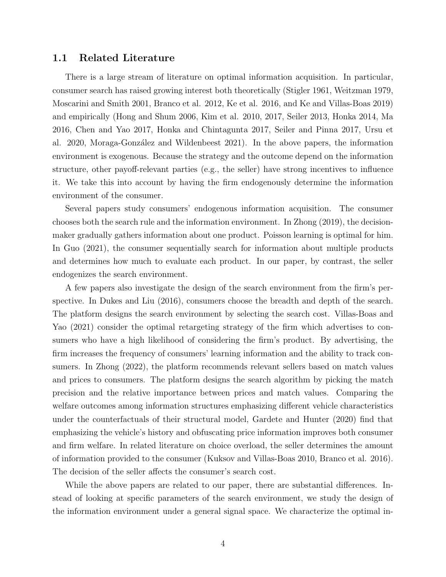### 1.1 Related Literature

There is a large stream of literature on optimal information acquisition. In particular, consumer search has raised growing interest both theoretically (Stigler 1961, Weitzman 1979, Moscarini and Smith 2001, Branco et al. 2012, Ke et al. 2016, and Ke and Villas-Boas 2019) and empirically (Hong and Shum 2006, Kim et al. 2010, 2017, Seiler 2013, Honka 2014, Ma 2016, Chen and Yao 2017, Honka and Chintagunta 2017, Seiler and Pinna 2017, Ursu et al. 2020, Moraga-González and Wildenbeest 2021). In the above papers, the information environment is exogenous. Because the strategy and the outcome depend on the information structure, other payoff-relevant parties (e.g., the seller) have strong incentives to influence it. We take this into account by having the firm endogenously determine the information environment of the consumer.

Several papers study consumers' endogenous information acquisition. The consumer chooses both the search rule and the information environment. In Zhong (2019), the decisionmaker gradually gathers information about one product. Poisson learning is optimal for him. In Guo (2021), the consumer sequentially search for information about multiple products and determines how much to evaluate each product. In our paper, by contrast, the seller endogenizes the search environment.

A few papers also investigate the design of the search environment from the firm's perspective. In Dukes and Liu (2016), consumers choose the breadth and depth of the search. The platform designs the search environment by selecting the search cost. Villas-Boas and Yao (2021) consider the optimal retargeting strategy of the firm which advertises to consumers who have a high likelihood of considering the firm's product. By advertising, the firm increases the frequency of consumers' learning information and the ability to track consumers. In Zhong (2022), the platform recommends relevant sellers based on match values and prices to consumers. The platform designs the search algorithm by picking the match precision and the relative importance between prices and match values. Comparing the welfare outcomes among information structures emphasizing different vehicle characteristics under the counterfactuals of their structural model, Gardete and Hunter (2020) find that emphasizing the vehicle's history and obfuscating price information improves both consumer and firm welfare. In related literature on choice overload, the seller determines the amount of information provided to the consumer (Kuksov and Villas-Boas 2010, Branco et al. 2016). The decision of the seller affects the consumer's search cost.

While the above papers are related to our paper, there are substantial differences. Instead of looking at specific parameters of the search environment, we study the design of the information environment under a general signal space. We characterize the optimal in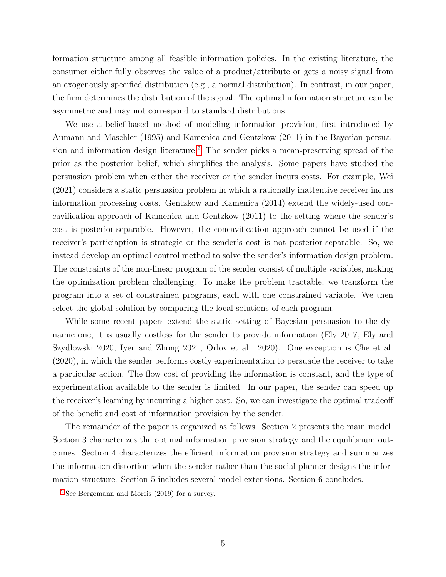formation structure among all feasible information policies. In the existing literature, the consumer either fully observes the value of a product/attribute or gets a noisy signal from an exogenously specified distribution (e.g., a normal distribution). In contrast, in our paper, the firm determines the distribution of the signal. The optimal information structure can be asymmetric and may not correspond to standard distributions.

<span id="page-6-1"></span>We use a belief-based method of modeling information provision, first introduced by Aumann and Maschler (1995) and Kamenica and Gentzkow (2011) in the Bayesian persua-sion and information design literature.<sup>[2](#page-6-0)</sup> The sender picks a mean-preserving spread of the prior as the posterior belief, which simplifies the analysis. Some papers have studied the persuasion problem when either the receiver or the sender incurs costs. For example, Wei (2021) considers a static persuasion problem in which a rationally inattentive receiver incurs information processing costs. Gentzkow and Kamenica (2014) extend the widely-used concavification approach of Kamenica and Gentzkow (2011) to the setting where the sender's cost is posterior-separable. However, the concavification approach cannot be used if the receiver's particiaption is strategic or the sender's cost is not posterior-separable. So, we instead develop an optimal control method to solve the sender's information design problem. The constraints of the non-linear program of the sender consist of multiple variables, making the optimization problem challenging. To make the problem tractable, we transform the program into a set of constrained programs, each with one constrained variable. We then select the global solution by comparing the local solutions of each program.

While some recent papers extend the static setting of Bayesian persuasion to the dynamic one, it is usually costless for the sender to provide information (Ely 2017, Ely and Szydlowski 2020, Iyer and Zhong 2021, Orlov et al. 2020). One exception is Che et al. (2020), in which the sender performs costly experimentation to persuade the receiver to take a particular action. The flow cost of providing the information is constant, and the type of experimentation available to the sender is limited. In our paper, the sender can speed up the receiver's learning by incurring a higher cost. So, we can investigate the optimal tradeoff of the benefit and cost of information provision by the sender.

The remainder of the paper is organized as follows. Section 2 presents the main model. Section 3 characterizes the optimal information provision strategy and the equilibrium outcomes. Section 4 characterizes the efficient information provision strategy and summarizes the information distortion when the sender rather than the social planner designs the information structure. Section 5 includes several model extensions. Section 6 concludes.

<span id="page-6-0"></span>[<sup>2</sup>](#page-6-1) See Bergemann and Morris (2019) for a survey.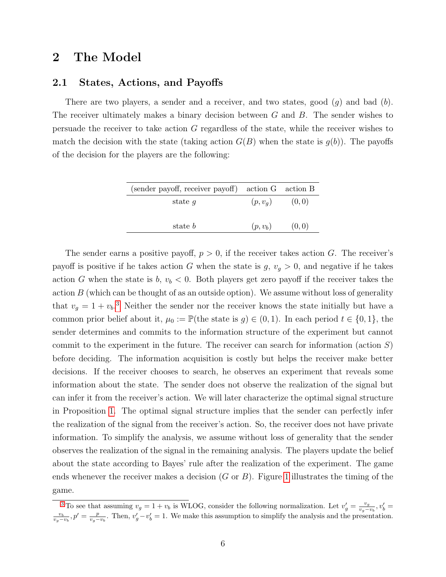# 2 The Model

### <span id="page-7-2"></span>2.1 States, Actions, and Payoffs

There are two players, a sender and a receiver, and two states, good  $(g)$  and bad  $(b)$ . The receiver ultimately makes a binary decision between G and B. The sender wishes to persuade the receiver to take action G regardless of the state, while the receiver wishes to match the decision with the state (taking action  $G(B)$  when the state is  $g(b)$ ). The payoffs of the decision for the players are the following:

| (sender payoff, receiver payoff) action G action B |            |        |
|----------------------------------------------------|------------|--------|
| state $q$                                          | $(p, v_q)$ | (0,0)  |
| state <i>b</i>                                     | $(p, v_b)$ | (0, 0) |

<span id="page-7-1"></span>The sender earns a positive payoff,  $p > 0$ , if the receiver takes action G. The receiver's payoff is positive if he takes action G when the state is  $g, v_g > 0$ , and negative if he takes action G when the state is  $b, v_b < 0$ . Both players get zero payoff if the receiver takes the action  $B$  (which can be thought of as an outside option). We assume without loss of generality that  $v_g = 1 + v_b$ <sup>[3](#page-7-0)</sup>. Neither the sender nor the receiver knows the state initially but have a common prior belief about it,  $\mu_0 := \mathbb{P}(\text{the state is } g) \in (0, 1)$ . In each period  $t \in \{0, 1\}$ , the sender determines and commits to the information structure of the experiment but cannot commit to the experiment in the future. The receiver can search for information (action  $S$ ) before deciding. The information acquisition is costly but helps the receiver make better decisions. If the receiver chooses to search, he observes an experiment that reveals some information about the state. The sender does not observe the realization of the signal but can infer it from the receiver's action. We will later characterize the optimal signal structure in Proposition [1.](#page-13-0) The optimal signal structure implies that the sender can perfectly infer the realization of the signal from the receiver's action. So, the receiver does not have private information. To simplify the analysis, we assume without loss of generality that the sender observes the realization of the signal in the remaining analysis. The players update the belief about the state according to Bayes' rule after the realization of the experiment. The game ends whenever the receiver makes a decision  $(G \text{ or } B)$ . Figure [1](#page-8-0) illustrates the timing of the game.

<span id="page-7-0"></span><sup>&</sup>lt;sup>[3](#page-7-1)</sup> To see that assuming  $v_g = 1 + v_b$  is WLOG, consider the following normalization. Let  $v'_g = \frac{v_g}{v_g - v_a}$  $\frac{v_g}{v_g - v_b}$ ,  $v'_b =$  $\frac{v_b}{v_g-v_b}$ ,  $p'=\frac{p}{v_g-v_b}$ . Then,  $v'_g-v'_b=1$ . We make this assumption to simplify the analysis and the presentation.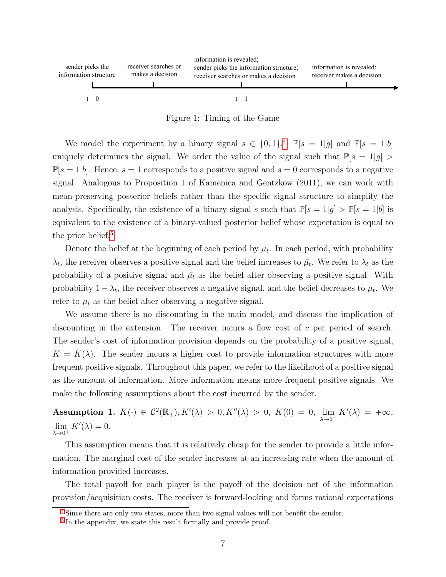<span id="page-8-0"></span>

<span id="page-8-3"></span>Figure 1: Timing of the Game

We model the experiment by a binary signal  $s \in \{0,1\}$ .<sup>[4](#page-8-1)</sup>  $\mathbb{P}[s = 1|g]$  and  $\mathbb{P}[s = 1|b]$ uniquely determines the signal. We order the value of the signal such that  $\mathbb{P}[s=1|g] >$  $\mathbb{P}[s=1|b]$ . Hence,  $s=1$  corresponds to a positive signal and  $s=0$  corresponds to a negative signal. Analogous to Proposition 1 of Kamenica and Gentzkow (2011), we can work with mean-preserving posterior beliefs rather than the specific signal structure to simplify the analysis. Specifically, the existence of a binary signal s such that  $\mathbb{P}[s=1|q] > \mathbb{P}[s=1|b]$  is equivalent to the existence of a binary-valued posterior belief whose expectation is equal to the prior belief.<sup>[5](#page-8-2)</sup>

<span id="page-8-4"></span>Denote the belief at the beginning of each period by  $\mu_t$ . In each period, with probability  $\lambda_t$ , the receiver observes a positive signal and the belief increases to  $\bar{\mu}_t$ . We refer to  $\lambda_t$  as the probability of a positive signal and  $\bar{\mu}_t$  as the belief after observing a positive signal. With probability  $1 - \lambda_t$ , the receiver observes a negative signal, and the belief decreases to  $\mu_t$ . We refer to  $\mu_t$  as the belief after observing a negative signal.

We assume there is no discounting in the main model, and discuss the implication of discounting in the extension. The receiver incurs a flow cost of c per period of search. The sender's cost of information provision depends on the probability of a positive signal,  $K = K(\lambda)$ . The sender incurs a higher cost to provide information structures with more frequent positive signals. Throughout this paper, we refer to the likelihood of a positive signal as the amount of information. More information means more frequent positive signals. We make the following assumptions about the cost incurred by the sender.

<span id="page-8-5"></span>Assumption 1.  $K(\cdot) \in C^2(\mathbb{R}_+), K'(\lambda) > 0, K''(\lambda) > 0, K(0) = 0, \lim_{\lambda \to 1^-} K'(\lambda) = +\infty$ ,  $\lim_{\lambda \to 0^+} K'(\lambda) = 0.$ 

This assumption means that it is relatively cheap for the sender to provide a little information. The marginal cost of the sender increases at an increasing rate when the amount of information provided increases.

The total payoff for each player is the payoff of the decision net of the information provision/acquisition costs. The receiver is forward-looking and forms rational expectations

<span id="page-8-1"></span><sup>&</sup>lt;sup>[4](#page-8-3)</sup> Since there are only two states, more than two signal values will not benefit the sender.

<span id="page-8-2"></span><sup>&</sup>lt;sup>[5](#page-8-4)</sup> In the appendix, we state this result formally and provide proof.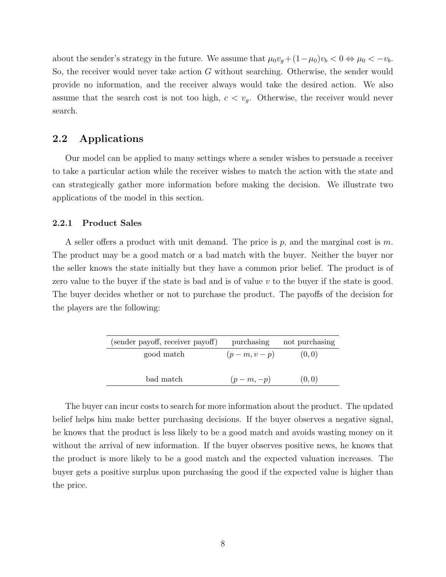about the sender's strategy in the future. We assume that  $\mu_0 v_g + (1 - \mu_0)v_b < 0 \Leftrightarrow \mu_0 < -v_b$ . So, the receiver would never take action G without searching. Otherwise, the sender would provide no information, and the receiver always would take the desired action. We also assume that the search cost is not too high,  $c < v_g$ . Otherwise, the receiver would never search.

# 2.2 Applications

Our model can be applied to many settings where a sender wishes to persuade a receiver to take a particular action while the receiver wishes to match the action with the state and can strategically gather more information before making the decision. We illustrate two applications of the model in this section.

#### <span id="page-9-0"></span>2.2.1 Product Sales

A seller offers a product with unit demand. The price is p, and the marginal cost is m. The product may be a good match or a bad match with the buyer. Neither the buyer nor the seller knows the state initially but they have a common prior belief. The product is of zero value to the buyer if the state is bad and is of value  $v$  to the buyer if the state is good. The buyer decides whether or not to purchase the product. The payoffs of the decision for the players are the following:

| (sender payoff, receiver payoff) | purchasing   | not purchasing |
|----------------------------------|--------------|----------------|
| good match                       | $(p-m, v-p)$ | (0, 0)         |
|                                  |              |                |
| bad match                        | $(p-m,-p)$   | (0, 0)         |

The buyer can incur costs to search for more information about the product. The updated belief helps him make better purchasing decisions. If the buyer observes a negative signal, he knows that the product is less likely to be a good match and avoids wasting money on it without the arrival of new information. If the buyer observes positive news, he knows that the product is more likely to be a good match and the expected valuation increases. The buyer gets a positive surplus upon purchasing the good if the expected value is higher than the price.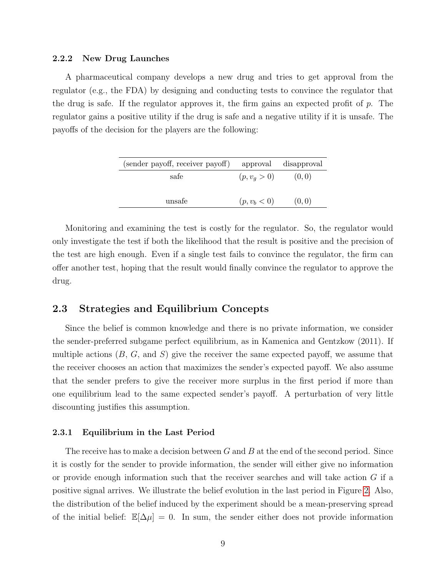#### 2.2.2 New Drug Launches

A pharmaceutical company develops a new drug and tries to get approval from the regulator (e.g., the FDA) by designing and conducting tests to convince the regulator that the drug is safe. If the regulator approves it, the firm gains an expected profit of p. The regulator gains a positive utility if the drug is safe and a negative utility if it is unsafe. The payoffs of the decision for the players are the following:

| (sender payoff, receiver payoff) |                | approval disapproval |
|----------------------------------|----------------|----------------------|
| safe                             | $(p, v_q > 0)$ | (0,0)                |
|                                  |                |                      |
| unsafe                           | $(p, v_b < 0)$ | (0, 0)               |

Monitoring and examining the test is costly for the regulator. So, the regulator would only investigate the test if both the likelihood that the result is positive and the precision of the test are high enough. Even if a single test fails to convince the regulator, the firm can offer another test, hoping that the result would finally convince the regulator to approve the drug.

# 2.3 Strategies and Equilibrium Concepts

Since the belief is common knowledge and there is no private information, we consider the sender-preferred subgame perfect equilibrium, as in Kamenica and Gentzkow (2011). If multiple actions  $(B, G, \text{ and } S)$  give the receiver the same expected payoff, we assume that the receiver chooses an action that maximizes the sender's expected payoff. We also assume that the sender prefers to give the receiver more surplus in the first period if more than one equilibrium lead to the same expected sender's payoff. A perturbation of very little discounting justifies this assumption.

#### <span id="page-10-0"></span>2.3.1 Equilibrium in the Last Period

The receive has to make a decision between  $G$  and  $B$  at the end of the second period. Since it is costly for the sender to provide information, the sender will either give no information or provide enough information such that the receiver searches and will take action  $G$  if a positive signal arrives. We illustrate the belief evolution in the last period in Figure [2.](#page-11-0) Also, the distribution of the belief induced by the experiment should be a mean-preserving spread of the initial belief:  $\mathbb{E}[\Delta \mu] = 0$ . In sum, the sender either does not provide information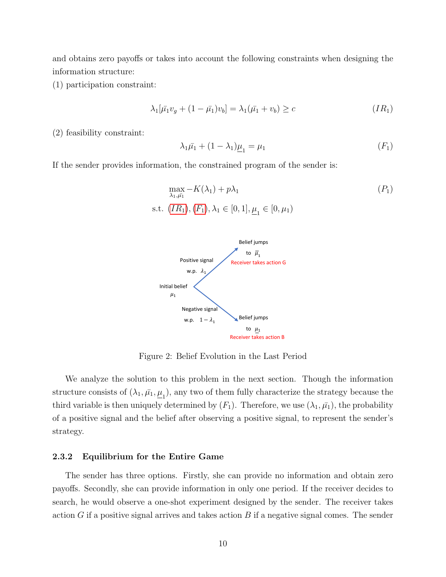and obtains zero payoffs or takes into account the following constraints when designing the information structure:

(1) participation constraint:

$$
\lambda_1[\bar{\mu_1}v_g + (1 - \bar{\mu_1})v_b] = \lambda_1(\bar{\mu_1} + v_b) \ge c \tag{IR_1}
$$

(2) feasibility constraint:

<span id="page-11-3"></span><span id="page-11-2"></span><span id="page-11-1"></span>
$$
\lambda_1 \bar{\mu_1} + (1 - \lambda_1) \underline{\mu}_1 = \mu_1 \tag{F_1}
$$

<span id="page-11-0"></span>If the sender provides information, the constrained program of the sender is:

$$
\max_{\lambda_1, \bar{\mu_1}} -K(\lambda_1) + p\lambda_1
$$
  
s.t.  $(IR_1), (F_1), \lambda_1 \in [0, 1], \underline{\mu}_1 \in [0, \mu_1)$ 



Figure 2: Belief Evolution in the Last Period

We analyze the solution to this problem in the next section. Though the information structure consists of  $(\lambda_1, \bar{\mu_1}, \underline{\mu_1})$ , any two of them fully characterize the strategy because the third variable is then uniquely determined by  $(F_1)$ . Therefore, we use  $(\lambda_1, \bar{\mu_1})$ , the probability of a positive signal and the belief after observing a positive signal, to represent the sender's strategy.

#### 2.3.2 Equilibrium for the Entire Game

The sender has three options. Firstly, she can provide no information and obtain zero payoffs. Secondly, she can provide information in only one period. If the receiver decides to search, he would observe a one-shot experiment designed by the sender. The receiver takes action G if a positive signal arrives and takes action  $B$  if a negative signal comes. The sender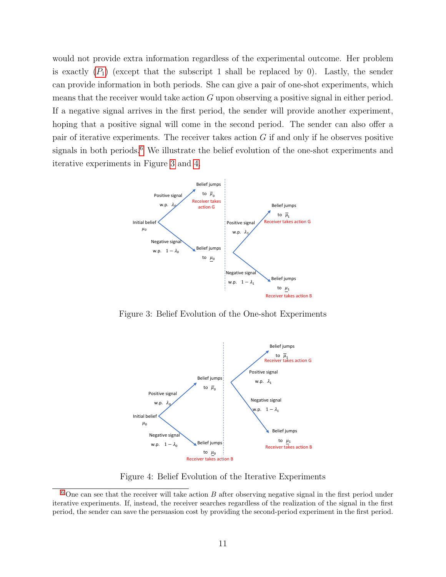would not provide extra information regardless of the experimental outcome. Her problem is exactly  $(P_1)$  $(P_1)$  $(P_1)$  (except that the subscript 1 shall be replaced by 0). Lastly, the sender can provide information in both periods. She can give a pair of one-shot experiments, which means that the receiver would take action  $G$  upon observing a positive signal in either period. If a negative signal arrives in the first period, the sender will provide another experiment, hoping that a positive signal will come in the second period. The sender can also offer a pair of iterative experiments. The receiver takes action  $G$  if and only if he observes positive signals in both periods. $6$  We illustrate the belief evolution of the one-shot experiments and iterative experiments in Figure [3](#page-12-1) and [4.](#page-12-2)

<span id="page-12-3"></span><span id="page-12-1"></span>

<span id="page-12-2"></span>Figure 3: Belief Evolution of the One-shot Experiments



Figure 4: Belief Evolution of the Iterative Experiments

<span id="page-12-0"></span> $6$  One can see that the receiver will take action  $B$  after observing negative signal in the first period under iterative experiments. If, instead, the receiver searches regardless of the realization of the signal in the first period, the sender can save the persuasion cost by providing the second-period experiment in the first period.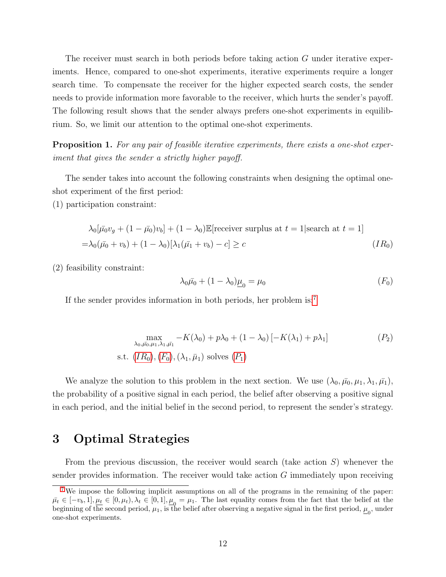The receiver must search in both periods before taking action G under iterative experiments. Hence, compared to one-shot experiments, iterative experiments require a longer search time. To compensate the receiver for the higher expected search costs, the sender needs to provide information more favorable to the receiver, which hurts the sender's payoff. The following result shows that the sender always prefers one-shot experiments in equilibrium. So, we limit our attention to the optimal one-shot experiments.

<span id="page-13-0"></span>**Proposition 1.** For any pair of feasible iterative experiments, there exists a one-shot experiment that gives the sender a strictly higher payoff.

The sender takes into account the following constraints when designing the optimal oneshot experiment of the first period:

(1) participation constraint:

$$
\lambda_0[\bar{\mu_0}v_g + (1 - \bar{\mu_0})v_b] + (1 - \lambda_0)\mathbb{E}[\text{receiver surplus at } t = 1|\text{search at } t = 1]
$$
  
=  $\lambda_0(\bar{\mu_0} + v_b) + (1 - \lambda_0)[\lambda_1(\bar{\mu_1} + v_b) - c] \ge c$  (IR<sub>0</sub>)

(2) feasibility constraint:

<span id="page-13-5"></span><span id="page-13-4"></span><span id="page-13-3"></span><span id="page-13-2"></span>
$$
\lambda_0 \bar{\mu_0} + (1 - \lambda_0) \underline{\mu_0} = \mu_0 \tag{F_0}
$$

If the sender provides information in both periods, her problem is:[7](#page-13-1)

$$
\max_{\lambda_0, \bar{\mu_0}, \mu_1, \lambda_1, \bar{\mu_1}} -K(\lambda_0) + p\lambda_0 + (1 - \lambda_0) \left[ -K(\lambda_1) + p\lambda_1 \right]
$$
\ns.t.

\n
$$
(IR_0), (F_0), (\lambda_1, \bar{\mu}_1) \text{ solves } (P_1)
$$

We analyze the solution to this problem in the next section. We use  $(\lambda_0, \bar{\mu_0}, \mu_1, \lambda_1, \bar{\mu_1}),$ the probability of a positive signal in each period, the belief after observing a positive signal in each period, and the initial belief in the second period, to represent the sender's strategy.

# 3 Optimal Strategies

From the previous discussion, the receiver would search (take action  $S$ ) whenever the sender provides information. The receiver would take action  $G$  immediately upon receiving

<span id="page-13-1"></span><sup>&</sup>lt;sup>[7](#page-13-4)</sup> We impose the following implicit assumptions on all of the programs in the remaining of the paper:  $\bar{\mu}_t \in [-v_b, 1], \underline{\mu_t} \in [0, \mu_t), \lambda_t \in [0, 1], \underline{\mu}_0 = \mu_1$ . The last equality comes from the fact that the belief at the beginning of the second period,  $\mu_1$ , is the belief after observing a negative signal in the first period,  $\underline{\mu}_0$ , under one-shot experiments.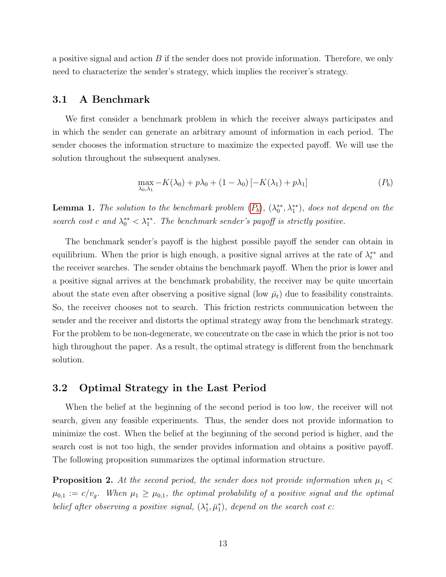a positive signal and action  $B$  if the sender does not provide information. Therefore, we only need to characterize the sender's strategy, which implies the receiver's strategy.

# 3.1 A Benchmark

We first consider a benchmark problem in which the receiver always participates and in which the sender can generate an arbitrary amount of information in each period. The sender chooses the information structure to maximize the expected payoff. We will use the solution throughout the subsequent analyses.

<span id="page-14-0"></span>
$$
\max_{\lambda_0, \lambda_1} -K(\lambda_0) + p\lambda_0 + (1 - \lambda_0) \left[ -K(\lambda_1) + p\lambda_1 \right] \tag{P_b}
$$

<span id="page-14-2"></span>**Lemma 1.** The solution to the benchmark problem  $(P_b)$  $(P_b)$  $(P_b)$ ,  $(\lambda_0^{**}, \lambda_1^{**})$ , does not depend on the search cost c and  $\lambda_0^{**} < \lambda_1^{**}$ . The benchmark sender's payoff is strictly positive.

The benchmark sender's payoff is the highest possible payoff the sender can obtain in equilibrium. When the prior is high enough, a positive signal arrives at the rate of  $\lambda_t^{**}$  and the receiver searches. The sender obtains the benchmark payoff. When the prior is lower and a positive signal arrives at the benchmark probability, the receiver may be quite uncertain about the state even after observing a positive signal (low  $\bar{\mu}_t$ ) due to feasibility constraints. So, the receiver chooses not to search. This friction restricts communication between the sender and the receiver and distorts the optimal strategy away from the benchmark strategy. For the problem to be non-degenerate, we concentrate on the case in which the prior is not too high throughout the paper. As a result, the optimal strategy is different from the benchmark solution.

# 3.2 Optimal Strategy in the Last Period

When the belief at the beginning of the second period is too low, the receiver will not search, given any feasible experiments. Thus, the sender does not provide information to minimize the cost. When the belief at the beginning of the second period is higher, and the search cost is not too high, the sender provides information and obtains a positive payoff. The following proposition summarizes the optimal information structure.

<span id="page-14-1"></span>**Proposition 2.** At the second period, the sender does not provide information when  $\mu_1$  $\mu_{0,1} := c/v_g$ . When  $\mu_1 \geq \mu_{0,1}$ , the optimal probability of a positive signal and the optimal belief after observing a positive signal,  $(\lambda_1^*, \bar{\mu}_1^*)$ , depend on the search cost c: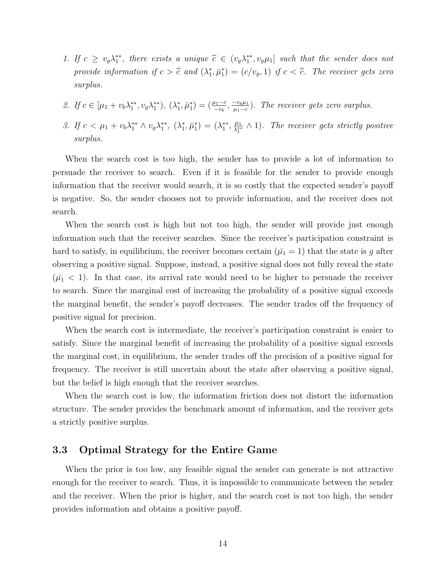- 1. If  $c \geq v_g \lambda_1^{**}$ , there exists a unique  $\hat{c} \in (v_g \lambda_1^{**}, v_g \mu_1]$  such that the sender does not provide information if  $c > \hat{c}$  and  $(\lambda_1^*, \bar{\mu}_1^*) = (c/v_g, 1)$  if  $c < \hat{c}$ . The receiver gets zero surplus.
- 2. If  $c \in [\mu_1 + v_b \lambda_1^{**}, v_g \lambda_1^{**}), (\lambda_1^{*}, \bar{\mu}_1^{*}) = (\frac{\mu_1 c}{-v_b}, \frac{-v_b \mu_1}{\mu_1 c})$  $\frac{-v_b\mu_1}{\mu_1-c}$ ). The receiver gets zero surplus.
- 3. If  $c < \mu_1 + v_b \lambda_1^{**} \wedge v_g \lambda_1^{**}$ ,  $(\lambda_1^*, \bar{\mu}_1^*) = (\lambda_1^{**}, \frac{\mu_1}{\lambda_1^{**}})$  $\frac{\mu_1}{\lambda_1^{**}} \wedge 1$ ). The receiver gets strictly positive surplus.

When the search cost is too high, the sender has to provide a lot of information to persuade the receiver to search. Even if it is feasible for the sender to provide enough information that the receiver would search, it is so costly that the expected sender's payoff is negative. So, the sender chooses not to provide information, and the receiver does not search.

When the search cost is high but not too high, the sender will provide just enough information such that the receiver searches. Since the receiver's participation constraint is hard to satisfy, in equilibrium, the receiver becomes certain  $(\bar{\mu}_1 = 1)$  that the state is g after observing a positive signal. Suppose, instead, a positive signal does not fully reveal the state  $(\bar{\mu}_1 < 1)$ . In that case, its arrival rate would need to be higher to persuade the receiver to search. Since the marginal cost of increasing the probability of a positive signal exceeds the marginal benefit, the sender's payoff decreases. The sender trades off the frequency of positive signal for precision.

When the search cost is intermediate, the receiver's participation constraint is easier to satisfy. Since the marginal benefit of increasing the probability of a positive signal exceeds the marginal cost, in equilibrium, the sender trades off the precision of a positive signal for frequency. The receiver is still uncertain about the state after observing a positive signal, but the belief is high enough that the receiver searches.

When the search cost is low, the information friction does not distort the information structure. The sender provides the benchmark amount of information, and the receiver gets a strictly positive surplus.

### 3.3 Optimal Strategy for the Entire Game

When the prior is too low, any feasible signal the sender can generate is not attractive enough for the receiver to search. Thus, it is impossible to communicate between the sender and the receiver. When the prior is higher, and the search cost is not too high, the sender provides information and obtains a positive payoff.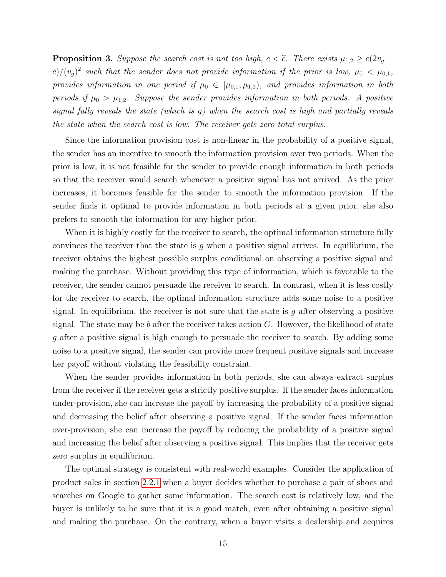<span id="page-16-0"></span>**Proposition 3.** Suppose the search cost is not too high,  $c < \hat{c}$ . There exists  $\mu_{1,2} \geq c(2v_g (c)/(v_g)^2$  such that the sender does not provide information if the prior is low,  $\mu_0 < \mu_{0,1}$ , provides information in one period if  $\mu_0 \in [\mu_{0,1}, \mu_{1,2})$ , and provides information in both periods if  $\mu_0 > \mu_{1,2}$ . Suppose the sender provides information in both periods. A positive signal fully reveals the state (which is g) when the search cost is high and partially reveals the state when the search cost is low. The receiver gets zero total surplus.

Since the information provision cost is non-linear in the probability of a positive signal, the sender has an incentive to smooth the information provision over two periods. When the prior is low, it is not feasible for the sender to provide enough information in both periods so that the receiver would search whenever a positive signal has not arrived. As the prior increases, it becomes feasible for the sender to smooth the information provision. If the sender finds it optimal to provide information in both periods at a given prior, she also prefers to smooth the information for any higher prior.

When it is highly costly for the receiver to search, the optimal information structure fully convinces the receiver that the state is q when a positive signal arrives. In equilibrium, the receiver obtains the highest possible surplus conditional on observing a positive signal and making the purchase. Without providing this type of information, which is favorable to the receiver, the sender cannot persuade the receiver to search. In contrast, when it is less costly for the receiver to search, the optimal information structure adds some noise to a positive signal. In equilibrium, the receiver is not sure that the state is  $g$  after observing a positive signal. The state may be b after the receiver takes action  $G$ . However, the likelihood of state g after a positive signal is high enough to persuade the receiver to search. By adding some noise to a positive signal, the sender can provide more frequent positive signals and increase her payoff without violating the feasibility constraint.

When the sender provides information in both periods, she can always extract surplus from the receiver if the receiver gets a strictly positive surplus. If the sender faces information under-provision, she can increase the payoff by increasing the probability of a positive signal and decreasing the belief after observing a positive signal. If the sender faces information over-provision, she can increase the payoff by reducing the probability of a positive signal and increasing the belief after observing a positive signal. This implies that the receiver gets zero surplus in equilibrium.

The optimal strategy is consistent with real-world examples. Consider the application of product sales in section [2.2.1](#page-9-0) when a buyer decides whether to purchase a pair of shoes and searches on Google to gather some information. The search cost is relatively low, and the buyer is unlikely to be sure that it is a good match, even after obtaining a positive signal and making the purchase. On the contrary, when a buyer visits a dealership and acquires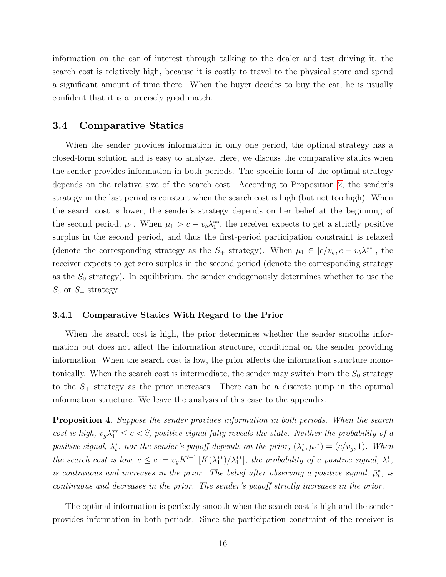information on the car of interest through talking to the dealer and test driving it, the search cost is relatively high, because it is costly to travel to the physical store and spend a significant amount of time there. When the buyer decides to buy the car, he is usually confident that it is a precisely good match.

### 3.4 Comparative Statics

When the sender provides information in only one period, the optimal strategy has a closed-form solution and is easy to analyze. Here, we discuss the comparative statics when the sender provides information in both periods. The specific form of the optimal strategy depends on the relative size of the search cost. According to Proposition [2,](#page-14-1) the sender's strategy in the last period is constant when the search cost is high (but not too high). When the search cost is lower, the sender's strategy depends on her belief at the beginning of the second period,  $\mu_1$ . When  $\mu_1 > c - v_b \lambda_1^{**}$ , the receiver expects to get a strictly positive surplus in the second period, and thus the first-period participation constraint is relaxed (denote the corresponding strategy as the  $S_+$  strategy). When  $\mu_1 \in [c/v_g, c - v_b \lambda_1^{**}]$ , the receiver expects to get zero surplus in the second period (denote the corresponding strategy as the  $S_0$  strategy). In equilibrium, the sender endogenously determines whether to use the  $S_0$  or  $S_+$  strategy.

#### 3.4.1 Comparative Statics With Regard to the Prior

When the search cost is high, the prior determines whether the sender smooths information but does not affect the information structure, conditional on the sender providing information. When the search cost is low, the prior affects the information structure monotonically. When the search cost is intermediate, the sender may switch from the  $S_0$  strategy to the  $S_{+}$  strategy as the prior increases. There can be a discrete jump in the optimal information structure. We leave the analysis of this case to the appendix.

<span id="page-17-0"></span>Proposition 4. Suppose the sender provides information in both periods. When the search cost is high,  $v_g \lambda_1^{**} \leq c < \hat{c}$ , positive signal fully reveals the state. Neither the probability of a positive signal,  $\lambda_t^*$ , nor the sender's payoff depends on the prior,  $(\lambda_t^*, \bar{\mu}_t^*) = (c/v_g, 1)$ . When the search cost is low,  $c \leq \tilde{c} := v_g K'^{-1} [K(\lambda_1^{**})/\lambda_1^{**}]$ , the probability of a positive signal,  $\lambda_t^*$ , is continuous and increases in the prior. The belief after observing a positive signal,  $\bar{\mu}_t^*$ , is continuous and decreases in the prior. The sender's payoff strictly increases in the prior.

The optimal information is perfectly smooth when the search cost is high and the sender provides information in both periods. Since the participation constraint of the receiver is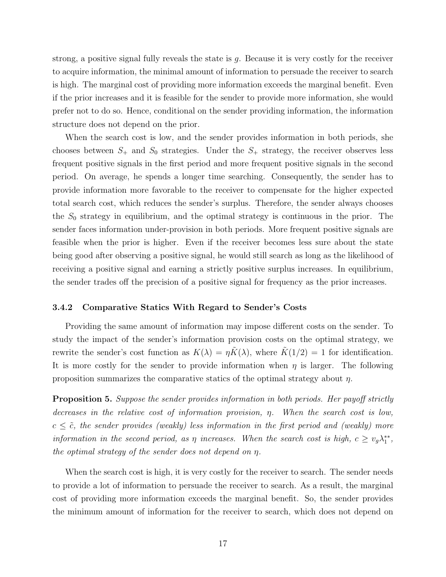strong, a positive signal fully reveals the state is  $q$ . Because it is very costly for the receiver to acquire information, the minimal amount of information to persuade the receiver to search is high. The marginal cost of providing more information exceeds the marginal benefit. Even if the prior increases and it is feasible for the sender to provide more information, she would prefer not to do so. Hence, conditional on the sender providing information, the information structure does not depend on the prior.

When the search cost is low, and the sender provides information in both periods, she chooses between  $S_+$  and  $S_0$  strategies. Under the  $S_+$  strategy, the receiver observes less frequent positive signals in the first period and more frequent positive signals in the second period. On average, he spends a longer time searching. Consequently, the sender has to provide information more favorable to the receiver to compensate for the higher expected total search cost, which reduces the sender's surplus. Therefore, the sender always chooses the  $S_0$  strategy in equilibrium, and the optimal strategy is continuous in the prior. The sender faces information under-provision in both periods. More frequent positive signals are feasible when the prior is higher. Even if the receiver becomes less sure about the state being good after observing a positive signal, he would still search as long as the likelihood of receiving a positive signal and earning a strictly positive surplus increases. In equilibrium, the sender trades off the precision of a positive signal for frequency as the prior increases.

#### 3.4.2 Comparative Statics With Regard to Sender's Costs

Providing the same amount of information may impose different costs on the sender. To study the impact of the sender's information provision costs on the optimal strategy, we rewrite the sender's cost function as  $K(\lambda) = \eta K(\lambda)$ , where  $K(1/2) = 1$  for identification. It is more costly for the sender to provide information when  $\eta$  is larger. The following proposition summarizes the comparative statics of the optimal strategy about  $\eta$ .

<span id="page-18-0"></span>**Proposition 5.** Suppose the sender provides information in both periods. Her payoff strictly decreases in the relative cost of information provision, η. When the search cost is low,  $c \leq \tilde{c}$ , the sender provides (weakly) less information in the first period and (weakly) more information in the second period, as  $\eta$  increases. When the search cost is high,  $c \geq v_g \lambda_1^{**}$ , the optimal strategy of the sender does not depend on η.

When the search cost is high, it is very costly for the receiver to search. The sender needs to provide a lot of information to persuade the receiver to search. As a result, the marginal cost of providing more information exceeds the marginal benefit. So, the sender provides the minimum amount of information for the receiver to search, which does not depend on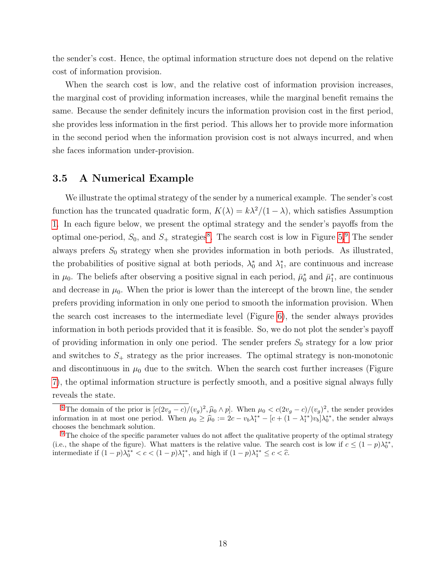the sender's cost. Hence, the optimal information structure does not depend on the relative cost of information provision.

When the search cost is low, and the relative cost of information provision increases, the marginal cost of providing information increases, while the marginal benefit remains the same. Because the sender definitely incurs the information provision cost in the first period, she provides less information in the first period. This allows her to provide more information in the second period when the information provision cost is not always incurred, and when she faces information under-provision.

### 3.5 A Numerical Example

<span id="page-19-3"></span><span id="page-19-2"></span>We illustrate the optimal strategy of the sender by a numerical example. The sender's cost function has the truncated quadratic form,  $K(\lambda) = k\lambda^2/(1-\lambda)$ , which satisfies Assumption [1.](#page-8-5) In each figure below, we present the optimal strategy and the sender's payoffs from the optimal one-period,  $S_0$ , and  $S_+$  strategies<sup>[8](#page-19-0)</sup>. The search cost is low in Figure [5.](#page-20-0)<sup>[9](#page-19-1)</sup> The sender always prefers  $S_0$  strategy when she provides information in both periods. As illustrated, the probabilities of positive signal at both periods,  $\lambda_0^*$  and  $\lambda_1^*$ , are continuous and increase in  $\mu_0$ . The beliefs after observing a positive signal in each period,  $\bar{\mu}_0^*$  and  $\bar{\mu}_1^*$ , are continuous and decrease in  $\mu_0$ . When the prior is lower than the intercept of the brown line, the sender prefers providing information in only one period to smooth the information provision. When the search cost increases to the intermediate level (Figure [6\)](#page-20-1), the sender always provides information in both periods provided that it is feasible. So, we do not plot the sender's payoff of providing information in only one period. The sender prefers  $S_0$  strategy for a low prior and switches to  $S_+$  strategy as the prior increases. The optimal strategy is non-monotonic and discontinuous in  $\mu_0$  due to the switch. When the search cost further increases (Figure [7\)](#page-20-2), the optimal information structure is perfectly smooth, and a positive signal always fully reveals the state.

<span id="page-19-0"></span><sup>&</sup>lt;sup>[8](#page-19-2)</sup>The domain of the prior is  $[c(2v_g - c)/(v_g)^2, \hat{\mu}_0 \wedge p]$ . When  $\mu_0 < c(2v_g - c)/(v_g)^2$ , the sender provides or provides  $\hat{\mu}_0 \wedge p$ . When  $\mu_0 > \hat{\mu}_0 \wedge p$ . When  $\mu_0 < c(2v_g - c)/(v_g)^2$ , the sender provides information in at most one period. When  $\mu_0 \ge \hat{\mu}_0 := 2c - v_b \lambda_1^{**} - [c + (1 - \lambda_1^{**})v_b] \lambda_0^{**}$ , the sender always chooses the benchmark solution.

<span id="page-19-1"></span><sup>&</sup>lt;sup>[9](#page-19-3)</sup> The choice of the specific parameter values do not affect the qualitative property of the optimal strategy (i.e., the shape of the figure). What matters is the relative value. The search cost is low if  $c \leq (1-p)\lambda_0^{**}$ , intermediate if  $(1-p)\lambda_0^{**} < c < (1-p)\lambda_1^{**}$ , and high if  $(1-p)\lambda_1^{**} \le c < \hat{c}$ .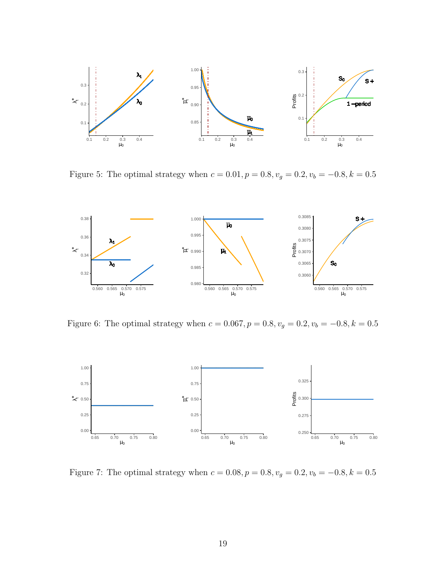<span id="page-20-0"></span>

Figure 5: The optimal strategy when  $c = 0.01, p = 0.8, v_g = 0.2, v_b = -0.8, k = 0.5$ 

<span id="page-20-1"></span>

Figure 6: The optimal strategy when  $c = 0.067, p = 0.8, v_g = 0.2, v_b = -0.8, k = 0.5$ 

<span id="page-20-2"></span>

Figure 7: The optimal strategy when  $c = 0.08, p = 0.8, v_g = 0.2, v_b = -0.8, k = 0.5$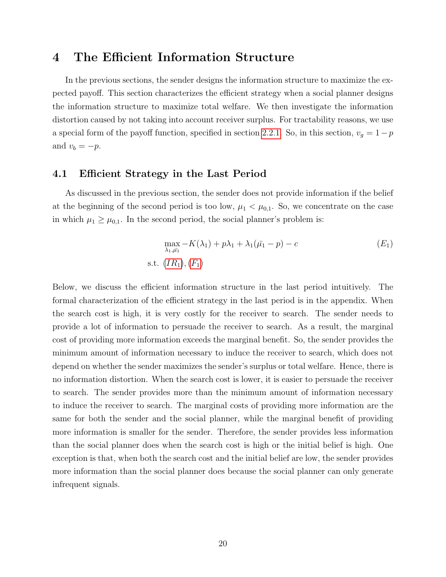# 4 The Efficient Information Structure

In the previous sections, the sender designs the information structure to maximize the expected payoff. This section characterizes the efficient strategy when a social planner designs the information structure to maximize total welfare. We then investigate the information distortion caused by not taking into account receiver surplus. For tractability reasons, we use a special form of the payoff function, specified in section [2.2.1.](#page-9-0) So, in this section,  $v_g = 1 - p$ and  $v_b = -p$ .

### 4.1 Efficient Strategy in the Last Period

As discussed in the previous section, the sender does not provide information if the belief at the beginning of the second period is too low,  $\mu_1 < \mu_{0,1}$ . So, we concentrate on the case in which  $\mu_1 \geq \mu_{0,1}$ . In the second period, the social planner's problem is:

<span id="page-21-0"></span>
$$
\max_{\lambda_1, \bar{\mu_1}} -K(\lambda_1) + p\lambda_1 + \lambda_1(\bar{\mu_1} - p) - c
$$
 (E<sub>1</sub>)  
s.t.  $(IR_1), (F_1)$ 

Below, we discuss the efficient information structure in the last period intuitively. The formal characterization of the efficient strategy in the last period is in the appendix. When the search cost is high, it is very costly for the receiver to search. The sender needs to provide a lot of information to persuade the receiver to search. As a result, the marginal cost of providing more information exceeds the marginal benefit. So, the sender provides the minimum amount of information necessary to induce the receiver to search, which does not depend on whether the sender maximizes the sender's surplus or total welfare. Hence, there is no information distortion. When the search cost is lower, it is easier to persuade the receiver to search. The sender provides more than the minimum amount of information necessary to induce the receiver to search. The marginal costs of providing more information are the same for both the sender and the social planner, while the marginal benefit of providing more information is smaller for the sender. Therefore, the sender provides less information than the social planner does when the search cost is high or the initial belief is high. One exception is that, when both the search cost and the initial belief are low, the sender provides more information than the social planner does because the social planner can only generate infrequent signals.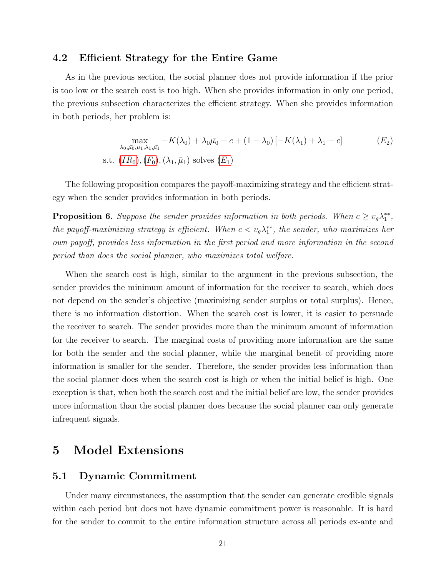# 4.2 Efficient Strategy for the Entire Game

As in the previous section, the social planner does not provide information if the prior is too low or the search cost is too high. When she provides information in only one period, the previous subsection characterizes the efficient strategy. When she provides information in both periods, her problem is:

$$
\max_{\lambda_0, \bar{\mu_0}, \mu_1, \lambda_1, \bar{\mu_1}} -K(\lambda_0) + \lambda_0 \bar{\mu_0} - c + (1 - \lambda_0) [-K(\lambda_1) + \lambda_1 - c]
$$
(E<sub>2</sub>)  
s.t.  $(IR_0), (F_0), (\lambda_1, \bar{\mu_1})$  solves  $(E_1)$ 

The following proposition compares the payoff-maximizing strategy and the efficient strategy when the sender provides information in both periods.

<span id="page-22-0"></span>**Proposition 6.** Suppose the sender provides information in both periods. When  $c \geq v_g \lambda_1^{**}$ , the payoff-maximizing strategy is efficient. When  $c < v_g \lambda_1^{**}$ , the sender, who maximizes her own payoff, provides less information in the first period and more information in the second period than does the social planner, who maximizes total welfare.

When the search cost is high, similar to the argument in the previous subsection, the sender provides the minimum amount of information for the receiver to search, which does not depend on the sender's objective (maximizing sender surplus or total surplus). Hence, there is no information distortion. When the search cost is lower, it is easier to persuade the receiver to search. The sender provides more than the minimum amount of information for the receiver to search. The marginal costs of providing more information are the same for both the sender and the social planner, while the marginal benefit of providing more information is smaller for the sender. Therefore, the sender provides less information than the social planner does when the search cost is high or when the initial belief is high. One exception is that, when both the search cost and the initial belief are low, the sender provides more information than the social planner does because the social planner can only generate infrequent signals.

# 5 Model Extensions

# 5.1 Dynamic Commitment

Under many circumstances, the assumption that the sender can generate credible signals within each period but does not have dynamic commitment power is reasonable. It is hard for the sender to commit to the entire information structure across all periods ex-ante and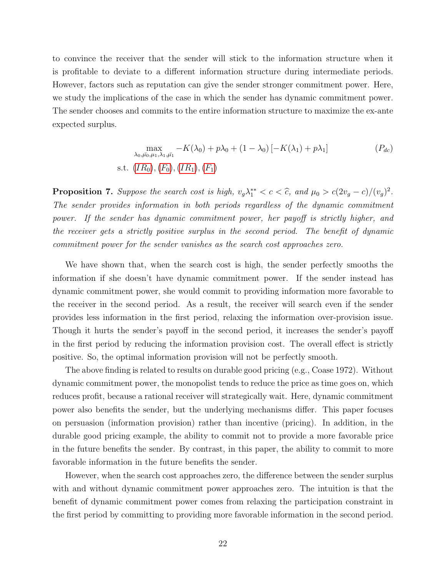to convince the receiver that the sender will stick to the information structure when it is profitable to deviate to a different information structure during intermediate periods. However, factors such as reputation can give the sender stronger commitment power. Here, we study the implications of the case in which the sender has dynamic commitment power. The sender chooses and commits to the entire information structure to maximize the ex-ante expected surplus.

<span id="page-23-1"></span>
$$
\max_{\lambda_0, \bar{\mu_0}, \mu_1, \lambda_1, \bar{\mu_1}} -K(\lambda_0) + p\lambda_0 + (1 - \lambda_0) [-K(\lambda_1) + p\lambda_1]
$$
\ns.t.

\n
$$
(IR_0), (F_0), (IR_1), (F_1)
$$

<span id="page-23-0"></span>**Proposition 7.** Suppose the search cost is high,  $v_g \lambda_1^{**} < c < \hat{c}$ , and  $\mu_0 > c(2v_g - c)/(v_g)^2$ . The sender provides information in both periods regardless of the dynamic commitment power. If the sender has dynamic commitment power, her payoff is strictly higher, and the receiver gets a strictly positive surplus in the second period. The benefit of dynamic commitment power for the sender vanishes as the search cost approaches zero.

We have shown that, when the search cost is high, the sender perfectly smooths the information if she doesn't have dynamic commitment power. If the sender instead has dynamic commitment power, she would commit to providing information more favorable to the receiver in the second period. As a result, the receiver will search even if the sender provides less information in the first period, relaxing the information over-provision issue. Though it hurts the sender's payoff in the second period, it increases the sender's payoff in the first period by reducing the information provision cost. The overall effect is strictly positive. So, the optimal information provision will not be perfectly smooth.

The above finding is related to results on durable good pricing (e.g., Coase 1972). Without dynamic commitment power, the monopolist tends to reduce the price as time goes on, which reduces profit, because a rational receiver will strategically wait. Here, dynamic commitment power also benefits the sender, but the underlying mechanisms differ. This paper focuses on persuasion (information provision) rather than incentive (pricing). In addition, in the durable good pricing example, the ability to commit not to provide a more favorable price in the future benefits the sender. By contrast, in this paper, the ability to commit to more favorable information in the future benefits the sender.

However, when the search cost approaches zero, the difference between the sender surplus with and without dynamic commitment power approaches zero. The intuition is that the benefit of dynamic commitment power comes from relaxing the participation constraint in the first period by committing to providing more favorable information in the second period.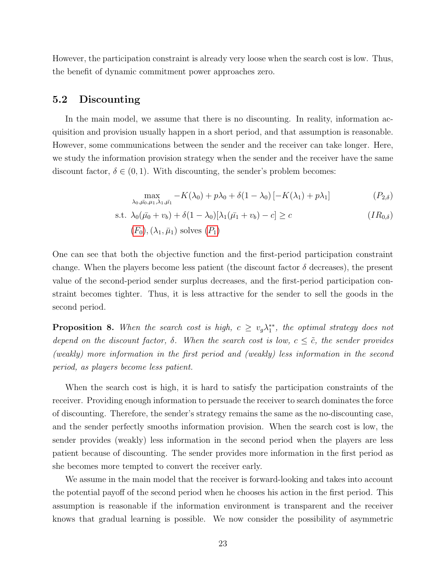However, the participation constraint is already very loose when the search cost is low. Thus, the benefit of dynamic commitment power approaches zero.

# 5.2 Discounting

In the main model, we assume that there is no discounting. In reality, information acquisition and provision usually happen in a short period, and that assumption is reasonable. However, some communications between the sender and the receiver can take longer. Here, we study the information provision strategy when the sender and the receiver have the same discount factor,  $\delta \in (0,1)$ . With discounting, the sender's problem becomes:

<span id="page-24-1"></span>
$$
\max_{\lambda_0,\bar{\mu_0},\mu_1,\lambda_1,\bar{\mu_1}} -K(\lambda_0) + p\lambda_0 + \delta(1-\lambda_0)\left[-K(\lambda_1) + p\lambda_1\right] \tag{P_{2,\delta}}
$$

s.t. 
$$
\lambda_0(\bar{\mu_0} + v_b) + \delta(1 - \lambda_0)[\lambda_1(\bar{\mu_1} + v_b) - c] \ge c
$$
   
 (*F*<sub>0</sub>), ( $\lambda_1, \bar{\mu}_1$ ) solves (*P*<sub>1</sub>)   

One can see that both the objective function and the first-period participation constraint change. When the players become less patient (the discount factor  $\delta$  decreases), the present value of the second-period sender surplus decreases, and the first-period participation constraint becomes tighter. Thus, it is less attractive for the sender to sell the goods in the second period.

<span id="page-24-0"></span>**Proposition 8.** When the search cost is high,  $c \geq v_g \lambda_1^{**}$ , the optimal strategy does not depend on the discount factor,  $\delta$ . When the search cost is low,  $c \leq \tilde{c}$ , the sender provides (weakly) more information in the first period and (weakly) less information in the second period, as players become less patient.

When the search cost is high, it is hard to satisfy the participation constraints of the receiver. Providing enough information to persuade the receiver to search dominates the force of discounting. Therefore, the sender's strategy remains the same as the no-discounting case, and the sender perfectly smooths information provision. When the search cost is low, the sender provides (weakly) less information in the second period when the players are less patient because of discounting. The sender provides more information in the first period as she becomes more tempted to convert the receiver early.

We assume in the main model that the receiver is forward-looking and takes into account the potential payoff of the second period when he chooses his action in the first period. This assumption is reasonable if the information environment is transparent and the receiver knows that gradual learning is possible. We now consider the possibility of asymmetric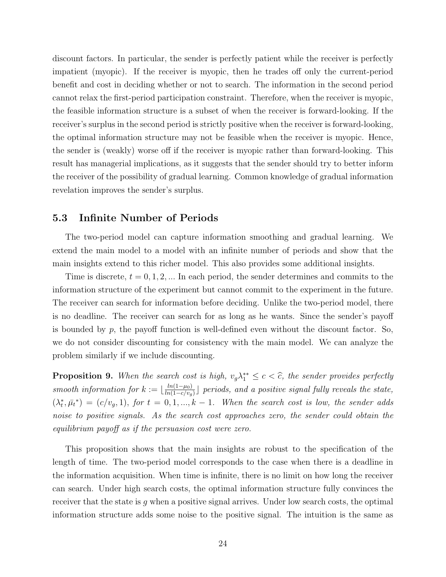discount factors. In particular, the sender is perfectly patient while the receiver is perfectly impatient (myopic). If the receiver is myopic, then he trades off only the current-period benefit and cost in deciding whether or not to search. The information in the second period cannot relax the first-period participation constraint. Therefore, when the receiver is myopic, the feasible information structure is a subset of when the receiver is forward-looking. If the receiver's surplus in the second period is strictly positive when the receiver is forward-looking, the optimal information structure may not be feasible when the receiver is myopic. Hence, the sender is (weakly) worse off if the receiver is myopic rather than forward-looking. This result has managerial implications, as it suggests that the sender should try to better inform the receiver of the possibility of gradual learning. Common knowledge of gradual information revelation improves the sender's surplus.

### 5.3 Infinite Number of Periods

The two-period model can capture information smoothing and gradual learning. We extend the main model to a model with an infinite number of periods and show that the main insights extend to this richer model. This also provides some additional insights.

Time is discrete,  $t = 0, 1, 2, ...$  In each period, the sender determines and commits to the information structure of the experiment but cannot commit to the experiment in the future. The receiver can search for information before deciding. Unlike the two-period model, there is no deadline. The receiver can search for as long as he wants. Since the sender's payoff is bounded by  $p$ , the payoff function is well-defined even without the discount factor. So, we do not consider discounting for consistency with the main model. We can analyze the problem similarly if we include discounting.

<span id="page-25-0"></span>**Proposition 9.** When the search cost is high,  $v_g \lambda_1^{**} \leq c < \hat{c}$ , the sender provides perfectly smooth information for  $k := \frac{\ln(1-\mu_0)}{\ln(1-\mu_0)}$  $\frac{ln(1-\mu_0)}{ln(1-c/v_g)}$  periods, and a positive signal fully reveals the state,  $(\lambda_t^*, \bar{\mu}_t^*) = (c/v_g, 1),$  for  $t = 0, 1, ..., k-1$ . When the search cost is low, the sender adds noise to positive signals. As the search cost approaches zero, the sender could obtain the equilibrium payoff as if the persuasion cost were zero.

This proposition shows that the main insights are robust to the specification of the length of time. The two-period model corresponds to the case when there is a deadline in the information acquisition. When time is infinite, there is no limit on how long the receiver can search. Under high search costs, the optimal information structure fully convinces the receiver that the state is  $q$  when a positive signal arrives. Under low search costs, the optimal information structure adds some noise to the positive signal. The intuition is the same as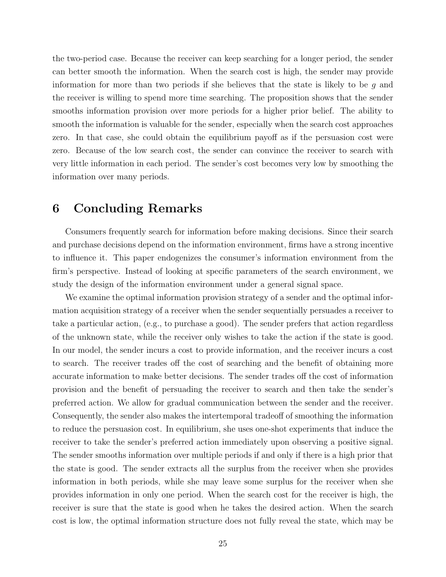the two-period case. Because the receiver can keep searching for a longer period, the sender can better smooth the information. When the search cost is high, the sender may provide information for more than two periods if she believes that the state is likely to be  $q$  and the receiver is willing to spend more time searching. The proposition shows that the sender smooths information provision over more periods for a higher prior belief. The ability to smooth the information is valuable for the sender, especially when the search cost approaches zero. In that case, she could obtain the equilibrium payoff as if the persuasion cost were zero. Because of the low search cost, the sender can convince the receiver to search with very little information in each period. The sender's cost becomes very low by smoothing the information over many periods.

# 6 Concluding Remarks

Consumers frequently search for information before making decisions. Since their search and purchase decisions depend on the information environment, firms have a strong incentive to influence it. This paper endogenizes the consumer's information environment from the firm's perspective. Instead of looking at specific parameters of the search environment, we study the design of the information environment under a general signal space.

We examine the optimal information provision strategy of a sender and the optimal information acquisition strategy of a receiver when the sender sequentially persuades a receiver to take a particular action, (e.g., to purchase a good). The sender prefers that action regardless of the unknown state, while the receiver only wishes to take the action if the state is good. In our model, the sender incurs a cost to provide information, and the receiver incurs a cost to search. The receiver trades off the cost of searching and the benefit of obtaining more accurate information to make better decisions. The sender trades off the cost of information provision and the benefit of persuading the receiver to search and then take the sender's preferred action. We allow for gradual communication between the sender and the receiver. Consequently, the sender also makes the intertemporal tradeoff of smoothing the information to reduce the persuasion cost. In equilibrium, she uses one-shot experiments that induce the receiver to take the sender's preferred action immediately upon observing a positive signal. The sender smooths information over multiple periods if and only if there is a high prior that the state is good. The sender extracts all the surplus from the receiver when she provides information in both periods, while she may leave some surplus for the receiver when she provides information in only one period. When the search cost for the receiver is high, the receiver is sure that the state is good when he takes the desired action. When the search cost is low, the optimal information structure does not fully reveal the state, which may be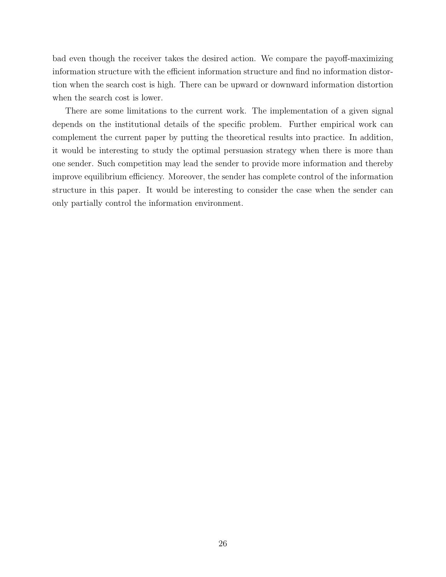bad even though the receiver takes the desired action. We compare the payoff-maximizing information structure with the efficient information structure and find no information distortion when the search cost is high. There can be upward or downward information distortion when the search cost is lower.

There are some limitations to the current work. The implementation of a given signal depends on the institutional details of the specific problem. Further empirical work can complement the current paper by putting the theoretical results into practice. In addition, it would be interesting to study the optimal persuasion strategy when there is more than one sender. Such competition may lead the sender to provide more information and thereby improve equilibrium efficiency. Moreover, the sender has complete control of the information structure in this paper. It would be interesting to consider the case when the sender can only partially control the information environment.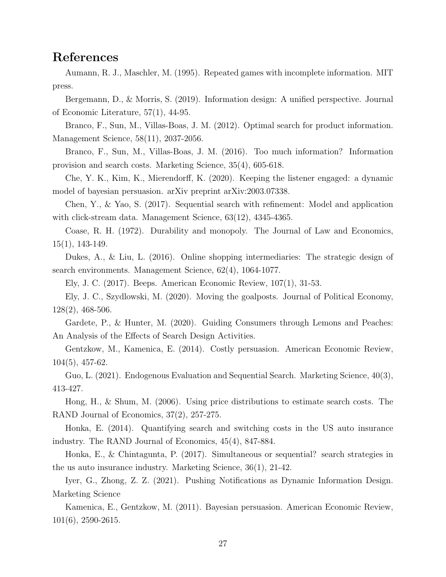# References

Aumann, R. J., Maschler, M. (1995). Repeated games with incomplete information. MIT press.

Bergemann, D., & Morris, S. (2019). Information design: A unified perspective. Journal of Economic Literature, 57(1), 44-95.

Branco, F., Sun, M., Villas-Boas, J. M. (2012). Optimal search for product information. Management Science, 58(11), 2037-2056.

Branco, F., Sun, M., Villas-Boas, J. M. (2016). Too much information? Information provision and search costs. Marketing Science, 35(4), 605-618.

Che, Y. K., Kim, K., Mierendorff, K. (2020). Keeping the listener engaged: a dynamic model of bayesian persuasion. arXiv preprint arXiv:2003.07338.

Chen, Y., & Yao, S. (2017). Sequential search with refinement: Model and application with click-stream data. Management Science, 63(12), 4345-4365.

Coase, R. H. (1972). Durability and monopoly. The Journal of Law and Economics, 15(1), 143-149.

Dukes, A., & Liu, L. (2016). Online shopping intermediaries: The strategic design of search environments. Management Science, 62(4), 1064-1077.

Ely, J. C. (2017). Beeps. American Economic Review, 107(1), 31-53.

Ely, J. C., Szydlowski, M. (2020). Moving the goalposts. Journal of Political Economy, 128(2), 468-506.

Gardete, P., & Hunter, M. (2020). Guiding Consumers through Lemons and Peaches: An Analysis of the Effects of Search Design Activities.

Gentzkow, M., Kamenica, E. (2014). Costly persuasion. American Economic Review, 104(5), 457-62.

Guo, L. (2021). Endogenous Evaluation and Sequential Search. Marketing Science, 40(3), 413-427.

Hong, H., & Shum, M. (2006). Using price distributions to estimate search costs. The RAND Journal of Economics, 37(2), 257-275.

Honka, E. (2014). Quantifying search and switching costs in the US auto insurance industry. The RAND Journal of Economics, 45(4), 847-884.

Honka, E., & Chintagunta, P. (2017). Simultaneous or sequential? search strategies in the us auto insurance industry. Marketing Science, 36(1), 21-42.

Iyer, G., Zhong, Z. Z. (2021). Pushing Notifications as Dynamic Information Design. Marketing Science

Kamenica, E., Gentzkow, M. (2011). Bayesian persuasion. American Economic Review, 101(6), 2590-2615.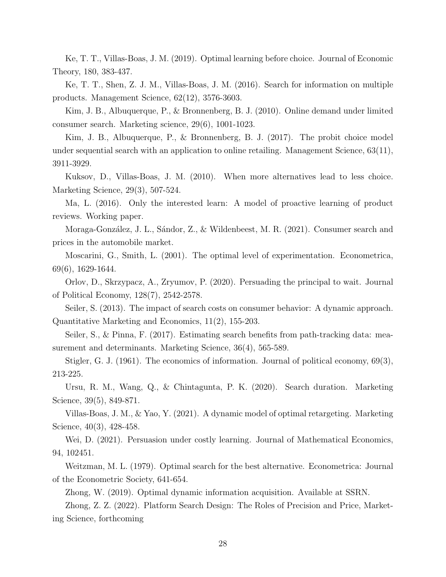Ke, T. T., Villas-Boas, J. M. (2019). Optimal learning before choice. Journal of Economic Theory, 180, 383-437.

Ke, T. T., Shen, Z. J. M., Villas-Boas, J. M. (2016). Search for information on multiple products. Management Science, 62(12), 3576-3603.

Kim, J. B., Albuquerque, P., & Bronnenberg, B. J. (2010). Online demand under limited consumer search. Marketing science, 29(6), 1001-1023.

Kim, J. B., Albuquerque, P., & Bronnenberg, B. J. (2017). The probit choice model under sequential search with an application to online retailing. Management Science, 63(11), 3911-3929.

Kuksov, D., Villas-Boas, J. M. (2010). When more alternatives lead to less choice. Marketing Science, 29(3), 507-524.

Ma, L. (2016). Only the interested learn: A model of proactive learning of product reviews. Working paper.

Moraga-González, J. L., Sándor, Z., & Wildenbeest, M. R. (2021). Consumer search and prices in the automobile market.

Moscarini, G., Smith, L. (2001). The optimal level of experimentation. Econometrica, 69(6), 1629-1644.

Orlov, D., Skrzypacz, A., Zryumov, P. (2020). Persuading the principal to wait. Journal of Political Economy, 128(7), 2542-2578.

Seiler, S. (2013). The impact of search costs on consumer behavior: A dynamic approach. Quantitative Marketing and Economics, 11(2), 155-203.

Seiler, S., & Pinna, F. (2017). Estimating search benefits from path-tracking data: measurement and determinants. Marketing Science, 36(4), 565-589.

Stigler, G. J. (1961). The economics of information. Journal of political economy, 69(3), 213-225.

Ursu, R. M., Wang, Q., & Chintagunta, P. K. (2020). Search duration. Marketing Science, 39(5), 849-871.

Villas-Boas, J. M., & Yao, Y. (2021). A dynamic model of optimal retargeting. Marketing Science, 40(3), 428-458.

Wei, D. (2021). Persuasion under costly learning. Journal of Mathematical Economics, 94, 102451.

Weitzman, M. L. (1979). Optimal search for the best alternative. Econometrica: Journal of the Econometric Society, 641-654.

Zhong, W. (2019). Optimal dynamic information acquisition. Available at SSRN.

Zhong, Z. Z. (2022). Platform Search Design: The Roles of Precision and Price, Marketing Science, forthcoming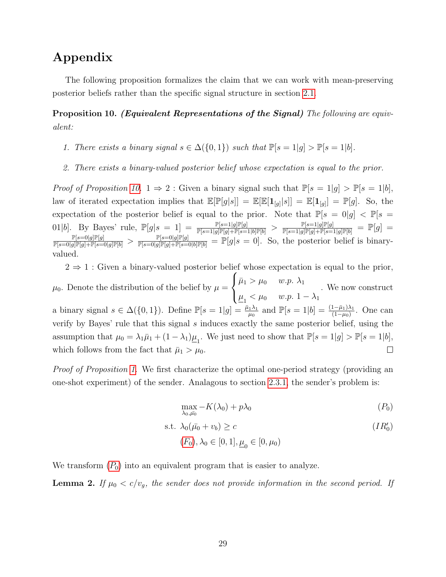# Appendix

The following proposition formalizes the claim that we can work with mean-preserving posterior beliefs rather than the specific signal structure in section [2.1.](#page-7-2)

<span id="page-30-0"></span>Proposition 10. (Equivalent Representations of the Signal) The following are equivalent:

- 1. There exists a binary signal  $s \in \Delta({0,1})$  such that  $\mathbb{P}[s=1|g] > \mathbb{P}[s=1|b]$ .
- 2. There exists a binary-valued posterior belief whose expectation is equal to the prior.

*Proof of Proposition [10.](#page-30-0)* 1  $\Rightarrow$  2 : Given a binary signal such that  $\mathbb{P}[s=1|g] > \mathbb{P}[s=1|b]$ , law of iterated expectation implies that  $\mathbb{E}[\mathbb{P}[g|s]] = \mathbb{E}[\mathbb{E}[\mathbf{1}_{[g]}|s]] = \mathbb{E}[\mathbf{1}_{[g]}] = \mathbb{P}[g]$ . So, the expectation of the posterior belief is equal to the prior. Note that  $\mathbb{P}[s = 0|g] < \mathbb{P}[s =$ 01|b]. By Bayes' rule,  $\mathbb{P}[g|s=1] = \frac{\mathbb{P}[s=1|g]\mathbb{P}[g]}{\mathbb{P}[s=1|g]\mathbb{P}[g]+\mathbb{P}[s=1|b]\mathbb{P}[b]} > \frac{\mathbb{P}[s=1|g]\mathbb{P}[g]}{\mathbb{P}[s=1|g]\mathbb{P}[g]+\mathbb{P}[s=1|g]\mathbb{P}[b]} = \mathbb{P}[g] =$  $\frac{\mathbb{P}[s=0|g]\mathbb{P}[g]}{\mathbb{P}[s=0|g]\mathbb{P}[g]+\mathbb{P}[s=0|g]\mathbb{P}[b]} > \frac{\mathbb{P}[s=0|g]\mathbb{P}[g]}{\mathbb{P}[s=0|g]\mathbb{P}[g]+\mathbb{P}[s=0|b]\mathbb{P}[b]} = \mathbb{P}[g|s=0].$  So, the posterior belief is binaryvalued.

 $2 \Rightarrow 1$ : Given a binary-valued posterior belief whose expectation is equal to the prior,  $\sqrt{ }$  $\bar{\mu}_1 > \mu_0$  w.p.  $\lambda_1$  $\int$  $\mu_0$ . Denote the distribution of the belief by  $\mu =$ . We now construct  $\underline{\mu}_1 < \mu_0 \quad w.p.$  1 –  $\lambda_1$  $\mathcal{L}$ a binary signal  $s \in \Delta({0, 1})$ . Define  $\mathbb{P}[s = 1|g] = \frac{\bar{\mu}_1 \lambda_1}{\mu_0}$  and  $\mathbb{P}[s = 1|b] = \frac{(1 - \bar{\mu}_1)\lambda_1}{(1 - \mu_0)}$ . One can verify by Bayes' rule that this signal s induces exactly the same posterior belief, using the assumption that  $\mu_0 = \lambda_1 \bar{\mu}_1 + (1 - \lambda_1) \underline{\mu}_1$ . We just need to show that  $\mathbb{P}[s = 1|g] > \mathbb{P}[s = 1|b]$ , which follows from the fact that  $\bar{\mu}_1 > \mu_0$ .  $\Box$ 

Proof of Proposition [1.](#page-13-0) We first characterize the optimal one-period strategy (providing an one-shot experiment) of the sender. Analagous to section [2.3.1,](#page-10-0) the sender's problem is:

<span id="page-30-1"></span>
$$
\max_{\lambda_0,\bar{\mu_0}} -K(\lambda_0) + p\lambda_0 \tag{P_0}
$$

s.t. 
$$
\lambda_0(\bar{\mu}_0 + v_b) \ge c
$$
   
  $(F_0), \lambda_0 \in [0, 1], \underline{\mu}_0 \in [0, \mu_0)$    
  $(IR'_0)$ 

We transform  $(P_0)$  $(P_0)$  $(P_0)$  into an equivalent program that is easier to analyze.

<span id="page-30-2"></span>**Lemma 2.** If  $\mu_0 < c/v_g$ , the sender does not provide information in the second period. If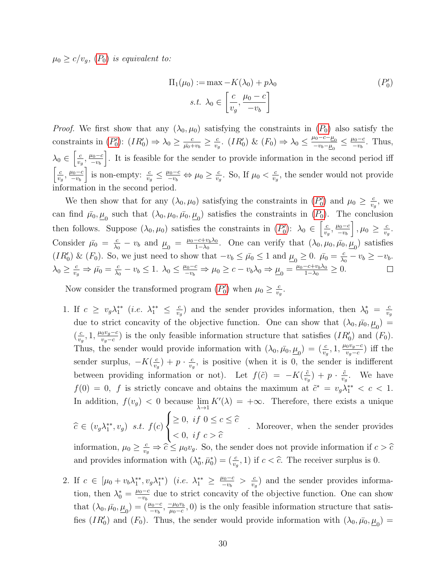$\mu_0 \geq c/v_g$ ,  $(P_0)$  $(P_0)$  $(P_0)$  is equivalent to:

<span id="page-31-0"></span>
$$
\Pi_1(\mu_0) := \max -K(\lambda_0) + p\lambda_0
$$
  
s.t.  $\lambda_0 \in \left[\frac{c}{v_g}, \frac{\mu_0 - c}{-v_b}\right]$  (P'\_0)

*[P](#page-30-1)roof.* We first show that any  $(\lambda_0, \mu_0)$  satisfying the constraints in  $(P_0)$  also satisfy the constraints in  $(P'_0)$  $(P'_0)$  $(P'_0)$ :  $(IR'_0) \Rightarrow \lambda_0 \geq \frac{c}{\mu_0 + \mu_0}$  $\frac{c}{\bar{\mu_0}+v_b} \geq \frac{c}{v_g}$  $\frac{c}{v_g}$ . (*IR*<sup>'</sup><sub>0</sub>) & (*F*<sub>0</sub>)  $\Rightarrow \lambda_0 \leq \frac{\mu_0 - c - \mu_0}{-v_b - \mu_0} \leq \frac{\mu_0 - c}{-v_b}$  $\frac{\mu_0-c}{-v_b}$ . Thus,  $\lambda_0 \in \left[\frac{c}{n}\right]$  $\frac{c}{v_g}, \frac{\mu_0-c}{-v_b}$  $-v<sub>b</sub>$ . It is feasible for the sender to provide information in the second period iff  $\lceil \cdot \rceil$  $\frac{c}{v_g}, \frac{\mu_0-c}{-v_b}$  $-v<sub>b</sub>$ is non-empty:  $\frac{c}{v_g} \leq \frac{\mu_0 - c}{-v_b} \Leftrightarrow \mu_0 \geq \frac{c}{v_g}$  $\frac{c}{v_g}$ . So, If  $\mu_0 < \frac{c}{v_g}$  $\frac{c}{v_g}$ , the sender would not provide information in the second period.

We then show that for any  $(\lambda_0, \mu_0)$  satisfying the constraints in  $(P'_0)$  $(P'_0)$  $(P'_0)$  and  $\mu_0 \geq \frac{c}{v}$  $\frac{c}{v_g}$ , we can find  $\bar{\mu}_0, \underline{\mu}_0$  such that  $(\lambda_0, \mu_0, \bar{\mu}_0, \underline{\mu}_0)$  satisfies the constraints in  $(P_0)$  $(P_0)$  $(P_0)$ . The conclusion then follows. Suppose  $(\lambda_0, \mu_0)$  satisfies the constraints in  $(P'_0)$  $(P'_0)$  $(P'_0)$ :  $\lambda_0 \in \left[\frac{c}{v_0}\right]$  $\Big\}$ ,  $\mu_0 \geq \frac{c}{n}$  $\frac{c}{v_g}, \frac{\mu_0-c}{-v_b}$  $\frac{c}{v_g}$ .  $-v<sub>b</sub>$  $\frac{c}{\lambda_0} - v_b$  and  $\underline{\mu}_0 = \frac{\mu_0 - c + v_b \lambda_0}{1 - \lambda_0}$ Consider  $\bar{\mu}_0 = \frac{c}{\lambda_0}$  $\frac{-c+v_b\lambda_0}{1-\lambda_0}$ . One can verify that  $(\lambda_0, \mu_0, \bar{\mu_0}, \underline{\mu_0})$  satisfies (IR') & (F<sub>0</sub>). So, we just need to show that  $-v_b \leq \bar{\mu}_0 \leq 1$  and  $\underline{\mu}_0 \geq 0$ .  $\bar{\mu}_0 = \frac{c}{\lambda_0}$  $\frac{c}{\lambda_0} - v_b \geq -v_b.$  $\frac{c}{\lambda_0} - v_b \leq 1$ .  $\lambda_0 \leq \frac{\mu_0 - c}{-v_b} \Rightarrow \mu_0 \geq c - v_b \lambda_0 \Rightarrow \underline{\mu}_0 = \frac{\mu_0 - c + v_b \lambda_0}{1 - \lambda_0}$  $\lambda_0 \geq \frac{c}{v_g} \Rightarrow \bar{\mu_0} = \frac{c}{\lambda_0}$  $\frac{-c+v_b\lambda_0}{1-\lambda_0}\geq 0.$  $\Box$ 

Now consider the transformed program  $(P'_0)$  $(P'_0)$  $(P'_0)$  when  $\mu_0 \geq \frac{c}{v_c}$  $\frac{c}{v_g}$ .

1. If  $c \geq v_g \lambda_1^{**}$  (*i.e.*  $\lambda_1^{**} \leq \frac{c}{v_e}$  $\frac{c}{v_g}$ ) and the sender provides information, then  $\lambda_0^* = \frac{c}{v_g}$  $v_g$ due to strict concavity of the objective function. One can show that  $(\lambda_0, \bar{\mu_0}, \underline{\mu_0}) =$  $\left(\frac{c}{n}\right)$  $\frac{c}{v_g}$ , 1,  $\frac{\mu_0 v_g - c}{v_g - c}$  $\frac{v_y-c}{v_y-c}$ ) is the only feasible information structure that satisfies  $(IR'_0)$  and  $(F_0)$ . Thus, the sender would provide information with  $(\lambda_0, \bar{\mu_0}, \underline{\mu_0}) = (\frac{c}{v_g}, 1, \frac{\mu_0 v_g - c}{v_g - c})$  $\frac{v_0v_g-c}{v_g-c}$ ) iff the sender surplus,  $-K(\frac{c}{n})$  $\frac{c}{v_g}$ ) + p  $\cdot$   $\frac{c}{v_g}$  $\frac{c}{v_g}$ , is positive (when it is 0, the sender is indifferent between providing information or not). Let  $f(\tilde{c}) = -K(\frac{\tilde{c}}{n})$  $\frac{\tilde{c}}{v_g}) + p \cdot \frac{\tilde{c}}{v_g}$  $\frac{\tilde{c}}{v_g}$ . We have  $f(0) = 0$ , f is strictly concave and obtains the maximum at  $\tilde{c}^* = v_g \lambda_1^{**} < c < 1$ . In addition,  $f(v_g) < 0$  because  $\lim_{\lambda \to 1} K'(\lambda) = +\infty$ . Therefore, there exists a unique

$$
\widehat{c} \in (v_g \lambda_1^{**}, v_g) \text{ s.t. } f(c) \begin{cases} \geq 0, \text{ if } 0 \leq c \leq \widehat{c} \\ < 0, \text{ if } c > \widehat{c} \\ < 0, \text{ if } c > \widehat{c} \end{cases}
$$
. Moreover, when the sender provides information,  $\mu_0 \geq \frac{c}{v_g} \Rightarrow \widehat{c} \leq \mu_0 v_g$ . So, the sender does not provide information if  $c > \widehat{c}$ 

and provides information with  $(\lambda_0^*, \bar{\mu}_0^*) = (\frac{c}{v_g}, 1)$  if  $c < \hat{c}$ . The receiver surplus is 0.

2. If  $c \in [\mu_0 + v_b \lambda_1^{**}, v_g \lambda_1^{**})$  (*i.e.*  $\lambda_1^{**} \ge \frac{\mu_0 - c}{-v_b}$  $\frac{u_0-c}{-v_b} > \frac{c}{v_g}$  $\frac{c}{v_g}$ ) and the sender provides information, then  $\lambda_0^* = \frac{\mu_0 - c}{-v_b}$  $\frac{\mu_0 - c}{\mu_0 - v_b}$  due to strict concavity of the objective function. One can show that  $(\lambda_0, \bar{\mu_0}, \underline{\mu_0}) = (\frac{\mu_0 - c}{-v_b}, \frac{-\mu_0 v_b}{\mu_0 - c})$  $\frac{-\mu_0 v_b}{\mu_0 - c}$ , 0) is the only feasible information structure that satisfies  $(IR'_0)$  and  $(F_0)$ . Thus, the sender would provide information with  $(\lambda_0, \bar{\mu_0}, \underline{\mu_0}) =$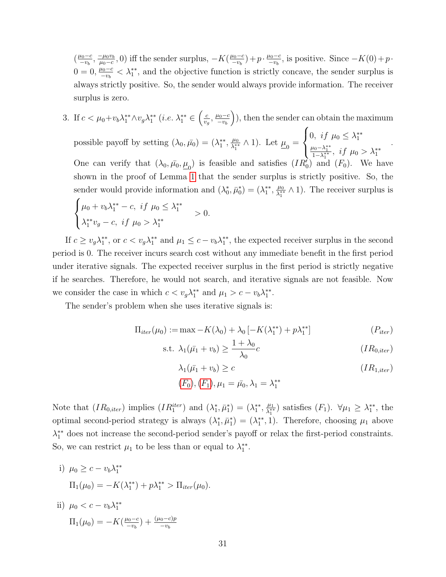$\left(\frac{\mu_0-c}{\mu_0}\right)$  $\frac{\mu_0-c}{-v_b}, \frac{-\mu_0v_b}{\mu_0-c}$  $\frac{-\mu_0 v_b}{\mu_0 - c}$ , 0) iff the sender surplus,  $-K(\frac{\mu_0 - c}{-v_b})$  $(\frac{\mu_0-c}{-v_b})+p \cdot \frac{\mu_0-c}{-v_b}$  $\frac{\mu_0 - c}{-\nu_b}$ , is positive. Since  $-K(0) + p$ .  $0 = 0, \frac{\mu_0 - c}{\sigma}$  $\frac{\mu_0 - c}{\mu_0 - v_b} < \lambda_1^{**}$ , and the objective function is strictly concave, the sender surplus is always strictly positive. So, the sender would always provide information. The receiver surplus is zero.

3. If  $c < \mu_0+v_b\lambda_1^{**}\wedge v_g\lambda_1^{**}$  (*i.e.*  $\lambda_1^{**} \in \left(\frac{c}{v_c}\right)$  $\frac{c}{v_g}, \frac{\mu_0-c}{-v_b}$  $-v<sub>b</sub>$  ), then the sender can obtain the maximum  $\sqrt{ }$ 

possible payoff by setting  $(\lambda_0, \bar{\mu_0}) = (\lambda_1^{**}, \frac{\mu_0}{\lambda_1^{**}})$  $\frac{\mu_0}{\lambda_1^{**}} \wedge 1$ . Let  $\mu_0 =$  $\int$  $\mathcal{L}$ 0, if  $\mu_0 \leq \lambda_1^{**}$  $\frac{\mu_0 - \lambda_1^{**}}{1 - \lambda_1^{**}}, \text{ if } \mu_0 > \lambda_1^{**}$ . One can verify that  $(\lambda_0, \bar{\mu_0}, \underline{\mu_0})$  is feasible and satisfies  $(IR'_0)$  and  $(F_0)$ . We have shown in the proof of Lemma [1](#page-14-2) that the sender surplus is strictly positive. So, the sender would provide information and  $(\lambda_0^*, \bar{\mu}_0^*) = (\lambda_1^{**}, \frac{\mu_0}{\lambda_1^{**}})$  $\frac{\mu_0}{\lambda_1^{**}} \wedge 1$ ). The receiver surplus is

$$
\begin{cases} \mu_0 + v_b \lambda_1^{**} - c, \text{ if } \mu_0 \le \lambda_1^{**} \\ \lambda_1^{**} v_g - c, \text{ if } \mu_0 > \lambda_1^{**} \end{cases} > 0.
$$

If  $c \ge v_g \lambda_1^{**}$ , or  $c < v_g \lambda_1^{**}$  and  $\mu_1 \le c - v_b \lambda_1^{**}$ , the expected receiver surplus in the second period is 0. The receiver incurs search cost without any immediate benefit in the first period under iterative signals. The expected receiver surplus in the first period is strictly negative if he searches. Therefore, he would not search, and iterative signals are not feasible. Now we consider the case in which  $c < v_g \lambda_1^{**}$  and  $\mu_1 > c - v_b \lambda_1^{**}$ .

The sender's problem when she uses iterative signals is:

$$
\Pi_{iter}(\mu_0) := \max -K(\lambda_0) + \lambda_0 \left[ -K(\lambda_1^{**}) + p\lambda_1^{**} \right]
$$
\n
$$
(P_{iter})
$$

s.t. 
$$
\lambda_1(\bar{\mu_1} + v_b) \ge \frac{1 + \lambda_0}{\lambda_0}c
$$
  $(IR_{0,iter})$ 

<span id="page-32-1"></span><span id="page-32-0"></span>
$$
\lambda_1(\bar{\mu_1} + v_b) \ge c
$$
\n
$$
(F_0), (F_1), \mu_1 = \bar{\mu_0}, \lambda_1 = \lambda_1^{**}
$$
\n
$$
(IR_{1,iter})
$$

Note that  $(IR_{0,iter})$  implies  $(IR_1^{iter})$  and  $(\lambda_1^*, \bar{\mu}_1^*) = (\lambda_1^{**}, \lambda_1^{**})$  $\frac{\mu_1}{\lambda_1^{**}}$ ) satisfies  $(F_1)$ .  $\forall \mu_1 \geq \lambda_1^{**}$ , the optimal second-period strategy is always  $(\lambda_1^*, \bar{\mu}_1^*) = (\lambda_1^{**}, 1)$ . Therefore, choosing  $\mu_1$  above  $\lambda_1^{**}$  does not increase the second-period sender's payoff or relax the first-period constraints. So, we can restrict  $\mu_1$  to be less than or equal to  $\lambda_1^{**}$ .

- i)  $\mu_0 \geq c v_b \lambda_1^{**}$  $\Pi_1(\mu_0) = -K(\lambda_1^{**}) + p\lambda_1^{**} > \Pi_{iter}(\mu_0).$
- ii)  $\mu_0 < c v_b \lambda_1^{**}$  $\Pi_1(\mu_0) = -K(\frac{\mu_0-c}{-v_0})$  $\frac{\mu_0 - c}{-v_b}$  +  $\frac{(\mu_0 - c)p}{-v_b}$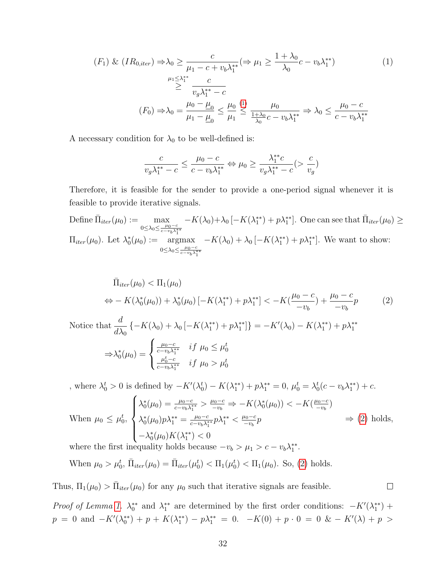$$
(F_1) \& (IR_{0,iter}) \Rightarrow \lambda_0 \ge \frac{c}{\mu_1 - c + v_b \lambda_1^{**}} (\Rightarrow \mu_1 \ge \frac{1 + \lambda_0}{\lambda_0} c - v_b \lambda_1^{**})
$$
\n
$$
\ge \frac{\mu_1 \le \lambda_1^{**}}{v_g \lambda_1^{**} - c}
$$
\n
$$
(F_0) \Rightarrow \lambda_0 = \frac{\mu_0 - \mu_0}{\mu_1 - \mu_0} \le \frac{\mu_0}{\mu_1} \le \frac{\mu_0}{\frac{1 + \lambda_0}{\lambda_0} c - v_b \lambda_1^{**}} \Rightarrow \lambda_0 \le \frac{\mu_0 - c}{c - v_b \lambda_1^{**}}
$$
\n
$$
(1)
$$

A necessary condition for  $\lambda_0$  to be well-defined is:

<span id="page-33-0"></span>
$$
\frac{c}{v_g\lambda_1^{**}-c}\leq\frac{\mu_0-c}{c-v_b\lambda_1^{**}}\Leftrightarrow \mu_0\geq\frac{\lambda_1^{**}c}{v_g\lambda_1^{**}-c}(>\frac{c}{v_g})
$$

Therefore, it is feasible for the sender to provide a one-period signal whenever it is feasible to provide iterative signals.

Define  $\bar{\Pi}_{iter}(\mu_0) := \max$  $0 \leq \lambda_0 \leq \frac{\mu_0 - c}{c - v_b \lambda_1^{**}}$  $-K(\lambda_0)+\lambda_0[-K(\lambda_1^{**})+p\lambda_1^{**}]$ . One can see that  $\bar{\Pi}_{iter}(\mu_0) \ge$  $\Pi_{iter}(\mu_0)$ . Let  $\lambda_0^*(\mu_0) := \text{argmax}$  $0 \leq \lambda_0 \leq \frac{\mu_0 - c}{c - v_b \lambda_1^{**}}$  $-K(\lambda_0) + \lambda_0 \left[ -K(\lambda_1^{**}) + p \lambda_1^{**} \right]$ . We want to show:

$$
\bar{\Pi}_{iter}(\mu_0) < \Pi_1(\mu_0) \\
\Leftrightarrow -K(\lambda_0^*(\mu_0)) + \lambda_0^*(\mu_0) \left[ -K(\lambda_1^{**}) + p\lambda_1^{**} \right] < -K\left(\frac{\mu_0 - c}{-v_b}\right) + \frac{\mu_0 - c}{-v_b} \\
p \tag{2}
$$

Notice that 
$$
\frac{d}{d\lambda_0} \left\{ -K(\lambda_0) + \lambda_0 \left[ -K(\lambda_1^{**}) + p\lambda_1^{**} \right] \right\} = -K'(\lambda_0) - K(\lambda_1^{**}) + p\lambda_1^{**}
$$

$$
\Rightarrow \lambda_0^*(\mu_0) = \begin{cases} \frac{\mu_0 - c}{c - v_b \lambda_1^{**}} & \text{if } \mu_0 \le \mu_0^t \\ \frac{\mu_0^t - c}{c - v_b \lambda_1^{**}} & \text{if } \mu_0 > \mu_0^t \end{cases}
$$

, where  $\lambda_0^t > 0$  is defined by  $-K'(\lambda_0^t) - K(\lambda_1^{**}) + p\lambda_1^{**} = 0$ ,  $\mu_0^t = \lambda_0^t(c - v_b\lambda_1^{**}) + c$ . When  $\mu_0 \leq \mu_0^t$ ,  $\sqrt{ }$  $\int$  $\overline{\mathcal{L}}$  $\lambda_0^*(\mu_0) = \frac{\mu_0 - c}{c - v_b \lambda_1^{**}} > \frac{\mu_0 - c}{-v_b} \Rightarrow -K(\lambda_0^*(\mu_0)) < -K(\frac{\mu_0 - c}{-v_b})$  $\frac{\mu_0-c}{-v_b}$  $\lambda_0^*(\mu_0) p \lambda_1^{**} = \frac{\mu_0 - c}{c - v_b \lambda_1^*}$  $\frac{\mu_0-c}{c-v_b\lambda_1^{**}}p\lambda_1^{**}<\frac{\mu_0-c}{-v_b}$  $\frac{\mu_0-c}{-v_b}p$  $-\lambda_0^*(\mu_0)K(\lambda_1^{**}) < 0$  $\Rightarrow$  [\(2\)](#page-33-1) holds,

where the first inequality holds because  $-v_b > \mu_1 > c - v_b \lambda_1^{**}$ .

 $0(\mu_0)$ i ( $\lambda_1$ 

When  $\mu_0 > \mu_0^t$ ,  $\bar{\Pi}_{iter}(\mu_0) = \bar{\Pi}_{iter}(\mu_0^t) < \Pi_1(\mu_0^t) < \Pi_1(\mu_0)$ . So, [\(2\)](#page-33-1) holds.

Thus,  $\Pi_1(\mu_0) > \bar{\Pi}_{iter}(\mu_0)$  for any  $\mu_0$  such that iterative signals are feasible.

Proof of Lemma [1.](#page-14-2)  $\lambda_0^{**}$  and  $\lambda_1^{**}$  are determined by the first order conditions:  $-K'(\lambda_1^{**})$  +  $p = 0$  and  $-K'(\lambda_0^{**}) + p + K(\lambda_1^{**}) - p\lambda_1^{**} = 0$ .  $-K(0) + p \cdot 0 = 0$  &  $-K'(\lambda) + p$ 

<span id="page-33-1"></span> $\Box$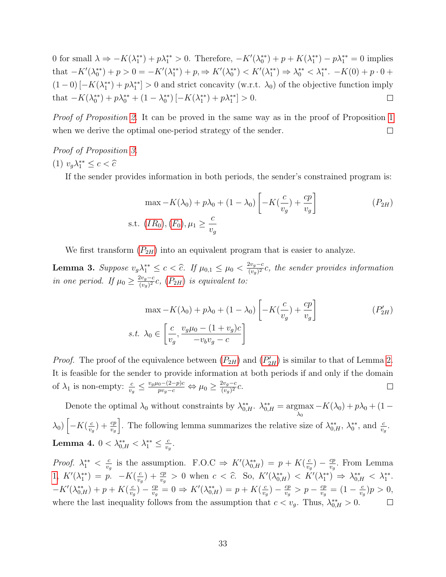0 for small  $\lambda \Rightarrow -K(\lambda_1^{**}) + p\lambda_1^{**} > 0$ . Therefore,  $-K'(\lambda_0^{**}) + p + K(\lambda_1^{**}) - p\lambda_1^{**} = 0$  implies that  $-K'(\lambda_0^{**}) + p > 0 = -K'(\lambda_1^{**}) + p \Rightarrow K'(\lambda_0^{**}) < K'(\lambda_1^{**}) \Rightarrow \lambda_0^{**} < \lambda_1^{**}$ .  $-K(0) + p \cdot 0 +$  $(1-0)\left[-K(\lambda_1^{**})+p\lambda_1^{**}\right]>0$  and strict concavity (w.r.t.  $\lambda_0$ ) of the objective function imply that  $-K(\lambda_0^{**}) + p\lambda_0^{**} + (1 - \lambda_0^{**}) [-K(\lambda_1^{**}) + p\lambda_1^{**}] > 0.$  $\Box$ 

Proof of Proposition [2.](#page-14-1) It can be proved in the same way as in the proof of Proposition [1](#page-13-0) when we derive the optimal one-period strategy of the sender.  $\Box$ 

# Proof of Proposition [3.](#page-16-0)

$$
(1) v_g \lambda_1^{**} \le c < \hat{c}
$$

If the sender provides information in both periods, the sender's constrained program is:

<span id="page-34-0"></span>
$$
\max -K(\lambda_0) + p\lambda_0 + (1 - \lambda_0) \left[ -K(\frac{c}{v_g}) + \frac{cp}{v_g} \right]
$$
  
s.t.  $(IR_0), (F_0), \mu_1 \ge \frac{c}{v_g}$  (P<sub>2H</sub>)

We first transform  $(P_{2H})$  $(P_{2H})$  $(P_{2H})$  into an equivalent program that is easier to analyze.

**Lemma 3.** Suppose  $v_g \lambda_1^{**} \leq c < \hat{c}$ . If  $\mu_{0,1} \leq \mu_0 < \frac{2v_g - c}{(v_g)^2}$  $\frac{2v_g-c}{(v_g)^2}c$ , the sender provides information in one period. If  $\mu_0 \geq \frac{2v_g-c}{(\mu_0)^2}$  $\frac{zv_g-c}{(v_g)^2}c$ ,  $(P_{2H})$  $(P_{2H})$  $(P_{2H})$  is equivalent to:

<span id="page-34-1"></span>
$$
\max -K(\lambda_0) + p\lambda_0 + (1 - \lambda_0) \left[ -K(\frac{c}{v_g}) + \frac{cp}{v_g} \right]
$$
  
*s.t.*  $\lambda_0 \in \left[ \frac{c}{v_g}, \frac{v_g \mu_0 - (1 + v_g)c}{-v_b v_g - c} \right]$  (P'\_{2H})

*[P](#page-34-1)roof.* The proof of the equivalence between  $(P_{2H})$  and  $(P'_{2H})$  is similar to that of Lemma [2.](#page-30-2) It is feasible for the sender to provide information at both periods if and only if the domain of  $\lambda_1$  is non-empty:  $\frac{c}{v_g} \leq \frac{v_g \mu_0 - (2-p)c}{pv_g - c} \Leftrightarrow \mu_0 \geq \frac{2v_g - c}{(v_g)^2}$  $\frac{2v_g-c}{(v_g)^2}c.$  $\Box$ 

Denote the optimal  $\lambda_0$  without constraints by  $\lambda_{0,H}^{**}$ .  $\lambda_{0,H}^{**} = \underset{\lambda_0}{\text{argmax}}$  $-K(\lambda_0) + p\lambda_0 + (1 \lambda_0$ )  $\left[-K(\frac{c}{v}\right]$  $\frac{c}{v_g}$ ) +  $\frac{cp}{v_g}$ . The following lemma summarizes the relative size of  $\lambda_{0,H}^{**}$ ,  $\lambda_0^{**}$ , and  $\frac{c}{v_g}$ . Lemma 4.  $0<\lambda_{0,H}^{**}<\lambda_{1}^{**}\leq\frac{c}{v_{c}}$  $\frac{c}{v_g}$ .

<span id="page-34-2"></span> $\frac{c}{v_g}$ ) –  $\frac{cp}{v_g}$ *Proof.*  $\lambda_1^{**} < \frac{c}{v_c}$  $\frac{c}{v_g}$  is the assumption. F.O.C  $\Rightarrow K'(\lambda_{0,H}^{**}) = p + K(\frac{c}{v_g})$  $\frac{cp}{v_g}$ . From Lemma [1,](#page-14-2)  $K'(\lambda_1^{**}) = p$ .  $-K(\frac{c}{v_c})$  $\left(\frac{c}{v_g}\right) + \frac{cp}{v_g} > 0$  when  $c < \hat{c}$ . So,  $K'(\lambda_{0,H}^{**}) < K'(\lambda_1^{**}) \Rightarrow \lambda_{0,H}^{**} < \lambda_1^{**}$ .  $\frac{c}{v_g}$ ) —  $\frac{cp}{v_g}$  $\frac{c}{v_g}$ ) —  $\frac{cp}{v_g}$  $\frac{cp}{v_g} > p - \frac{cp}{v_g}$  $-K'(\lambda_{0,H}^{**}) + p + K(\frac{c}{v_c})$  $\frac{cp}{v_g} = 0 \Rightarrow K'(\lambda_{0,H}^{**}) = p + K(\frac{c}{v_g})$  $\frac{cp}{v_g} = (1 - \frac{c}{v_g})$  $\frac{c}{v_g}$ ) $p > 0$ , where the last inequality follows from the assumption that  $c < v_g$ . Thus,  $\lambda_{0,H}^{**} > 0$ .  $\Box$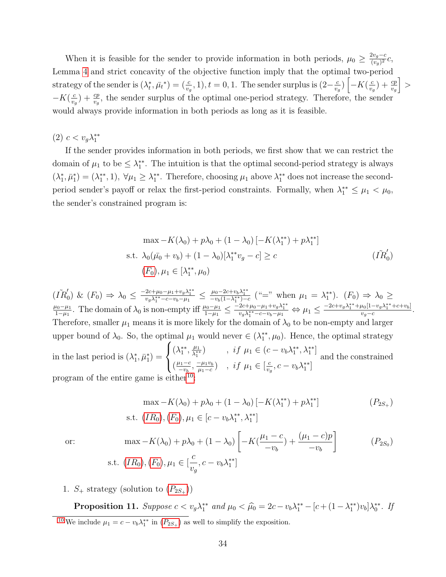When it is feasible for the sender to provide information in both periods,  $\mu_0 \geq \frac{2v_g-c}{(v_0)^2}$  $\frac{zv_g-c}{(v_g)^2}c,$ Lemma [4](#page-34-2) and strict concavity of the objective function imply that the optimal two-period strategy of the sender is  $(\lambda_t^*, \bar{\mu}_t^*) = (\frac{c}{v_g}, 1), t = 0, 1$ . The sender surplus is  $(2-\frac{c}{v_g})$  $\frac{c}{v_g}$ )  $\left[-K(\frac{c}{v_g})\right]$  $\frac{c}{v_g}$ ) +  $\frac{cp}{v_g}$ i >  $-K(\frac{c}{v})$  $\frac{c}{v_g}$  +  $\frac{cp}{v_g}$ , the sender surplus of the optimal one-period strategy. Therefore, the sender would always provide information in both periods as long as it is feasible.

(2)  $c < v_g \lambda_1^{**}$ 

If the sender provides information in both periods, we first show that we can restrict the domain of  $\mu_1$  to be  $\leq \lambda_1^{**}$ . The intuition is that the optimal second-period strategy is always  $(\lambda_1^*, \bar{\mu}_1^*) = (\lambda_1^{**}, 1), \forall \mu_1 \geq \lambda_1^{**}$ . Therefore, choosing  $\mu_1$  above  $\lambda_1^{**}$  does not increase the secondperiod sender's payoff or relax the first-period constraints. Formally, when  $\lambda_1^{**} \leq \mu_1 < \mu_0$ , the sender's constrained program is:

$$
\max -K(\lambda_0) + p\lambda_0 + (1 - \lambda_0) [-K(\lambda_1^{**}) + p\lambda_1^{**}]
$$
  
s.t.  $\lambda_0(\bar{\mu_0} + v_b) + (1 - \lambda_0)[\lambda_1^{**}v_g - c] \ge c$   $(\tilde{IR}'_0)$   
 $(F_0), \mu_1 \in [\lambda_1^{**}, \mu_0)$ 

 $(\tilde{IR}_0') \& (F_0) \Rightarrow \lambda_0 \le \frac{-2c + \mu_0 - \mu_1 + v_g \lambda_1^{**}}{v_g \lambda_1^{**} - c - v_b - \mu_1} \le \frac{\mu_0 - 2c + v_b \lambda_1^{**}}{-v_b (1 - \lambda_1^{**}) - c}$  ("=" when  $\mu_1 = \lambda_1^{**}$ ).  $(F_0) \Rightarrow \lambda_0 \ge$  $\mu_0-\mu_1$  $\frac{\mu_0 - \mu_1}{1 - \mu_1}$ . The domain of  $\lambda_0$  is non-empty iff  $\frac{\mu_0 - \mu_1}{1 - \mu_1} \leq \frac{-2c + \mu_0 - \mu_1 + v_g \lambda_1^{**}}{v_g \lambda_1^{**} - c - v_b - \mu_1}$   $\Leftrightarrow \mu_1 \leq \frac{-2c + v_g \lambda_1^{**} + \mu_0 [1 - v_g \lambda_1^{**} + c + v_b]}{v_g - c}$  $\frac{u_0[1-v_g\lambda_1]+c+v_b]}{v_g-c}.$ Therefore, smaller  $\mu_1$  means it is more likely for the domain of  $\lambda_0$  to be non-empty and larger upper bound of  $\lambda_0$ . So, the optimal  $\mu_1$  would never  $\in (\lambda_1^{**}, \mu_0)$ . Hence, the optimal strategy in the last period is  $(\lambda_1^*, \bar{\mu}_1^*) =$  $\sqrt{ }$  $\int$  $\mathcal{L}$  $(\lambda_1^{**}, \frac{\mu_1}{\lambda_1^{**}})$  $\frac{\mu_1}{\lambda_1^{**}}$  , if  $\mu_1 \in (c - v_b \lambda_1^{**}, \lambda_1^{**}]$  $\left(\frac{\mu_1-c}{\mu_2}\right)$  $\frac{\mu_1-c}{-v_b}, \frac{-\mu_1v_b}{\mu_1-c}$  $\frac{-\mu_1 v_b}{\mu_1-c}$ , if  $\mu_1 \in \left[\frac{c}{v_c}\right]$  $\frac{c}{v_g}, c - v_b \lambda_1^{**}$ and the constrained program of the entire game is either

<span id="page-35-3"></span><span id="page-35-2"></span><span id="page-35-1"></span>
$$
\max -K(\lambda_0) + p\lambda_0 + (1 - \lambda_0) [-K(\lambda_1^{**}) + p\lambda_1^{**}]
$$
\n
$$
\text{s.t. } (IR_0), (F_0), \mu_1 \in [c - v_b \lambda_1^{**}, \lambda_1^{**}]
$$
\n(P\_{2S\_+})

or:  
\n
$$
\max -K(\lambda_0) + p\lambda_0 + (1 - \lambda_0) \left[ -K(\frac{\mu_1 - c}{-v_b}) + \frac{(\mu_1 - c)p}{-v_b} \right]
$$
\n
$$
(P_{2S_0})
$$
\n
$$
\text{s.t. } (IR_0), (F_0), \mu_1 \in [\frac{c}{v_g}, c - v_b \lambda_1^{**}]
$$

<span id="page-35-4"></span>1.  $S_+$  strategy (solution to  $(P_{2S_+})$  $(P_{2S_+})$  $(P_{2S_+})$ )

<span id="page-35-0"></span>**Proposition 11.** Suppose  $c < v_g \lambda_1^{**}$  and  $\mu_0 < \hat{\mu_0} = 2c - v_b \lambda_1^{**} - [c + (1 - \lambda_1^{**})v_b] \lambda_0^{**}$ . If <sup>[10](#page-35-2)</sup> We include  $\mu_1 = c - v_b \lambda_1^{**}$  in  $(P_{2S_+})$  $(P_{2S_+})$  $(P_{2S_+})$  as well to simplify the exposition.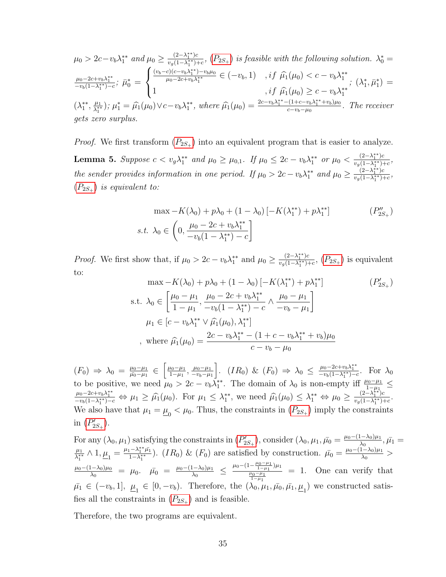$$
\mu_0 > 2c - v_b \lambda_1^{**} \text{ and } \mu_0 \ge \frac{(2 - \lambda_1^{**})c}{v_g(1 - \lambda_1^{**}) + c}, (P_{2S_+}) \text{ is feasible with the following solution. } \lambda_0^* =
$$
\n
$$
\frac{\mu_0 - 2c + v_b \lambda_1^{**}}{-v_b(1 - \lambda_1^{**}) - c}; \ \bar{\mu}_0^* = \begin{cases} \frac{(v_b - c)(c - v_b \lambda_1^{**}) - v_b \mu_0}{\mu_0 - 2c + v_b \lambda_1^{**}} \in (-v_b, 1) & , if \ \hat{\mu}_1(\mu_0) < c - v_b \lambda_1^{**} \\ 1 & , if \ \hat{\mu}_1(\mu_0) \ge c - v_b \lambda_1^{**} \end{cases}; \ (\lambda_1^*, \bar{\mu}_1^*) =
$$
\n
$$
(\lambda_1^{**}, \frac{\mu_1}{\lambda_1^{**}}); \ \mu_1^* = \hat{\mu}_1(\mu_0) \lor c - v_b \lambda_1^{**}, \text{ where } \hat{\mu}_1(\mu_0) = \frac{2c - v_b \lambda_1^{**} - (1 + c - v_b \lambda_1^{**} + v_b)\mu_0}{c - v_b - \mu_0}. \ \text{The receiver gets zero surplus.}
$$

<span id="page-36-2"></span>*[P](#page-35-1)roof.* We first transform  $(P_{2S_+})$  into an equivalent program that is easier to analyze. Lemma 5. Suppose  $c < v_g \lambda_1^{**}$  and  $\mu_0 \ge \mu_{0,1}$ . If  $\mu_0 \le 2c - v_b \lambda_1^{**}$  or  $\mu_0 < \frac{(2-\lambda_1^{**})c}{v_o(1-\lambda_1^{**})c}$  $\frac{(2-\lambda_1^+)^c}{v_g(1-\lambda_1^{**})+c},$ the sender provides information in one period. If  $\mu_0 > 2c - v_b \lambda_1^{**}$  and  $\mu_0 \geq \frac{(2-\lambda_1^{**})c}{v_o(1-\lambda_1^{**})c}$  $\frac{(2-\lambda_1^-)c}{v_g(1-\lambda_1^{**})+c},$  $(P_{2S_+})$  $(P_{2S_+})$  $(P_{2S_+})$  is equivalent to:

<span id="page-36-1"></span>
$$
\max - K(\lambda_0) + p\lambda_0 + (1 - \lambda_0) \left[ -K(\lambda_1^{**}) + p\lambda_1^{**} \right]
$$
\n
$$
s.t. \lambda_0 \in \left( 0, \frac{\mu_0 - 2c + v_b \lambda_1^{**}}{-v_b(1 - \lambda_1^{**}) - c} \right]
$$
\n(P''\_{2S+})

*Proof.* We first show that, if  $\mu_0 > 2c - v_b \lambda_1^{**}$  and  $\mu_0 \geq \frac{(2-\lambda_1^{**})c}{v_o(1-\lambda_1^{**})c}$  $\frac{(2-\lambda_1)^c}{v_g(1-\lambda_1^{**})+c}$ ,  $(P_{2S_+})$  $(P_{2S_+})$  $(P_{2S_+})$  is equivalent to:

<span id="page-36-0"></span>
$$
\max - K(\lambda_0) + p\lambda_0 + (1 - \lambda_0) \left[ -K(\lambda_1^{**}) + p\lambda_1^{**} \right]
$$
\n
$$
\text{s.t. } \lambda_0 \in \left[ \frac{\mu_0 - \mu_1}{1 - \mu_1}, \frac{\mu_0 - 2c + v_b \lambda_1^{**}}{-v_b(1 - \lambda_1^{**}) - c} \wedge \frac{\mu_0 - \mu_1}{-v_b - \mu_1} \right]
$$
\n
$$
\mu_1 \in \left[ c - v_b \lambda_1^{**} \vee \hat{\mu}_1(\mu_0), \lambda_1^{**} \right]
$$
\n
$$
\text{where } \hat{\mu}_1(\mu_0) = \frac{2c - v_b \lambda_1^{**} - (1 + c - v_b \lambda_1^{**} + v_b)\mu_0}{c - v_b - \mu_0}
$$

 $(F_0) \Rightarrow \lambda_0 = \frac{\mu_0 - \mu_1}{\mu_0 - \mu_1}$  $\frac{\mu_0 - \mu_1}{\mu_0 - \mu_1} \in \left[ \frac{\mu_0 - \mu_1}{1 - \mu_1} \right]$  $\frac{\mu_0 - \mu_1}{1 - \mu_1}, \frac{\mu_0 - \mu_1}{-v_b - \mu_1}$  $-v_b-\mu_1$ |. (IR<sub>0</sub>) & (F<sub>0</sub>) ⇒  $\lambda_0 \leq \frac{\mu_0 - 2c + v_b \lambda_1^{**}}{-v_b(1 - \lambda_1^{**}) - c}$ . For  $\lambda_0$ to be positive, we need  $\mu_0 > 2c - v_b \overline{\lambda_1^*}$ . The domain of  $\lambda_0$  is non-empty iff  $\frac{\mu_0 - \mu_1}{1 - \mu_1}$  $\frac{\mu_0 - 2c + v_b \lambda_1^{**}}{-v_b(1 - \lambda_1^{**}) - c} \Leftrightarrow \mu_1 \geq \widehat{\mu_1}(\mu_0)$ . For  $\mu_1 \leq \lambda_1^{**}$ , we need  $\widehat{\mu_1}(\mu_0) \leq \lambda_1^{**} \Leftrightarrow \mu_0 \geq \frac{(2 - \lambda_1^{**})c}{v_g(1 - \lambda_1^{**}) - c}$  $\frac{(2-\lambda_1^-)c}{v_g(1-\lambda_1^{**})+c}.$ We also have that  $\mu_1 = \underline{\mu}_0 < \mu_0$ . Thus, the constraints in  $(P_{2S_+})$  $(P_{2S_+})$  $(P_{2S_+})$  imply the constraints in  $(P'_{2S_+})$  $(P'_{2S_+})$  $(P'_{2S_+})$ .

For any  $(\lambda_0, \mu_1)$  satisfying the constraints in  $(P'_{2S_+})$  $(P'_{2S_+})$  $(P'_{2S_+})$ , consider  $(\lambda_0, \mu_1, \bar{\mu_0}) = \frac{\mu_0 - (1 - \lambda_0)\mu_1}{\lambda_0}$  $\frac{1-\lambda_0/\mu_1}{\lambda_0}, \bar{\mu_1} =$  $\mu_1$  $\frac{\mu_1}{\lambda_1^{**}} \wedge 1, \underline{\mu}_1 = \frac{\mu_1 - \lambda_1^{**} \bar{\mu_1}}{1 - \lambda_1^{**}}$  $\frac{(-\lambda_1^{**}\mu_1^{*})}{1-\lambda_1^{**}}$ .  $(IR_0) \& (F_0)$  are satisfied by construction.  $\bar{\mu_0} = \frac{\mu_0 - (1-\lambda_0)\mu_1}{\lambda_0}$  $\frac{1-\lambda_0/\mu_1}{\lambda_0}$  >  $\mu_0-(1-\lambda_0)\mu_0$  $\frac{(1-\lambda_0)\mu_0}{\lambda_0} = \mu_0$ .  $\bar{\mu_0} = \frac{\mu_0-(1-\lambda_0)\mu_1}{\lambda_0}$  $\frac{1-\lambda_0\mu_1}{\lambda_0} \leq \frac{\mu_0-(1-\frac{\mu_0-\mu_1}{1-\mu_1})\mu_1}{\frac{\mu_0-\mu_1}{1-\mu_1}}$  $\frac{\mu_0 - \mu_1}{1 - \mu_1}$ = 1. One can verify that  $\bar{\mu}_1 \in (-v_b, 1], \underline{\mu}_1 \in [0, -v_b)$ . Therefore, the  $(\lambda_0, \mu_1, \bar{\mu_0}, \bar{\mu_1}, \underline{\mu_1})$  we constructed satisfies all the constraints in  $(P_{2S_{+}})$  $(P_{2S_{+}})$  $(P_{2S_{+}})$  and is feasible.

Therefore, the two programs are equivalent.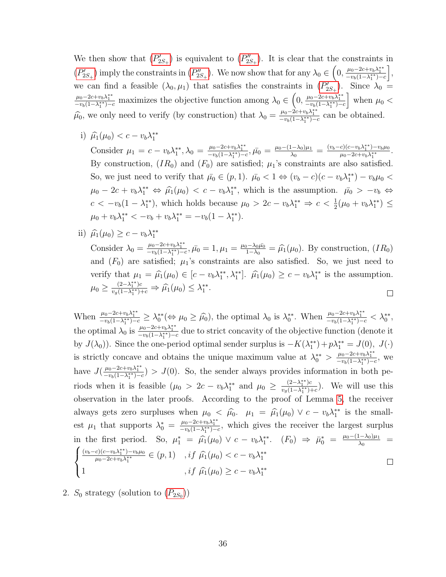We then show that  $(P'_{2S_+})$  $(P'_{2S_+})$  $(P'_{2S_+})$  is equivalent to  $(P''_{2S_+})$ . It is clear that the constraints in  $(P'_{2S_+})$  $(P'_{2S_+})$  $(P'_{2S_+})$  imply the constraints in  $(P''_{2S_+})$ . We now show that for any  $\lambda_0 \in \left(0, \frac{\mu_0 - 2c + v_b \lambda_1^{**}}{-v_b(1-\lambda_1^{**})-c}\right],$ we can find a feasible  $(\lambda_0, \mu_1)$  that satisfies the constraints in  $(P'_{2S_+})$  $(P'_{2S_+})$  $(P'_{2S_+})$ . Since  $\lambda_0 =$  $\frac{\mu_0 - 2c + v_b \lambda_1^{**}}{-v_b(1 - \lambda_1^{**}) - c}$  maximizes the objective function among  $\lambda_0 \in \left(0, \frac{\mu_0 - 2c + v_b \lambda_1^{**}}{-v_b(1 - \lambda_1^{**}) - c}\right]$  when  $\mu_0$  <  $\hat{\mu}_0$ , we only need to verify (by construction) that  $\lambda_0 = \frac{\mu_0 - 2c + v_b \lambda_1^{**}}{-v_b(1 - \lambda_1^{**}) - c}$  can be obtained.

i)  $\hat{\mu}_1(\mu_0) < c - v_b \lambda_1^{**}$ 

Consider  $\mu_1 = c - v_b \lambda_1^{**}, \lambda_0 = \frac{\mu_0 - 2c + v_b \lambda_1^{**}}{-v_b(1 - \lambda_1^{**}) - c}, \bar{\mu_0} = \frac{\mu_0 - (1 - \lambda_0)\mu_1}{\lambda_0}$  $\frac{(v_b - c)(c - v_b \lambda_1^{**}) - v_b \mu_0}{\mu_0 - 2c + v_b \lambda_1^{**}}$  $\mu_0 - 2c + v_b \lambda_1^{**}$ . By construction,  $(IR_0)$  and  $(F_0)$  are satisfied;  $\mu_1$ 's constraints are also satisfied. So, we just need to verify that  $\bar{\mu}_0 \in (p, 1)$ .  $\bar{\mu}_0 < 1 \Leftrightarrow (v_b - c)(c - v_b \lambda_1^{**}) - v_b \mu_0 <$  $\mu_0 - 2c + v_b \lambda_1^{**} \Leftrightarrow \hat{\mu}_1(\mu_0) < c - v_b \lambda_1^{**}$ , which is the assumption.  $\bar{\mu}_0 > -v_b \Leftrightarrow$  $c < -v_b(1-\lambda_1^{**})$ , which holds because  $\mu_0 > 2c - v_b\lambda_1^{**} \Rightarrow c < \frac{1}{2}(\mu_0 + v_b\lambda_1^{**}) \le$  $\mu_0 + v_b \lambda_1^{**} < -v_b + v_b \lambda_1^{**} = -v_b(1 - \lambda_1^{**}).$ 

ii)  $\hat{\mu}_1(\mu_0) \ge c - v_b \lambda_1^{**}$ 

Consider  $\lambda_0 = \frac{\mu_0 - 2c + v_b \lambda_1^{**}}{-v_b(1 - \lambda_1^{**}) - c}, \bar{\mu_0} = 1, \mu_1 = \frac{\mu_0 - \lambda_0 \bar{\mu_0}}{1 - \lambda_0}$  $\frac{1-\lambda_0\mu_0}{1-\lambda_0} = \hat{\mu}_1(\mu_0)$ . By construction,  $(IR_0)$ and  $(F_0)$  are satisfied;  $\mu_1$ 's constraints are also satisfied. So, we just need to verify that  $\mu_1 = \hat{\mu}_1(\mu_0) \in [c - v_b \lambda_1^{**}, \lambda_1^{**}]$ .  $\hat{\mu}_1(\mu_0) \ge c - v_b \lambda_1^{**}$  is the assumption.  $\mu_0 \geq \frac{(2-\lambda_1^{**})c}{\nu_2(1-\lambda_1^{**})c}$  $\frac{(2-\lambda_1^{**})c}{v_g(1-\lambda_1^{**})+c} \Rightarrow \hat{\mu_1}(\mu_0) \leq \lambda_1^{**}.$  $\Box$ 

When  $\frac{\mu_0 - 2c + v_b \lambda_1^{**}}{-v_b(1 - \lambda_1^{**}) - c} \geq \lambda_0^{**} (\Leftrightarrow \mu_0 \geq \widehat{\mu_0})$ , the optimal  $\lambda_0$  is  $\lambda_0^{**}$ . When  $\frac{\mu_0 - 2c + v_b \lambda_1^{**}}{-v_b(1 - \lambda_1^{**}) - c} < \lambda_0^{**}$ , the optimal  $\lambda_0$  is  $\frac{\mu_0 - 2c + v_b \lambda_1^{**}}{-v_b(1-\lambda_1^{**})-c}$  due to strict concavity of the objective function (denote it by  $J(\lambda_0)$ ). Since the one-period optimal sender surplus is  $-K(\lambda_1^{**}) + p\lambda_1^{**} = J(0), J(\cdot)$ is strictly concave and obtains the unique maximum value at  $\lambda_0^{**} > \frac{\mu_0 - 2c + v_b \lambda_1^{**}}{-v_b(1 - \lambda_1^{**}) - c}$ , we ∗∗ have  $J(\frac{\mu_0-2c+\nu_b\lambda_1^{**}}{-\nu_b(1-\lambda_1^{**})-c}) > J(0)$ . So, the sender always provides information in both periods when it is feasible  $(\mu_0 > 2c - v_b \lambda_1^{**}$  and  $\mu_0 \geq \frac{(2-\lambda_1^{**})c}{v_o(1-\lambda_1^{**})c}$  $\frac{(2-\lambda_1^{\epsilon})c}{v_g(1-\lambda_1^{\epsilon})+c}$ . We will use this observation in the later proofs. According to the proof of Lemma [5,](#page-36-2) the receiver always gets zero surpluses when  $\mu_0 < \hat{\mu}_0$ .  $\mu_1 = \hat{\mu}_1(\mu_0) \vee c - v_b \lambda_1^{**}$  is the smallest  $\mu_1$  that supports  $\lambda_0^* = \frac{\mu_0 - 2c + v_b \lambda_1^{**}}{-v_b(1 - \lambda_1^{**}) - c}$ , which gives the receiver the largest surplus in the first period. So,  $\mu_1^* = \hat{\mu}_1(\mu_0) \vee c - v_b \lambda_1^{**}$ .  $(F_0) \Rightarrow \bar{\mu}_0^* = \frac{\mu_0 - (1 - \lambda_0)\mu_1}{\lambda_0}$  $\frac{1-\lambda_0/\mu_1}{\lambda_0}$  =  $\sqrt{ }$  $(v_b-c)(c-v_b\lambda_1^{**})-v_b\mu_0$  $\frac{c_1(c-v_b\lambda_1^{**})-v_b\mu_0}{\mu_0-2c+v_b\lambda_1^{**}} \in (p,1)$ , if  $\hat{\mu}_1(\mu_0) < c - v_b\lambda_1^{**}$  $\int$  $\Box$ 1 , if  $\hat{\mu}_1(\mu_0) \ge c - v_b \lambda_1^{**}$  $\mathcal{L}$ 

2.  $S_0$  strategy (solution to  $(P_{2S_0})$  $(P_{2S_0})$  $(P_{2S_0})$ )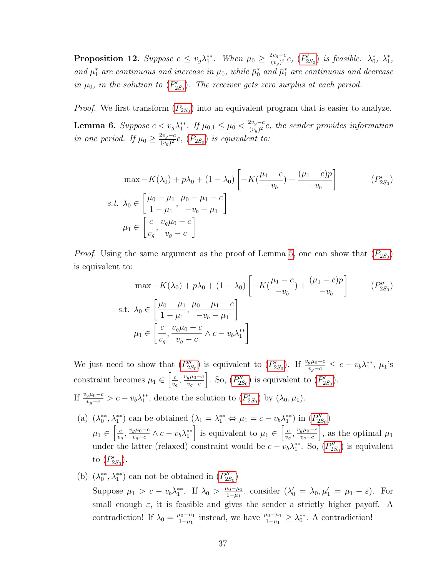<span id="page-38-3"></span>**Proposition 12.** Suppose  $c \leq v_g \lambda_1^{**}$ . When  $\mu_0 \geq \frac{2v_g-c}{(v_o)^2}$  $\frac{2v_g-c}{(v_g)^2}c, (P'_{2S_0})$  $\frac{2v_g-c}{(v_g)^2}c, (P'_{2S_0})$  $\frac{2v_g-c}{(v_g)^2}c, (P'_{2S_0})$  is feasible.  $\lambda_0^*, \lambda_1^*,$ and  $\mu_1^*$  are continuous and increase in  $\mu_0$ , while  $\bar{\mu}_0^*$  and  $\bar{\mu}_1^*$  are continuous and decrease in  $\mu_0$ , in the solution to  $(P'_{2S_0})$  $(P'_{2S_0})$  $(P'_{2S_0})$ . The receiver gets zero surplus at each period.

*[P](#page-35-3)roof.* We first transform  $(P_{2S_0})$  into an equivalent program that is easier to analyze.

<span id="page-38-2"></span>Lemma 6. Suppose  $c < v_g \lambda_1^{**}$ . If  $\mu_{0,1} \leq \mu_0 < \frac{2v_g - c}{(v_o)^2}$  $\frac{2v_g-c}{(v_g)^2}c$ , the sender provides information in one period. If  $\mu_0 \geq \frac{2v_g-c}{(\mu_0)^2}$  $\frac{zv_g-c}{(v_g)^2}c$ ,  $(P_{2S_0})$  $(P_{2S_0})$  $(P_{2S_0})$  is equivalent to:

<span id="page-38-0"></span>
$$
\max -K(\lambda_0) + p\lambda_0 + (1 - \lambda_0) \left[ -K(\frac{\mu_1 - c}{-v_b}) + \frac{(\mu_1 - c)p}{-v_b} \right]
$$
  
s.t.  $\lambda_0 \in \left[ \frac{\mu_0 - \mu_1}{1 - \mu_1}, \frac{\mu_0 - \mu_1 - c}{-v_b - \mu_1} \right]$   
 $\mu_1 \in \left[ \frac{c}{v_g}, \frac{v_g \mu_0 - c}{v_g - c} \right]$  (P'\_{2S\_0})

*[P](#page-35-3)roof.* Using the same argument as the proof of Lemma [5,](#page-36-2) one can show that  $(P_{2S_0})$ is equivalent to:

<span id="page-38-1"></span>
$$
\max -K(\lambda_0) + p\lambda_0 + (1 - \lambda_0) \left[ -K(\frac{\mu_1 - c}{-v_b}) + \frac{(\mu_1 - c)p}{-v_b} \right]
$$
  
s.t.  $\lambda_0 \in \left[ \frac{\mu_0 - \mu_1}{1 - \mu_1}, \frac{\mu_0 - \mu_1 - c}{-v_b - \mu_1} \right]$   
 $\mu_1 \in \left[ \frac{c}{v_g}, \frac{v_g \mu_0 - c}{v_g - c} \wedge c - v_b \lambda_1^* \right]$  (P''<sub>2S<sub>0</sub>)</sub>

We just need to show that  $(P''_{2S_0})$  $(P''_{2S_0})$  $(P''_{2S_0})$  is equivalent to  $(P'_{2S_0})$ . If  $\frac{v_g\mu_0-c}{v_g-c} \leq c-v_b\lambda_1^{**}$ ,  $\mu_1$ 's constraint becomes  $\mu_1 \in \left[\frac{c}{n}\right]$  $\frac{c}{v_g}, \frac{v_g \mu_0 - c}{v_g - c}$  $v_g-c$ . So,  $(P''_{2S_0})$  $(P''_{2S_0})$  $(P''_{2S_0})$  is equivalent to  $(P'_{2S_0})$ . If  $\frac{v_g \mu_0 - c}{v_g - c} > c - v_b \lambda_1^{**}$ , denote the solution to  $(P'_{2S_0})$  $(P'_{2S_0})$  $(P'_{2S_0})$  by  $(\lambda_0, \mu_1)$ .

- (a)  $(\lambda_0^{**}, \lambda_1^{**})$  can be obtained  $(\lambda_1 = \lambda_1^{**} \Leftrightarrow \mu_1 = c v_b \lambda_1^{**})$  in  $(P''_{2S_0})$  $(P''_{2S_0})$  $(P''_{2S_0})$  $\mu_1 \in \left[\frac{c}{n}\right]$  $\frac{c}{v_g}, \frac{v_g \mu_0 - c}{v_g - c}$  $\frac{g\mu_0-c}{v_g-c}\wedge c-v_b\lambda_1^{**}$  is equivalent to  $\mu_1\in\left[\frac{c}{v_g}\right]$  $\frac{c}{v_g}, \frac{v_g \mu_0 - c}{v_g - c}$  $v_g-c$ , as the optimal  $\mu_1$ under the latter (relaxed) constraint would be  $c - v_b \lambda_1^{**}$ . So,  $(P''_{2S_0})$  $(P''_{2S_0})$  $(P''_{2S_0})$  is equivalent to  $(P'_{2S_0})$  $(P'_{2S_0})$  $(P'_{2S_0})$ .
- (b)  $(\lambda_0^{**}, \lambda_1^{**})$  can not be obtained in  $(P''_{2S_0})$  $(P''_{2S_0})$  $(P''_{2S_0})$ Suppose  $\mu_1 > c - v_b \lambda_1^{**}$ . If  $\lambda_0 > \frac{\mu_0 - \mu_1}{1 - \mu_1}$  $\frac{\mu_0 - \mu_1}{1 - \mu_1}$ , consider  $(\lambda'_0 = \lambda_0, \mu'_1 = \mu_1 - \varepsilon)$ . For small enough  $\varepsilon$ , it is feasible and gives the sender a strictly higher payoff. A contradiction! If  $\lambda_0 = \frac{\mu_0 - \mu_1}{1 - \mu_1}$  $\frac{\mu_0 - \mu_1}{1 - \mu_1}$  instead, we have  $\frac{\mu_0 - \mu_1}{1 - \mu_1} \geq \lambda_0^{**}$ . A contradiction!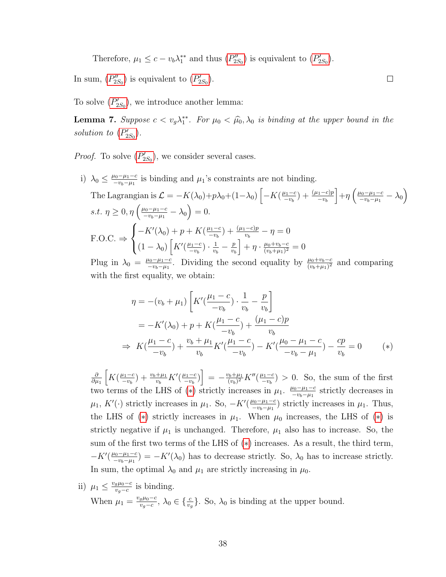Therefore,  $\mu_1 \leq c - v_b \lambda_1^{**}$  and thus  $(P''_{2S_0})$  $(P''_{2S_0})$  $(P''_{2S_0})$  is equivalent to  $(P'_{2S_0})$ .

In sum,  $(P''_{2S_0})$  $(P''_{2S_0})$  $(P''_{2S_0})$  is equivalent to  $(P'_{2S_0})$ .

To solve  $(P'_{2S_0})$  $(P'_{2S_0})$  $(P'_{2S_0})$ , we introduce another lemma:

<span id="page-39-1"></span>**Lemma 7.** Suppose  $c < v_g \lambda_1^{**}$ . For  $\mu_0 < \hat{\mu}_0$ ,  $\lambda_0$  is binding at the upper bound in the solution to  $(P'_{2S_0})$  $(P'_{2S_0})$  $(P'_{2S_0})$ .

<span id="page-39-0"></span> $\Box$ 

*[P](#page-38-0)roof.* To solve  $(P'_{2S_0})$ , we consider several cases.

i)  $\lambda_0 \leq \frac{\mu_0 - \mu_1 - c}{-\mu_1 - \mu_1}$  $\frac{\mu_0 - \mu_1 - c}{-\nu_b - \mu_1}$  is binding and  $\mu_1$ 's constraints are not binding.

The Lagrangian is 
$$
\mathcal{L} = -K(\lambda_0) + p\lambda_0 + (1-\lambda_0) \left[ -K\left(\frac{\mu_1 - c}{-v_b}\right) + \frac{(\mu_1 - c)p}{-v_b} \right] + \eta \left( \frac{\mu_0 - \mu_1 - c}{-v_b - \mu_1} - \lambda_0 \right)
$$
  
s.t. 
$$
\eta \ge 0, \eta \left( \frac{\mu_0 - \mu_1 - c}{-v_b - \mu_1} - \lambda_0 \right) = 0.
$$
  

$$
F.O.C. \Rightarrow \begin{cases} -K'(\lambda_0) + p + K\left(\frac{\mu_1 - c}{-v_b}\right) + \frac{(\mu_1 - c)p}{v_b} - \eta = 0\\ (1 - \lambda_0) \left[ K'(\frac{\mu_1 - c}{-v_b}) \cdot \frac{1}{v_b} - \frac{p}{v_b} \right] + \eta \cdot \frac{\mu_0 + v_b - c}{(v_b + \mu_1)^2} = 0 \end{cases}
$$

Plug in  $\lambda_0 = \frac{\mu_0 - \mu_1 - c}{-\mu_1 - \mu_1}$  $\frac{\mu_0 - \mu_1 - c}{-\nu_b - \mu_1}$ . Dividing the second equality by  $\frac{\mu_0 + \nu_b - c}{(\nu_b + \mu_1)^2}$  and comparing with the first equality, we obtain:

$$
\eta = -(v_b + \mu_1) \left[ K'(\frac{\mu_1 - c}{-v_b}) \cdot \frac{1}{v_b} - \frac{p}{v_b} \right]
$$
  
=  $-K'(\lambda_0) + p + K(\frac{\mu_1 - c}{-v_b}) + \frac{(\mu_1 - c)p}{v_b}$   
 $\Rightarrow K(\frac{\mu_1 - c}{-v_b}) + \frac{v_b + \mu_1}{v_b} K'(\frac{\mu_1 - c}{-v_b}) - K'(\frac{\mu_0 - \mu_1 - c}{-v_b - \mu_1}) - \frac{cp}{v_b} = 0$  (\*)

∂  $\partial \mu_1$  $K(\frac{\mu_1-c}{\mu_1})$  $\frac{u_1-c}{-v_b}$  +  $\frac{v_b+\mu_1}{v_b}K'(\frac{\mu_1-c}{-v_b})$  $\left[\frac{u_1-c}{-v_b}\right] = -\frac{v_b+\mu_1}{(v_b)^2}$  $\frac{(v_b+\mu_1)}{(v_b)^2}K''(\frac{\mu_1-c}{-v_b})$  $\frac{u_1-c}{-v_b}$  > 0. So, the sum of the first two terms of the LHS of (\*) strictly increases in  $\mu_1$ .  $\frac{\mu_0 - \mu_1 - c}{\mu_1 - \mu_2}$  $\frac{\mu_0 - \mu_1 - c}{-\nu_b - \mu_1}$  strictly decreases in  $\mu_1, K'(\cdot)$  strictly increases in  $\mu_1$ . So,  $-K'(\frac{\mu_0-\mu_1-c}{\mu_1-\mu_1})$  $\frac{\mu_0 - \mu_1 - c}{\mu_0 - \mu_1}$ ) strictly increases in  $\mu_1$ . Thus, the LHS of (\*) strictly increases in  $\mu_1$ . When  $\mu_0$  increases, the LHS of (\*) is strictly negative if  $\mu_1$  is unchanged. Therefore,  $\mu_1$  also has to increase. So, the sum of the first two terms of the LHS of  $(*)$  increases. As a result, the third term,  $-K'(\frac{\mu_0-\mu_1-c}{\mu_0-\mu_1-c})$  $\frac{\mu_0 - \mu_1 - c}{-\nu_b - \mu_1}$  =  $-K'(\lambda_0)$  has to decrease strictly. So,  $\lambda_0$  has to increase strictly. In sum, the optimal  $\lambda_0$  and  $\mu_1$  are strictly increasing in  $\mu_0$ .

ii)  $\mu_1 \leq \frac{v_g \mu_0 - c}{v_g - c}$  $\frac{g\mu_0-c}{v_g-c}$  is binding. When  $\mu_1 = \frac{v_g \mu_0 - c}{v_g - c}$  $\frac{g\mu_0-c}{v_g-c}$ ,  $\lambda_0 \in \{\frac{c}{v_g}\}$ . So,  $\lambda_0$  is binding at the upper bound.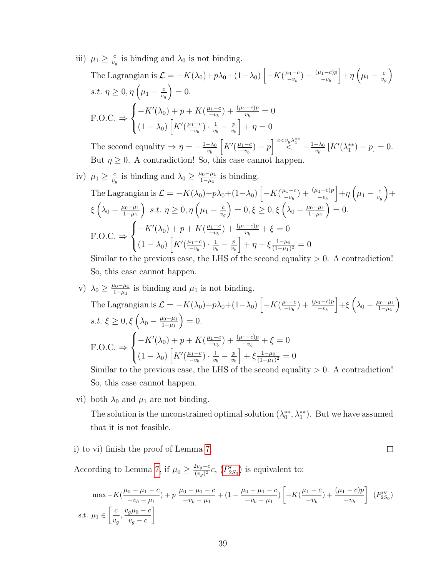iii)  $\mu_1 \geq \frac{c}{n}$  $\frac{c}{v_g}$  is binding and  $\lambda_0$  is not binding.

The Lagrangian is 
$$
\mathcal{L} = -K(\lambda_0) + p\lambda_0 + (1-\lambda_0) \left[ -K(\frac{\mu_1-c}{-v_b}) + \frac{(\mu_1-c)p}{-v_b} \right] + \eta \left( \mu_1 - \frac{c}{v_g} \right)
$$
  
\ns.t.  $\eta \ge 0$ ,  $\eta \left( \mu_1 - \frac{c}{v_g} \right) = 0$ .  
\nF.O.C.  $\Rightarrow \begin{cases} -K'(\lambda_0) + p + K(\frac{\mu_1-c}{-v_b}) + \frac{(\mu_1-c)p}{v_b} = 0 \\ (1-\lambda_0) \left[ K'(\frac{\mu_1-c}{-v_b}) \cdot \frac{1}{v_b} - \frac{p}{v_b} \right] + \eta = 0 \end{cases}$ 

The second equality  $\Rightarrow \eta = -\frac{1-\lambda_0}{n}$ vb  $K'(\frac{\mu_1-c}{-w})$  $\left[\frac{u_1-c}{-v_b}\right]-p\right]\stackrel{c$  $\frac{-\lambda_0}{v_b} [K'(\lambda_1^{**}) - p] = 0.$ But  $\eta \geq 0$ . A contradiction! So, this case cannot happen.

iv) 
$$
\mu_1 \ge \frac{c}{v_g}
$$
 is binding and  $\lambda_0 \ge \frac{\mu_0 - \mu_1}{1 - \mu_1}$  is binding.  
\nThe Lagrangian is  $\mathcal{L} = -K(\lambda_0) + p\lambda_0 + (1 - \lambda_0) \left[ -K(\frac{\mu_1 - c}{-v_b}) + \frac{(\mu_1 - c)p}{-v_b} \right] + \eta \left( \mu_1 - \frac{c}{v_g} \right) + \xi \left( \lambda_0 - \frac{\mu_0 - \mu_1}{1 - \mu_1} \right) \, s.t. \, \eta \ge 0, \eta \left( \mu_1 - \frac{c}{v_g} \right) = 0, \xi \ge 0, \xi \left( \lambda_0 - \frac{\mu_0 - \mu_1}{1 - \mu_1} \right) = 0.$   
\nF.O.C.  $\Rightarrow \begin{cases} -K'(\lambda_0) + p + K(\frac{\mu_1 - c}{-v_b}) + \frac{(\mu_1 - c)p}{v_b} + \xi = 0 \\ (1 - \lambda_0) \left[ K'(\frac{\mu_1 - c}{-v_b}) + \frac{1}{v_b} - \frac{p}{v_b} \right] + \eta + \xi \frac{1 - \mu_0}{(1 - \mu_1)^2} = 0 \end{cases}$   
\nSimilarly, the previous case, the LHS of the second equality  $> 0$ . A contradiction.

Similar to the previous case, the LHS of the second equality  $> 0$ . A contradiction! So, this case cannot happen.

v)  $\lambda_0 \geq \frac{\mu_0 - \mu_1}{1 - \mu_1}$  $\frac{\mu_0 - \mu_1}{1 - \mu_1}$  is binding and  $\mu_1$  is not binding. The Lagrangian is  $\mathcal{L} = -K(\lambda_0) + p\lambda_0 + (1-\lambda_0) \left[ -K(\frac{\mu_1-c}{m_1}) \right]$  $\frac{u_1-c}{-v_b}$  +  $\frac{(\mu_1-c)p}{-v_b}$  $-\frac{\mu_0 - \mu_1}{1 - \mu_1}$  $1-\mu_1$  $\setminus$ s.t.  $\xi \geq 0, \xi \left( \lambda_0 - \frac{\mu_0 - \mu_1}{1 - \mu_1} \right)$  $1-\mu_1$  $= 0.$  $F.O.C. \Rightarrow$  $\sqrt{ }$  $\left\vert \right\vert$  $\mathcal{L}$  $-K'(\lambda_0) + p + K(\frac{\mu_1-c}{m_1})$  $\frac{u_1-c}{-v_b}$  +  $\frac{(\mu_1-c)p}{-v_b}$  +  $\xi = 0$  $(1-\lambda_0)\left[K'(\frac{\mu_1-c}{m}\right]$  $\frac{u_1-c}{-v_b}\big)\cdot\frac{1}{v_b}$  $\frac{1}{v_b} - \frac{p}{v_b}$ vb  $+\xi \frac{1-\mu_0}{(1-\mu_0)}$  $\frac{1-\mu_0}{(1-\mu_1)^2}=0$ 

Similar to the previous case, the LHS of the second equality  $> 0$ . A contradiction! So, this case cannot happen.

vi) both  $\lambda_0$  and  $\mu_1$  are not binding.

The solution is the unconstrained optimal solution  $(\lambda_0^{**}, \lambda_1^{**})$ . But we have assumed that it is not feasible.

 $\Box$ 

i) to vi) finish the proof of Lemma [7.](#page-39-1)

According to Lemma [7,](#page-39-1) if  $\mu_0 \geq \frac{2v_g-c}{(v_o)^2}$  $\frac{2v_g-c}{(v_g)^2}c$ ,  $(P'_{2S_0})$  $(P'_{2S_0})$  $(P'_{2S_0})$  is equivalent to:

$$
\max - K\left(\frac{\mu_0 - \mu_1 - c}{-v_b - \mu_1}\right) + p \frac{\mu_0 - \mu_1 - c}{-v_b - \mu_1} + (1 - \frac{\mu_0 - \mu_1 - c}{-v_b - \mu_1}) \left[ -K\left(\frac{\mu_1 - c}{-v_b}\right) + \frac{(\mu_1 - c)p}{-v_b} \right] (P_{2S_0}^{\prime\prime\prime})
$$
  
s.t.  $\mu_1 \in \left[\frac{c}{v_g}, \frac{v_g \mu_0 - c}{v_g - c}\right]$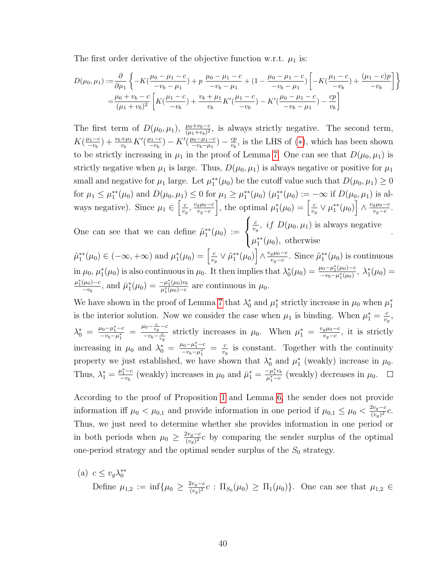The first order derivative of the objective function w.r.t.  $\mu_1$  is:

$$
D(\mu_0, \mu_1) := \frac{\partial}{\partial \mu_1} \left\{ -K\left(\frac{\mu_0 - \mu_1 - c}{-v_b - \mu_1}\right) + p \frac{\mu_0 - \mu_1 - c}{-v_b - \mu_1} + (1 - \frac{\mu_0 - \mu_1 - c}{-v_b - \mu_1}) \left[ -K\left(\frac{\mu_1 - c}{-v_b}\right) + \frac{(\mu_1 - c)p}{-v_b} \right] \right\}
$$
  
=  $\frac{\mu_0 + v_b - c}{(\mu_1 + v_b)^2} \left[ K\left(\frac{\mu_1 - c}{-v_b}\right) + \frac{v_b + \mu_1}{v_b} K'\left(\frac{\mu_1 - c}{-v_b}\right) - K'\left(\frac{\mu_0 - \mu_1 - c}{-v_b - \mu_1}\right) - \frac{cp}{v_b} \right]$ 

The first term of  $D(\mu_0, \mu_1)$ ,  $\frac{\mu_0 + v_b - c}{(\mu_1 + v_b)^2}$ , is always strictly negative. The second term,  $K(\frac{\mu_1-c}{\mu_1-\mu_2})$  $\frac{u_1-c}{-v_b}$  +  $\frac{v_b+\mu_1}{v_b}K'(\frac{\mu_1-c}{-v_b})$  $\frac{u_1-c}{-v_b}$ ) –  $K'(\frac{\mu_0-\mu_1-c}{-v_b-\mu_1})$  $\frac{\mu_0 - \mu_1 - c}{-v_b - \mu_1}$ ) —  $\frac{cp}{v_b}$  $\frac{cp}{v_b}$ , is the LHS of (\*), which has been shown to be strictly increasing in  $\mu_1$  in the proof of Lemma [7.](#page-39-1) One can see that  $D(\mu_0, \mu_1)$  is strictly negative when  $\mu_1$  is large. Thus,  $D(\mu_0, \mu_1)$  is always negative or positive for  $\mu_1$ small and negative for  $\mu_1$  large. Let  $\mu_1^{**}(\mu_0)$  be the cutoff value such that  $D(\mu_0, \mu_1) \ge 0$ for  $\mu_1 \le \mu_1^{**}(\mu_0)$  and  $D(\mu_0, \mu_1) \le 0$  for  $\mu_1 \ge \mu_1^{**}(\mu_0)$   $(\mu_1^{**}(\mu_0) := -\infty$  if  $D(\mu_0, \mu_1)$  is always negative). Since  $\mu_1 \in \left[\frac{c}{n}\right]$  $\frac{c}{v_g}, \frac{v_g \mu_0 - c}{v_g - c}$  $v_g-c$ , the optimal  $\mu_1^*(\mu_0) = \left[\frac{c}{v}\right]$  $\frac{c}{v_g} \vee \mu_1^{**}(\mu_0) \Bigr] \wedge \frac{v_g \mu_0 - c}{v_g - c}$  $\frac{g\mu_0-c}{v_g-c}.$  $\sqrt{ }$ c  $\frac{c}{v_g}$ , *if*  $D(\mu_0, \mu_1)$  is always negative .

One can see that we can define  $\tilde{\mu}_1^{**}(\mu_0) :=$  $\int$  $\mathcal{L}$  $\mu_1^{**}(\mu_0)$ , otherwise

 $\tilde{\mu}_1^{**}(\mu_0) \in (-\infty, +\infty)$  and  $\mu_1^*(\mu_0) = \left[\frac{c}{v}\right]$  $\frac{c}{v_g} \vee \tilde{\mu}_1^{**}(\mu_0) \Bigr] \wedge \frac{v_g \mu_0-c}{v_g-c}$  $\frac{g\mu_0-c}{v_g-c}$ . Since  $\tilde{\mu}_1^{**}(\mu_0)$  is continuous in  $\mu_0$ ,  $\mu_1^*(\mu_0)$  is also continuous in  $\mu_0$ . It then implies that  $\lambda_0^*(\mu_0) = \frac{\mu_0 - \mu_1^*(\mu_0) - c}{-\nu_b - \mu_1^*(\mu_0)}$  $\frac{\mu_0 - \mu_1^*(\mu_0) - c}{-\nu_b - \mu_1^*(\mu_0)}, \ \lambda_1^*(\mu_0) =$  $\mu_1^*(\mu_0) - c$  $\frac{(\mu_0)-c}{-v_b}$ , and  $\bar{\mu}_1^*(\mu_0) = \frac{-\mu_1^*(\mu_0)v_b}{\mu_1^*(\mu_0)-c}$  $-\frac{\mu_1(\mu_0)v_b}{\mu_1^*(\mu_0)-c}$  are continuous in  $\mu_0$ .

We have shown in the proof of Lemma [7](#page-39-1) that  $\lambda_0^*$  and  $\mu_1^*$  strictly increase in  $\mu_0$  when  $\mu_1^*$ is the interior solution. Now we consider the case when  $\mu_1$  is binding. When  $\mu_1^* = \frac{c}{v}$  $\frac{c}{v_g},$  $\lambda_0^* = \frac{\mu_0 - \mu_1^* - c}{-\nu_b - \mu_1^*}$  $\frac{\mu_0 - \mu_1^* - c}{-v_b - \mu_1^*} = \frac{\mu_0 - \frac{c}{v_g} - c}{-v_b - \frac{c}{v_g}}$  $\frac{u_0 - v_g - c}{-v_b - \frac{c}{v_g}}$  strictly increases in  $\mu_0$ . When  $\mu_1^* = \frac{v_g \mu_0 - c}{v_g - c}$  $\frac{g\mu_0-c}{v_g-c}$ , it is strictly increasing in  $\mu_0$  and  $\lambda_0^* = \frac{\mu_0 - \mu_1^* - c}{-\nu_b - \mu_1^*}$  $\frac{\mu_0 - \mu_1^* - c}{-v_b - \mu_1^*} = \frac{c}{v_t}$  $\frac{c}{v_g}$  is constant. Together with the continuity property we just established, we have shown that  $\lambda_0^*$  and  $\mu_1^*$  (weakly) increase in  $\mu_0$ . Thus,  $\lambda_1^* = \frac{\mu_1^* - c}{-v_b}$  $\frac{\mu_1^* - c}{-\nu_b}$  (weakly) increases in  $\mu_0$  and  $\bar{\mu}_1^* = \frac{-\mu_1^* v_b}{\mu_1^* - c}$  $\frac{-\mu_1 v_b}{\mu_1^* - c}$  (weakly) decreases in  $\mu_0$ .

According to the proof of Proposition [1](#page-13-0) and Lemma [6,](#page-38-2) the sender does not provide information if  $\mu_0 < \mu_{0,1}$  and provide information in one period if  $\mu_{0,1} \leq \mu_0 < \frac{2v_g-c}{(v_o)^2}$  $\frac{2v_g-c}{(v_g)^2}c.$ Thus, we just need to determine whether she provides information in one period or in both periods when  $\mu_0 \geq \frac{2v_g-c}{(v_o)^2}$  $\frac{2v_g-c}{(v_g)^2}c$  by comparing the sender surplus of the optimal one-period strategy and the optimal sender surplus of the  $S_0$  strategy.

(a) 
$$
c \le v_g \lambda_0^{**}
$$
  
Define  $\mu_{1,2} := \inf \{ \mu_0 \ge \frac{2v_g - c}{(v_g)^2} c : \Pi_{S_0}(\mu_0) \ge \Pi_1(\mu_0) \}$ . One can see that  $\mu_{1,2} \in$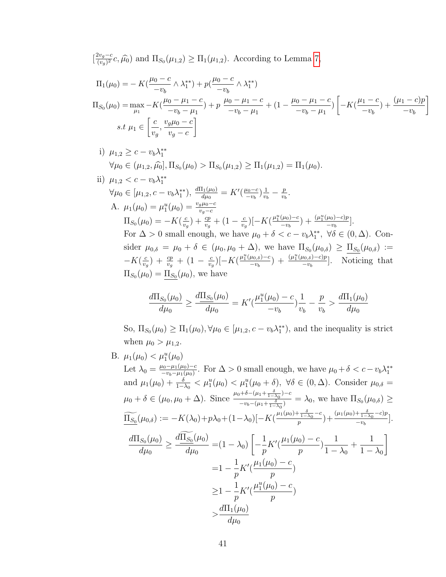$\left[\frac{2v_g-c}{(n-2)}\right]$  $\frac{w_g - c}{(v_g)^2}c, \hat{\mu}_0$  and  $\Pi_{S_0}(\mu_{1,2}) \ge \Pi_1(\mu_{1,2})$ . According to Lemma [7,](#page-39-1)

$$
\Pi_1(\mu_0) = -K(\frac{\mu_0 - c}{-v_b} \wedge \lambda_1^{**}) + p(\frac{\mu_0 - c}{-v_b} \wedge \lambda_1^{**})
$$
\n
$$
\Pi_{S_0}(\mu_0) = \max_{\mu_1} -K(\frac{\mu_0 - \mu_1 - c}{-v_b - \mu_1}) + p \frac{\mu_0 - \mu_1 - c}{-v_b - \mu_1} + (1 - \frac{\mu_0 - \mu_1 - c}{-v_b - \mu_1}) \left[ -K(\frac{\mu_1 - c}{-v_b}) + \frac{(\mu_1 - c)p}{-v_b} \right]
$$
\n
$$
s.t \ \mu_1 \in \left[ \frac{c}{v_g}, \frac{v_g \mu_0 - c}{v_g - c} \right]
$$

i) 
$$
\mu_{1,2} \ge c - v_b \lambda_1^{**}
$$
  
\n $\forall \mu_0 \in (\mu_{1,2}, \widehat{\mu}_0], \Pi_{S_0}(\mu_0) > \Pi_{S_0}(\mu_{1,2}) \ge \Pi_1(\mu_{1,2}) = \Pi_1(\mu_0).$ 

ii) 
$$
\mu_{1,2} < c - v_b \lambda_1^{**}
$$
  
\n $\forall \mu_0 \in [\mu_{1,2}, c - v_b \lambda_1^{**}), \frac{d\Pi_1(\mu_0)}{d\mu_0} = K'(\frac{\mu_0 - c}{-v_b}) \frac{1}{v_b} - \frac{p}{v_b}.$   
\nA.  $\mu_1(\mu_0) = \mu_1^u(\mu_0) = \frac{v_g \mu_0 - c}{v_g - c}$   
\n $\Pi_{S_0}(\mu_0) = -K(\frac{c}{v_g}) + \frac{cp}{v_g} + (1 - \frac{c}{v_g})[-K(\frac{\mu_1^u(\mu_0) - c}{-v_b}) + \frac{(\mu_1^u(\mu_0) - c)p}{-v_b}].$   
\nFor  $\Delta > 0$  small enough, we have  $\mu_0 + \delta < c - v_b \lambda_1^{**}, \forall \delta \in (0, \Delta)$ . Consider  $\mu_{0,\delta} = \mu_0 + \delta \in (\mu_0, \mu_0 + \Delta)$ , we have  $\Pi_{S_0}(\mu_{0,\delta}) \ge \underline{\Pi}_{S_0}(\mu_{0,\delta}) := -K(\frac{c}{v_g}) + \frac{cp}{v_g} + (1 - \frac{c}{v_g})[-K(\frac{\mu_1^u(\mu_0, s) - c}{-v_b}) + \frac{(\mu_1^u(\mu_0, s) - c)p}{-v_b}].$  Noticing that  $\Pi_{S_0}(\mu_0) = \underline{\Pi}_{S_0}(\mu_0)$ , we have

$$
\frac{d\Pi_{S_0}(\mu_0)}{d\mu_0} \ge \frac{d\Pi_{S_0}(\mu_0)}{d\mu_0} = K'(\frac{\mu_1^u(\mu_0) - c}{-v_b})\frac{1}{v_b} - \frac{p}{v_b} > \frac{d\Pi_1(\mu_0)}{d\mu_0}
$$

So,  $\Pi_{S_0}(\mu_0) \ge \Pi_1(\mu_0), \forall \mu_0 \in [\mu_{1,2}, c - v_b \lambda_1^{**}),$  and the inequality is strict when  $\mu_0 > \mu_{1,2}$ .

B.  $\mu_1(\mu_0) < \mu_1^u(\mu_0)$ Let  $\lambda_0 = \frac{\mu_0 - \mu_1(\mu_0) - c}{-\nu_1 - \mu_1(\mu_0)}$  $\frac{\mu_0 - \mu_1(\mu_0) - c}{-\nu_b - \mu_1(\mu_0)}$ . For  $\Delta > 0$  small enough, we have  $\mu_0 + \delta < c - \nu_b \lambda_1^{**}$ and  $\mu_1(\mu_0) + \frac{\delta}{1-\lambda_0} < \mu_1^u(\mu_0) < \mu_1^u(\mu_0 + \delta)$ ,  $\forall \delta \in (0, \Delta)$ . Consider  $\mu_{0,\delta} =$  $\mu_0 + \delta \in (\mu_0, \mu_0 + \Delta)$ . Since  $\frac{\mu_0 + \delta - (\mu_1 + \frac{\delta}{1 - \lambda_0}) - c}{\sigma_0 + \delta}$  $\frac{(-\nu_1 + \nu_2 - \nu_3)}{-\nu_5 - (\mu_1 + \frac{\delta}{1 - \lambda_0})^2} = \lambda_0$ , we have  $\Pi_{S_0}(\mu_{0,\delta}) \ge$  $\widetilde{\underline{\Pi_{S_0}}}(\mu_{0,\delta}) := -K(\lambda_0) + p\lambda_0 + (1-\lambda_0)\left[-K(\frac{\mu_1(\mu_0) + \frac{\delta}{1-\lambda_0} - c}{p}\right]$  $\left(\frac{\delta}{1-\lambda_0}-c\right)+\frac{(\mu_1(\mu_0)+\frac{\delta}{1-\lambda_0}-c)p}{-v_b}$  $\frac{1-\lambda_0}{-v_b}$ .  $d\Pi_{S_0}(\mu_0)$  $d\mu_0$  $\geq \frac{d\Pi_{S_0}(\mu_0)}{I}$  $d\mu_0$  $=(1-\lambda_0)$  $\lceil$  $-$ <sup>1</sup> p  $K'(\frac{\mu_1(\mu_0)-c}{\mu_1(\mu_0)-c})$ p ) 1  $1 - \lambda_0$  $+$ 1  $1 - \lambda_0$ 1  $=1-\frac{1}{2}$ p  $K'(\frac{\mu_1(\mu_0)-c}{\mu_1(\mu_0)-c})$ p )  $\geq 1 - \frac{1}{1}$ p  $K'$ (  $\mu_1^u(\mu_0) - c$ p )  $>\frac{d\Pi_1(\mu_0)}{d\mu_0}$  $d\mu_0$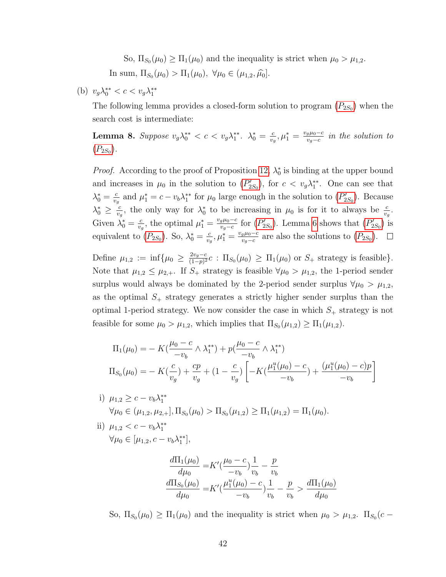So,  $\Pi_{S_0}(\mu_0) \ge \Pi_1(\mu_0)$  and the inequality is strict when  $\mu_0 > \mu_{1,2}$ . In sum,  $\Pi_{S_0}(\mu_0) > \Pi_1(\mu_0)$ ,  $\forall \mu_0 \in (\mu_{1,2}, \hat{\mu_0}]$ .

(b) 
$$
v_g \lambda_0^{**} < c < v_g \lambda_1^{**}
$$

The following lemma provides a closed-form solution to program  $(P_{2S_0})$  $(P_{2S_0})$  $(P_{2S_0})$  when the search cost is intermediate:

<span id="page-43-0"></span>**Lemma 8.** Suppose  $v_g \lambda_0^{**} < c < v_g \lambda_1^{**}$ .  $\lambda_0^* = \frac{c}{v_g}$  $\frac{c}{v_g}, \mu_1^* = \frac{v_g \mu_0 - c}{v_g - c}$  $\frac{g\mu_0-c}{v_g-c}$  in the solution to  $(P_{2S_0}).$  $(P_{2S_0}).$  $(P_{2S_0}).$ 

*Proof.* According to the proof of Proposition [12,](#page-38-3)  $\lambda_0^*$  is binding at the upper bound and increases in  $\mu_0$  in the solution to  $(P'_{2S_0})$  $(P'_{2S_0})$  $(P'_{2S_0})$ , for  $c < v_g \lambda_1^{**}$ . One can see that  $\lambda_0^* = \frac{c}{v_c}$  $\frac{c}{v_g}$  and  $\mu_1^* = c - v_b \lambda_1^{**}$  for  $\mu_0$  large enough in the solution to  $(P'_{2S_0})$  $(P'_{2S_0})$  $(P'_{2S_0})$ . Because  $\lambda_0^* \geq \frac{c}{v_c}$  $\frac{c}{v_g}$ , the only way for  $\lambda_0^*$  to be increasing in  $\mu_0$  is for it to always be  $\frac{c}{v_g}$ . Given  $\lambda_0^* = \frac{c}{v_c}$  $\frac{c}{v_g}$ , the optimal  $\mu_1^* = \frac{v_g \mu_0 - c}{v_g - c}$  $\frac{g\mu_0-c}{v_g-c}$  for  $(P'_{2S_0})$  $(P'_{2S_0})$  $(P'_{2S_0})$ . Lemma [6](#page-38-2) shows that  $(P'_{2S_0})$  is equivalent to  $(P_{2S_0})$  $(P_{2S_0})$  $(P_{2S_0})$ . So,  $\lambda_0^* = \frac{c}{v_c}$  $\frac{c}{v_g}, \mu_1^* = \frac{v_g \mu_0 - c}{v_g - c}$  $\frac{g\mu_0-c}{v_g-c}$  are also the solutions to  $(P_{2S_0})$  $(P_{2S_0})$  $(P_{2S_0})$ .

Define  $\mu_{1,2} := \inf \{ \mu_0 \geq \frac{2v_g - c}{(1 - n)^2} \}$  $\frac{2v_g-c}{(1-p)^2}c$ :  $\Pi_{S_0}(\mu_0) \geq \Pi_1(\mu_0)$  or  $S_+$  strategy is feasible}. Note that  $\mu_{1,2} \leq \mu_{2,+}$ . If  $S_+$  strategy is feasible  $\forall \mu_0 > \mu_{1,2}$ , the 1-period sender surplus would always be dominated by the 2-period sender surplus  $\forall \mu_0 > \mu_{1,2}$ , as the optimal  $S_+$  strategy generates a strictly higher sender surplus than the optimal 1-period strategy. We now consider the case in which  $S_+$  strategy is not feasible for some  $\mu_0 > \mu_{1,2}$ , which implies that  $\Pi_{S_0}(\mu_{1,2}) \ge \Pi_1(\mu_{1,2})$ .

$$
\Pi_1(\mu_0) = -K(\frac{\mu_0 - c}{-v_b} \wedge \lambda_1^{**}) + p(\frac{\mu_0 - c}{-v_b} \wedge \lambda_1^{**})
$$
  

$$
\Pi_{S_0}(\mu_0) = -K(\frac{c}{v_g}) + \frac{cp}{v_g} + (1 - \frac{c}{v_g}) \left[ -K(\frac{\mu_1^u(\mu_0) - c}{-v_b}) + \frac{(\mu_1^u(\mu_0) - c)p}{-v_b} \right]
$$

- i)  $\mu_{1,2} \geq c v_b \lambda_1^{**}$  $\forall \mu_0 \in (\mu_{1,2}, \mu_{2,+}], \Pi_{S_0}(\mu_0) > \Pi_{S_0}(\mu_{1,2}) \ge \Pi_1(\mu_{1,2}) = \Pi_1(\mu_0).$
- ii)  $\mu_{1,2} < c v_b \lambda_1^{**}$  $\forall \mu_0 \in [\mu_{1,2}, c - v_b \lambda_1^{**}],$

$$
\frac{d\Pi_1(\mu_0)}{d\mu_0} = K'(\frac{\mu_0 - c}{-v_b})\frac{1}{v_b} - \frac{p}{v_b}
$$
\n
$$
\frac{d\Pi_{S_0}(\mu_0)}{d\mu_0} = K'(\frac{\mu_1^u(\mu_0) - c}{-v_b})\frac{1}{v_b} - \frac{p}{v_b} > \frac{d\Pi_1(\mu_0)}{d\mu_0}
$$

So,  $\Pi_{S_0}(\mu_0) \ge \Pi_1(\mu_0)$  and the inequality is strict when  $\mu_0 > \mu_{1,2}$ .  $\Pi_{S_0}(c -$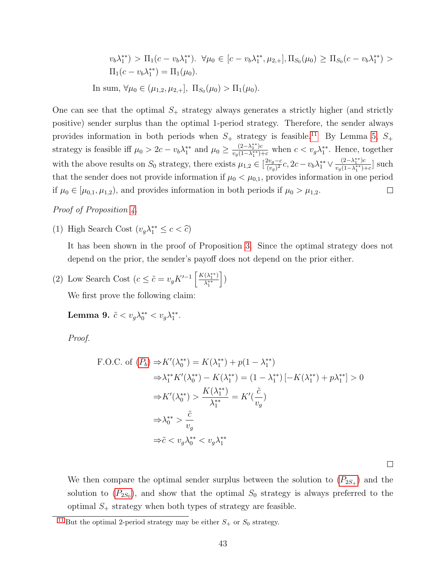<span id="page-44-1"></span>
$$
v_b \lambda_1^{**}) > \Pi_1(c - v_b \lambda_1^{**}). \quad \forall \mu_0 \in [c - v_b \lambda_1^{**}, \mu_{2,+}], \Pi_{S_0}(\mu_0) \ge \Pi_{S_0}(c - v_b \lambda_1^{**}) > \Pi_1(c - v_b \lambda_1^{**}) = \Pi_1(\mu_0).
$$
  
In sum,  $\forall \mu_0 \in (\mu_{1,2}, \mu_{2,+}], \ \Pi_{S_0}(\mu_0) > \Pi_1(\mu_0).$ 

One can see that the optimal  $S_+$  strategy always generates a strictly higher (and strictly positive) sender surplus than the optimal 1-period strategy. Therefore, the sender always provides information in both periods when  $S_+$  strategy is feasible.<sup>[11](#page-44-0)</sup> By Lemma [5,](#page-36-2)  $S_+$ strategy is feasible iff  $\mu_0 > 2c - v_b \lambda_1^{**}$  and  $\mu_0 \geq \frac{(2-\lambda_1^{**})c}{v_o(1-\lambda_1^{**})c}$  $\frac{(2-\lambda_1^{**})c}{v_g(1-\lambda_1^{**})+c}$  when  $c < v_g\lambda_1^{**}$ . Hence, together  $\frac{2v_g-c}{(v_g)^2}c, 2c-v_b\lambda_1^{**} \vee \frac{(2-\lambda_1^{**})c}{v_g(1-\lambda_1^{**})}$ with the above results on  $S_0$  strategy, there exists  $\mu_{1,2} \in \left[\frac{2v_g-c}{(v_o)^2}\right]$  $\frac{(2-\lambda_1^{\cdot})c}{v_g(1-\lambda_1^{\cdot*})+c}$  such that the sender does not provide information if  $\mu_0 < \mu_{0,1}$ , provides information in one period if  $\mu_0 \in [\mu_{0,1}, \mu_{1,2})$ , and provides information in both periods if  $\mu_0 > \mu_{1,2}$ .  $\Box$ 

Proof of Proposition [4.](#page-17-0)

(1) High Search Cost  $(v_g \lambda_1^{**} \leq c < \hat{c})$ 

It has been shown in the proof of Proposition [3.](#page-16-0) Since the optimal strategy does not depend on the prior, the sender's payoff does not depend on the prior either.

(2) Low Search Cost  $(c \leq \tilde{c} = v_g K'^{-1} \left[ \frac{K(\lambda_1^{**})}{\lambda_1^{**}} \right]$  $\lambda_1^{**}$  $\rceil$ We first prove the following claim:

Lemma 9.  $\tilde{c} < v_g \lambda_0^{**} < v_g \lambda_1^{**}$ .

Proof.

F.O.C. of 
$$
(P_b) \Rightarrow K'(\lambda_0^{**}) = K(\lambda_1^{**}) + p(1 - \lambda_1^{**})
$$
  
\n
$$
\Rightarrow \lambda_1^{**} K'(\lambda_0^{**}) - K(\lambda_1^{**}) = (1 - \lambda_1^{**}) [-K(\lambda_1^{**}) + p\lambda_1^{**}] > 0
$$
\n
$$
\Rightarrow K'(\lambda_0^{**}) > \frac{K(\lambda_1^{**})}{\lambda_1^{**}} = K'(\frac{\tilde{c}}{v_g})
$$
\n
$$
\Rightarrow \lambda_0^{**} > \frac{\tilde{c}}{v_g}
$$
\n
$$
\Rightarrow \tilde{c} < v_g \lambda_0^{**} < v_g \lambda_1^{**}
$$

 $\Box$ 

We then compare the optimal sender surplus between the solution to  $(P_{2S_+})$  $(P_{2S_+})$  $(P_{2S_+})$  and the solution to  $(P_{2S_0})$  $(P_{2S_0})$  $(P_{2S_0})$ , and show that the optimal  $S_0$  strategy is always preferred to the optimal  $S_+$  strategy when both types of strategy are feasible.

<span id="page-44-0"></span><sup>&</sup>lt;sup>[11](#page-44-1)</sup> But the optimal 2-period strategy may be either  $S_+$  or  $S_0$  strategy.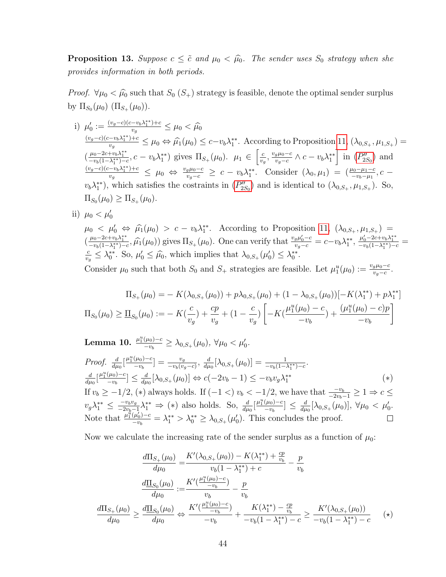<span id="page-45-2"></span>**Proposition 13.** Suppose  $c \leq \tilde{c}$  and  $\mu_0 < \hat{\mu_0}$ . The sender uses  $S_0$  strategy when she provides information in both periods.

*Proof.*  $\forall \mu_0 < \hat{\mu}_0$  such that  $S_0$  ( $S_+$ ) strategy is feasible, denote the optimal sender surplus by  $\Pi_{S_0}(\mu_0)$   $(\Pi_{S_+}(\mu_0))$ .

- i)  $\mu'_0 := \frac{(v_g-c)(c-v_b\lambda_1^{**})+c}{v_g}$  $\frac{(-v_b \lambda_1^+)^{+c}}{v_g} \leq \mu_0 < \widehat{\mu_0}$  $(v_g-c)(c-v_b\lambda_1^{**})+c$  $\frac{-v_b \lambda_1^{**}+c}{v_g} \leq \mu_0 \Leftrightarrow \widehat{\mu_1}(\mu_0) \leq c-v_b \lambda_1^{**}$ . According to Proposition [11,](#page-35-4)  $(\lambda_{0,S_+}, \mu_{1,S_+}) =$  $(\frac{\mu_0 - 2c + v_b \lambda_1^{**}}{-v_b(1 - \lambda_1^{**}) - c}, c - v_b \lambda_1^{**})$  gives  $\Pi_{S_+}(\mu_0)$ .  $\mu_1 \in \left[\frac{c}{v_s}\right]$  $\frac{c}{v_g}, \frac{v_g \mu_0 - c}{v_g - c}$  $\frac{g\mu_0-c}{v_g-c}$  ∧  $c-v_b\lambda_1^{**}$  in  $(P''_{2S_0})$  $(P''_{2S_0})$  $(P''_{2S_0})$  and  $(v_g-c)(c-v_b\lambda_1^{**})+c$  $\frac{-v_b \lambda_1^{**} + c}{v_g} \leq \mu_0 \Leftrightarrow \frac{v_g \mu_0 - c}{v_g - c} \geq c - v_b \lambda_1^{**}$ . Consider  $(\lambda_0, \mu_1) = (\frac{\mu_0 - \mu_1 - c}{-v_b - \mu_1}, c - \mu_0)$  $v_b \lambda_1^{**}$ , which satisfies the costraints in  $(P''_{2S_0})$  $(P''_{2S_0})$  $(P''_{2S_0})$  and is identical to  $(\lambda_{0,S_+}, \mu_{1,S_+})$ . So,  $\Pi_{S_0}(\mu_0) \geq \Pi_{S_+}(\mu_0).$
- ii)  $\mu_0 < \mu'_0$

 $\mu_0 \leq \mu'_0 \Leftrightarrow \hat{\mu}_1(\mu_0) > c - v_b \lambda_1^{**}$ . According to Proposition [11,](#page-35-4)  $(\lambda_{0,S_+}, \mu_{1,S_+}) =$  $\left(\frac{\mu_0 - 2c + v_b \lambda_1^{**}}{-v_b(1 - \lambda_1^{**}) - c}, \widehat{\mu}_1(\mu_0)\right)$  gives  $\Pi_{S_+}(\mu_0)$ . One can verify that  $\frac{v_g \mu'_0 - c}{v_g - c} = c - v_b \lambda_1^{**}, \frac{\mu'_0 - 2c + v_b \lambda_1^{**}}{-v_b(1 - \lambda_1^{**}) - c} = c$ c  $\frac{c}{v_g} \leq \lambda_0^{**}$ . So,  $\mu'_0 \leq \hat{\mu}_0$ , which implies that  $\lambda_{0,S_+}(\mu'_0) \leq \lambda_0^{**}$ . Consider  $\mu_0$  such that both  $S_0$  and  $S_+$  strategies are feasible. Let  $\mu_1^u(\mu_0) := \frac{v_g \mu_0 - c}{v_g - c}$ .

$$
\Pi_{S_+}(\mu_0) = -K(\lambda_{0,S_+}(\mu_0)) + p\lambda_{0,S_+}(\mu_0) + (1 - \lambda_{0,S_+}(\mu_0))[-K(\lambda_1^{**}) + p\lambda_1^{**}]
$$
  

$$
\Pi_{S_0}(\mu_0) \ge \underline{\Pi}_{S_0}(\mu_0) := -K(\frac{c}{v_g}) + \frac{cp}{v_g} + (1 - \frac{c}{v_g})\left[-K(\frac{\mu_1^u(\mu_0) - c}{-v_b}) + \frac{(\mu_1^u(\mu_0) - c)p}{-v_b}\right]
$$

<span id="page-45-0"></span>Lemma 10.  $\frac{\mu_1^u(\mu_0)-c}{-v_0}$  $\frac{(\mu_0)-c}{-v_b}\geq \lambda_{0,S_+}(\mu_0),\ \forall \mu_0<\mu_0'.$ 

Proof. 
$$
\frac{d}{d\mu_0} \left[ \frac{\mu_1^u(\mu_0) - c}{-\nu_b} \right] = \frac{v_g}{-\nu_b(v_g - c)}, \frac{d}{d\mu_0} \left[ \lambda_{0, S_+}(\mu_0) \right] = \frac{1}{-\nu_b(1 - \lambda_1^*) - c}.
$$

$$
\frac{d}{d\mu_0} \left[ \frac{\mu_1^u(\mu_0) - c}{-\nu_b} \right] \le \frac{d}{d\mu_0} \left[ \lambda_{0, S_+}(\mu_0) \right] \Leftrightarrow c(-2v_b - 1) \le -v_b v_g \lambda_1^* \tag{*}
$$

If  $v_b \ge -1/2$ ,  $(*)$  always holds. If  $(-1 <) v_b < -1/2$ , we have that  $\frac{-v_b}{-2v_b-1} \ge 1 \Rightarrow c \le$  $v_g \lambda_1^{**} \leq \frac{-v_b v_g}{-2v_b-}$  $\frac{-v_b v_g}{-2v_b-1} \lambda_1^{**}$  ⇒ (\*) also holds. So,  $\frac{d}{d\mu_0} [\frac{\mu_1^u(\mu_0)-c}{-v_b}]$  $\frac{(\mu_0)-c}{-v_b}$ ]  $\leq \frac{d}{d\mu}$  $\frac{d}{d\mu_0}[\lambda_{0,S_+}(\mu_0)], \ \forall \mu_0 < \mu'_0.$ Note that  $\frac{\mu_1^u(\mu_0')-c}{\mu_1^u(\mu_0')-c}$  $\frac{(\mu_0')-c}{-\nu_b} = \lambda_1^{**} > \lambda_0^{**} \geq \lambda_{0,S_+}(\mu_0').$  This concludes the proof.

Now we calculate the increasing rate of the sender surplus as a function of  $\mu_0$ :

<span id="page-45-1"></span>
$$
\frac{d\Pi_{S_+}(\mu_0)}{d\mu_0} = \frac{K'(\lambda_{0,S_+}(\mu_0)) - K(\lambda_1^{**}) + \frac{cp}{v_b}}{v_b(1 - \lambda_1^{**}) + c} - \frac{p}{v_b}
$$
\n
$$
\frac{d\Pi_{S_0}(\mu_0)}{d\mu_0} := \frac{K'(\frac{\mu_1^u(\mu_0) - c}{-v_b})}{v_b} - \frac{p}{v_b}
$$
\n
$$
\frac{d\Pi_{S_+}(\mu_0)}{d\mu_0} \ge \frac{d\Pi_{S_0}(\mu_0)}{d\mu_0} \Leftrightarrow \frac{K'(\frac{\mu_1^u(\mu_0) - c}{-v_b})}{-v_b} + \frac{K(\lambda_1^{**}) - \frac{cp}{v_b}}{-v_b(1 - \lambda_1^{**}) - c} \ge \frac{K'(\lambda_{0,S_+}(\mu_0))}{-v_b(1 - \lambda_1^{**}) - c} \quad (*)
$$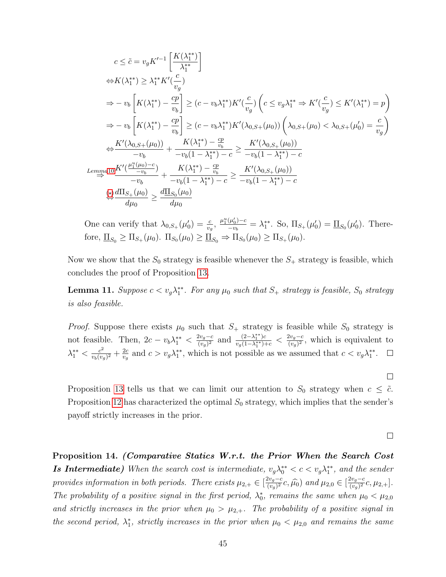$$
c \leq \tilde{c} = v_g K'^{-1} \left[ \frac{K(\lambda_1^{**})}{\lambda_1^{**}} \right]
$$
  
\n
$$
\Leftrightarrow K(\lambda_1^{**}) \geq \lambda_1^{**} K'(\frac{c}{v_g})
$$
  
\n
$$
\Rightarrow -v_b \left[ K(\lambda_1^{**}) - \frac{cp}{v_b} \right] \geq (c - v_b \lambda_1^{**}) K'(\frac{c}{v_g}) \left( c \leq v_g \lambda_1^{**} \Rightarrow K'(\frac{c}{v_g}) \leq K'(\lambda_1^{**}) = p \right)
$$
  
\n
$$
\Rightarrow -v_b \left[ K(\lambda_1^{**}) - \frac{cp}{v_b} \right] \geq (c - v_b \lambda_1^{**}) K'(\lambda_{0, S+}(\mu_0)) \left( \lambda_{0, S+}(\mu_0) < \lambda_{0, S+}(\mu_0) = \frac{c}{v_g} \right)
$$
  
\n
$$
\Leftrightarrow \frac{K'(\lambda_{0, S+}(\mu_0))}{-v_b} + \frac{K(\lambda_1^{**}) - \frac{cp}{v_b}}{-v_b(1 - \lambda_1^{**}) - c} \geq \frac{K'(\lambda_{0, S+}(\mu_0))}{-v_b(1 - \lambda_1^{**}) - c}
$$
  
\n
$$
\Leftrightarrow \frac{L \left( \frac{\mu_1^u(\mu_0) - c}{-v_b} \right)}{-v_b} + \frac{K(\lambda_1^{**}) - \frac{cp}{v_b}}{-v_b(1 - \lambda_1^{**}) - c} \geq \frac{K'(\lambda_{0, S+}(\mu_0))}{-v_b(1 - \lambda_1^{**}) - c}
$$
  
\n
$$
\Leftrightarrow \frac{d \Pi_{S+}(\mu_0)}{d \mu_0} \geq \frac{d \Pi_{S_0}(\mu_0)}{d \mu_0}
$$

One can verify that  $\lambda_{0,S+}(\mu'_0) = \frac{c}{v_g}, \frac{\mu_1^u(\mu'_0) - c}{-v_b}$  $\frac{(\mu_0')-c}{-v_b} = \lambda_1^{**}$ . So,  $\Pi_{S_+}(\mu_0') = \underline{\Pi}_{S_0}(\mu_0')$ . Therefore,  $\underline{\Pi}_{S_0} \ge \Pi_{S_+}(\mu_0)$ .  $\Pi_{S_0}(\mu_0) \ge \underline{\Pi}_{S_0} \Rightarrow \Pi_{S_0}(\mu_0) \ge \Pi_{S_+}(\mu_0)$ .

Now we show that the  $S_0$  strategy is feasible whenever the  $S_+$  strategy is feasible, which concludes the proof of Proposition [13.](#page-45-2)

**Lemma 11.** Suppose  $c < v_g \lambda_1^{**}$ . For any  $\mu_0$  such that  $S_+$  strategy is feasible,  $S_0$  strategy is also feasible.

*Proof.* Suppose there exists  $\mu_0$  such that  $S_+$  strategy is feasible while  $S_0$  strategy is not feasible. Then,  $2c - v_b \lambda_1^{**} < \frac{2v_g - c}{(v_o)^2}$  $\frac{2v_g-c}{(v_g)^2}$  and  $\frac{(2-\lambda_1^{**})c}{v_g(1-\lambda_1^{**})}$  $\frac{(2-\lambda_1^{**})c}{v_g(1-\lambda_1^{**})+c} < \frac{2v_g-c}{(v_g)^2}$  $\frac{2v_g-c}{(v_g)^2}$ , which is equivalent to  $\lambda_1^{**} < \frac{c^2}{v_b(v_a)}$  $\frac{c^2}{v_b(v_g)^2} + \frac{2c}{v_g}$  $\frac{2c}{v_g}$  and  $c > v_g \lambda_1^{**}$ , which is not possible as we assumed that  $c < v_g \lambda_1^{**}$ .

Proposition [13](#page-45-2) tells us that we can limit our attention to  $S_0$  strategy when  $c \leq \tilde{c}$ . Proposition [12](#page-38-3) has characterized the optimal  $S_0$  strategy, which implies that the sender's payoff strictly increases in the prior.

 $\Box$ 

 $\Box$ 

<span id="page-46-0"></span>Proposition 14. (Comparative Statics W.r.t. the Prior When the Search Cost **Is Intermediate)** When the search cost is intermediate,  $v_g \lambda_0^{**} < c < v_g \lambda_1^{**}$ , and the sender provides information in both periods. There exists  $\mu_{2,+} \in \left[\frac{2v_g-c}{(v_o)^2}\right]$  $\frac{2v_g-c}{(v_g)^2}c, \hat{\mu_0}$  and  $\mu_{2,0} \in [\frac{2v_g-c}{(v_g)^2}]$  $\frac{2v_{g}-c}{(v_{g})^{2}}c,\mu_{2,+}].$ The probability of a positive signal in the first period,  $\lambda_0^*$ , remains the same when  $\mu_0 < \mu_{2,0}$ and strictly increases in the prior when  $\mu_0 > \mu_{2,+}$ . The probability of a positive signal in the second period,  $\lambda_1^*$ , strictly increases in the prior when  $\mu_0 < \mu_{2,0}$  and remains the same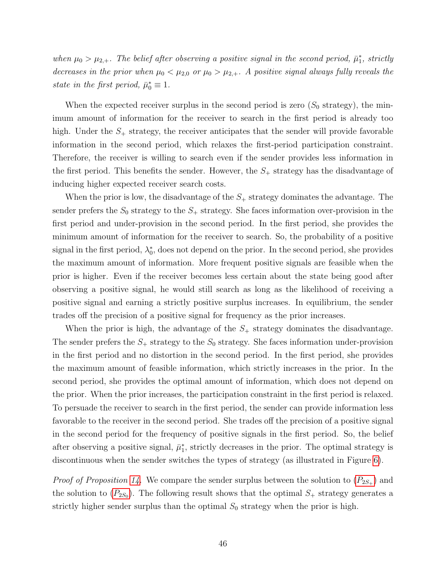when  $\mu_0 > \mu_{2,+}$ . The belief after observing a positive signal in the second period,  $\bar{\mu}_1^*$ , strictly decreases in the prior when  $\mu_0 < \mu_{2,0}$  or  $\mu_0 > \mu_{2,+}$ . A positive signal always fully reveals the state in the first period,  $\bar{\mu}_0^* \equiv 1$ .

When the expected receiver surplus in the second period is zero  $(S_0 \text{ strategy})$ , the minimum amount of information for the receiver to search in the first period is already too high. Under the  $S_+$  strategy, the receiver anticipates that the sender will provide favorable information in the second period, which relaxes the first-period participation constraint. Therefore, the receiver is willing to search even if the sender provides less information in the first period. This benefits the sender. However, the  $S_+$  strategy has the disadvantage of inducing higher expected receiver search costs.

When the prior is low, the disadvantage of the  $S_+$  strategy dominates the advantage. The sender prefers the  $S_0$  strategy to the  $S_+$  strategy. She faces information over-provision in the first period and under-provision in the second period. In the first period, she provides the minimum amount of information for the receiver to search. So, the probability of a positive signal in the first period,  $\lambda_0^*$ , does not depend on the prior. In the second period, she provides the maximum amount of information. More frequent positive signals are feasible when the prior is higher. Even if the receiver becomes less certain about the state being good after observing a positive signal, he would still search as long as the likelihood of receiving a positive signal and earning a strictly positive surplus increases. In equilibrium, the sender trades off the precision of a positive signal for frequency as the prior increases.

When the prior is high, the advantage of the  $S_+$  strategy dominates the disadvantage. The sender prefers the  $S_+$  strategy to the  $S_0$  strategy. She faces information under-provision in the first period and no distortion in the second period. In the first period, she provides the maximum amount of feasible information, which strictly increases in the prior. In the second period, she provides the optimal amount of information, which does not depend on the prior. When the prior increases, the participation constraint in the first period is relaxed. To persuade the receiver to search in the first period, the sender can provide information less favorable to the receiver in the second period. She trades off the precision of a positive signal in the second period for the frequency of positive signals in the first period. So, the belief after observing a positive signal,  $\bar{\mu}_1^*$ , strictly decreases in the prior. The optimal strategy is discontinuous when the sender switches the types of strategy (as illustrated in Figure [6\)](#page-20-1).

*Proof of Proposition [14.](#page-46-0)* We compare the sender surplus between the solution to  $(P_{2S_+})$  $(P_{2S_+})$  $(P_{2S_+})$  and the solution to  $(P_{2S_0})$  $(P_{2S_0})$  $(P_{2S_0})$ . The following result shows that the optimal  $S_+$  strategy generates a strictly higher sender surplus than the optimal  $S_0$  strategy when the prior is high.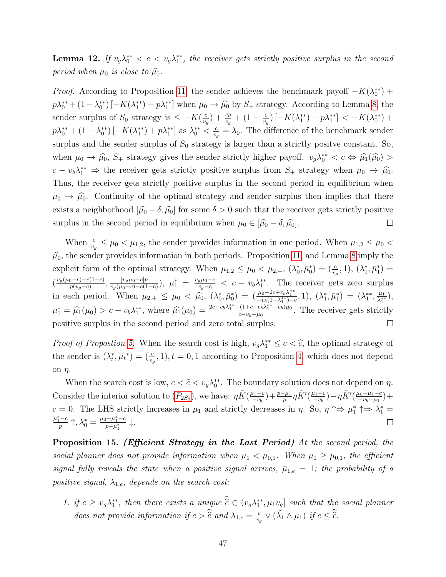**Lemma 12.** If  $v_g \lambda_0^{**} < c < v_g \lambda_1^{**}$ , the receiver gets strictly positive surplus in the second period when  $\mu_0$  is close to  $\widehat{\mu_0}$ .

*Proof.* According to Proposition [11,](#page-35-4) the sender achieves the benchmark payoff  $-K(\lambda_0^{**})$  +  $p\lambda_0^{**} + (1 - \lambda_0^{**}) \left[ -K(\lambda_1^{**}) + p\lambda_1^{**} \right]$  when  $\mu_0 \to \widehat{\mu_0}$  by  $S_+$  strategy. According to Lemma [8,](#page-43-0) the sender surplus of  $S_0$  strategy is  $\leq -K(\frac{c}{n})$  $(\frac{c}{v_g}) + \frac{cp}{v_g} + (1 - \frac{c}{v_g})$  $\frac{c}{v_g}$ ) [- $K(\lambda_1^{**}) + p\lambda_1^{**}$ ] < - $K(\lambda_0^{**})$  +  $p\lambda_0^{**} + (1 - \lambda_0^{**}) \left[ -K(\lambda_1^{**}) + p\lambda_1^{**} \right]$  as  $\lambda_0^{**} < \frac{c}{v}$  $\frac{c}{v_g} = \lambda_0$ . The difference of the benchmark sender surplus and the sender surplus of  $S_0$  strategy is larger than a strictly positve constant. So, when  $\mu_0 \to \hat{\mu}_0$ ,  $S_+$  strategy gives the sender strictly higher payoff.  $v_g \lambda_0^{**} < c \Leftrightarrow \hat{\mu}_1(\hat{\mu}_0) >$  $c - v_b \lambda_1^{**} \Rightarrow$  the receiver gets strictly positive surplus from  $S_+$  strategy when  $\mu_0 \rightarrow \hat{\mu}_0$ . Thus, the receiver gets strictly positive surplus in the second period in equilibrium when  $\mu_0 \to \hat{\mu}_0$ . Continuity of the optimal strategy and sender surplus then implies that there exists a neighborhood  $[\hat{\mu}_0 - \delta, \hat{\mu}_0]$  for some  $\delta > 0$  such that the receiver gets strictly positive surplus in the second period in equilibrium when  $\mu_0 \in [\hat{\mu}_0 - \delta, \hat{\mu}_0]$ . surplus in the second period in equilibrium when  $\mu_0 \in [\hat{\mu}_0 - \delta, \hat{\mu}_0].$ 

When  $\frac{c}{v_g} \leq \mu_0 < \mu_{1,2}$ , the sender provides information in one period. When  $\mu_{1,2} \leq \mu_0 <$  $\hat{\mu}_0$ , the sender provides information in both periods. Proposition [11,](#page-35-4) and Lemma [8](#page-43-0) imply the explicit form of the optimal strategy. When  $\mu_{1,2} \leq \mu_0 < \mu_{2,+}$ ,  $(\lambda_0^*, \bar{\mu}_0^*) = (\frac{c}{v_o}, 1)$ ,  $(\lambda_1^*, \bar{\mu}_1^*) =$  $v_g$  $\frac{v_g(\mu_0-c)-c(1-c)}{n(v_0-c)}$  $\frac{[v_0-c)-c(1-c)}{p(v_0-c)}, \frac{[v_g\mu_0-c]p}{v_g(\mu_0-c)-c(1-c)}$  $\frac{[v_g\mu_0-c]p}{v_g(\mu_0-c)-c(1-c)}$ ),  $\mu_1^* = \frac{v_g\mu_0-c}{v_g-c} < c - v_b\lambda_1^{**}$ . The receiver gets zero surplus in each period. When  $\mu_{2,+} \leq \mu_0 < \hat{\mu}_0$ ,  $(\lambda_0^*, \bar{\mu}_0^*) = (\frac{\mu_0 - 2c + v_b \lambda_1^{**}}{-v_b(1-\lambda_1^{**})-c}, 1), (\lambda_1^*, \bar{\mu}_1^*) = (\lambda_1^{**}, \frac{\mu_1}{\lambda_1^{**}})$  $\frac{\mu_1}{\lambda_1^{**}}\big),$  $\mu_1^* = \widehat{\mu_1}(\mu_0) > c - v_b \lambda_1^{**}$ , where  $\widehat{\mu_1}(\mu_0) = \frac{2c - v_b \lambda_1^{**} - (1 + c - v_b \lambda_1^{**} + v_b)\mu_0}{c - v_b - \mu_0}$  $\frac{c_1(1+c-v_b\lambda_1+v_b)\mu_0}{c-v_b-\mu_0}$ . The receiver gets strictly positive surplus in the second period and zero total surplus.  $\Box$ 

*Proof of Propostion [5.](#page-18-0)* When the search cost is high,  $v_g \lambda_1^{**} \leq c < \hat{c}$ , the optimal strategy of the sender is  $(\lambda_t^*, \bar{\mu}_t^*) = (\frac{c}{v_g}, 1), t = 0, 1$  according to Proposition [4,](#page-17-0) which does not depend on  $\eta$ .

When the search cost is low,  $c < \tilde{c} < v_g \lambda_0^{**}$ . The boundary solution does not depend on  $\eta$ . Consider the interior solution to  $(P_{2S_0})$  $(P_{2S_0})$  $(P_{2S_0})$ , we have:  $\eta \tilde{K}(\frac{\mu_1 - c}{\nu_k})$  $\frac{\mu_1-c}{-v_b}$ ) +  $\frac{p-\mu_1}{p}\eta \tilde{K}'(\frac{\mu_1-c}{-v_b})$  $\frac{\mu_1-c}{-v_b}$ ) —  $\eta \tilde{K}'(\frac{\mu_0-\mu_1-c}{-v_b-\mu_1})$  $\frac{\mu_0 - \mu_1 - c}{-\nu_b - \mu_1}$  + c = 0. The LHS strictly increases in  $\mu_1$  and strictly decreases in  $\eta$ . So,  $\eta \uparrow \Rightarrow \mu_1^* \uparrow \Rightarrow \lambda_1^* =$  $\mu_1^* - c$  $\frac{(-c)}{p}\uparrow, \lambda_0^* = \frac{\mu_0 - \mu_1^* - c}{p - \mu_1^*}$  $\frac{p-\mu_1-c}{p-\mu_1^*} \downarrow.$  $\Box$ 

<span id="page-48-0"></span>Proposition 15. (Efficient Strategy in the Last Period) At the second period, the social planner does not provide information when  $\mu_1 < \mu_{0,1}$ . When  $\mu_1 \geq \mu_{0,1}$ , the efficient signal fully reveals the state when a positive signal arrives,  $\bar{\mu}_{1,e} = 1$ ; the probability of a positive signal,  $\lambda_{1,e}$ , depends on the search cost:

1. if  $c \geq v_g \lambda_1^{**}$ , then there exists a unique  $\hat{c} \in (v_g \lambda_1^{**}, \mu_1 v_g]$  such that the social planner does not provide information if  $c > \hat{c}$  and  $\lambda_{1,e} = \frac{c}{v_e}$  $\frac{c}{v_g} \vee (\tilde{\lambda_1} \wedge \mu_1) \text{ if } c \leq \widehat{c}.$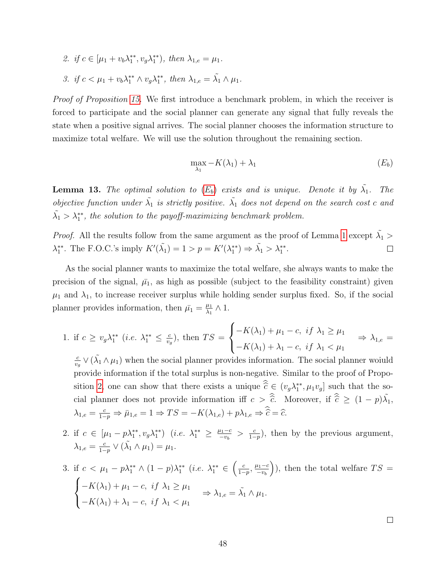2. if  $c \in [\mu_1 + v_b \lambda_1^{**}, v_g \lambda_1^{**}),$  then  $\lambda_{1,e} = \mu_1$ . 3. if  $c < \mu_1 + v_b \lambda_1^{**} \wedge v_g \lambda_1^{**}$ , then  $\lambda_{1,e} = \tilde{\lambda_1} \wedge \mu_1$ .

*Proof of Proposition [15.](#page-48-0)* We first introduce a benchmark problem, in which the receiver is forced to participate and the social planner can generate any signal that fully reveals the state when a positive signal arrives. The social planner chooses the information structure to maximize total welfare. We will use the solution throughout the remaining section.

<span id="page-49-0"></span>
$$
\max_{\lambda_1} -K(\lambda_1) + \lambda_1 \tag{E_b}
$$

**Lemma 13.** The optimal solution to  $(E_b)$  $(E_b)$  $(E_b)$  exists and is unique. Denote it by  $\tilde{\lambda_1}$ . The objective function under  $\tilde{\lambda}_1$  is strictly positive.  $\tilde{\lambda}_1$  does not depend on the search cost c and  $\tilde{\lambda}_1 > \lambda_1^{**}$ , the solution to the payoff-maximizing benchmark problem.

*Proof.* All the results follow from the same argument as the proof of Lemma [1](#page-14-2) except  $\tilde{\lambda_1}$  >  $\lambda_1^{**}$ . The F.O.C.'s imply  $K'(\tilde{\lambda}_1) = 1 > p = K'(\lambda_1^{**}) \Rightarrow \tilde{\lambda}_1 > \lambda_1^{**}$ .  $\Box$ 

As the social planner wants to maximize the total welfare, she always wants to make the precision of the signal,  $\bar{\mu_1}$ , as high as possible (subject to the feasibility constraint) given  $\mu_1$  and  $\lambda_1$ , to increase receiver surplus while holding sender surplus fixed. So, if the social planner provides information, then  $\bar{\mu}_1 = \frac{\mu_1}{\lambda_1}$  $\frac{\mu_1}{\lambda_1}\wedge 1.$ 

1. if  $c \geq v_g \lambda_1^{**}$  (*i.e.*  $\lambda_1^{**} \leq \frac{c}{v_g}$  $(\frac{c}{v_g})$ , then  $TS =$  $\sqrt{ }$  $\left| \right|$  $\mathcal{L}$  $-K(\lambda_1)+\mu_1-c, \text{ if } \lambda_1 \geq \mu_1$  $-K(\lambda_1) + \lambda_1 - c$ , if  $\lambda_1 < \mu_1$  $\Rightarrow \lambda_{1,e} =$ 

c  $\frac{c}{v_g} \vee (\tilde{\lambda_1} \wedge \mu_1)$  when the social planner provides information. The social planner woiuld provide information if the total surplus is non-negative. Similar to the proof of Propo-sition [2,](#page-14-1) one can show that there exists a unique  $\hat{c} \in (v_g \lambda_1^{**}, \mu_1v_g]$  such that the social planner does not provide information iff  $c > \hat{\hat{c}}$ . Moreover, if  $\hat{\hat{c}} \geq (1 - p)\tilde{\lambda_1}$ ,  $\lambda_{1,e} = \frac{c}{1-e}$  $\frac{c}{1-p} \Rightarrow \bar{\mu}_{1,e} = 1 \Rightarrow TS = -K(\lambda_{1,e}) + p\lambda_{1,e} \Rightarrow \hat{c} = \hat{c}.$ 

2. if  $c \in [\mu_1 - p\lambda_1^{**}, v_g \lambda_1^{**})$  (*i.e.*  $\lambda_1^{**} \ge \frac{\mu_1 - c}{-v_h}$  $\frac{u_1-c}{-v_b} > \frac{c}{1-c}$  $\frac{c}{1-p}$ , then by the previous argument,  $\lambda_{1,e} = \frac{c}{1-e}$  $\frac{c}{1-p} \vee (\tilde{\lambda_1} \wedge \mu_1) = \mu_1.$ 

3. if 
$$
c < \mu_1 - p\lambda_1^{**} \wedge (1 - p)\lambda_1^{**}
$$
 (*i.e.*  $\lambda_1^{**} \in \left(\frac{c}{1 - p}, \frac{\mu_1 - c}{-v_b}\right)$ ), then the total welfare  $TS = \begin{cases} -K(\lambda_1) + \mu_1 - c, & \text{if } \lambda_1 \geq \mu_1 \\ -K(\lambda_1) + \lambda_1 - c, & \text{if } \lambda_1 < \mu_1 \end{cases} \Rightarrow \lambda_{1,e} = \tilde{\lambda}_1 \wedge \mu_1.$ 

 $\Box$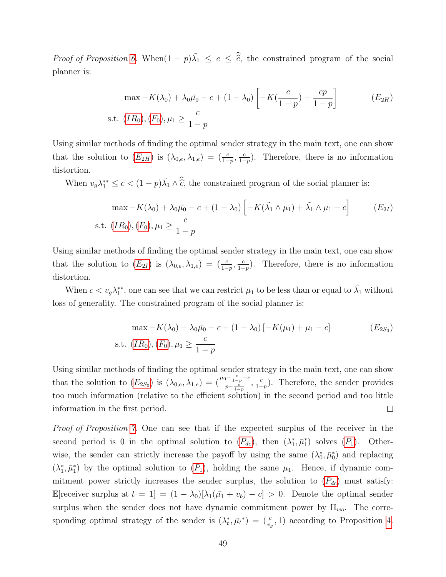*Proof of Proposition [6.](#page-22-0)* When $(1 - p)\tilde{\lambda}_1 \leq c \leq \hat{\tilde{c}}$ , the constrained program of the social planner is:

<span id="page-50-0"></span>
$$
\max -K(\lambda_0) + \lambda_0 \bar{\mu_0} - c + (1 - \lambda_0) \left[ -K(\frac{c}{1 - p}) + \frac{cp}{1 - p} \right]
$$
 (*E*<sub>2H</sub>)  
s.t. (*IR*<sub>0</sub>), (*F*<sub>0</sub>),  $\mu_1 \ge \frac{c}{1 - p}$ 

Using similar methods of finding the optimal sender strategy in the main text, one can show that the solution to  $(E_{2H})$  $(E_{2H})$  $(E_{2H})$  is  $(\lambda_{0,e}, \lambda_{1,e}) = \left(\frac{c}{1-p}, \frac{c}{1-p}\right)$  $\frac{c}{1-p}$ ). Therefore, there is no information distortion.

When  $v_g \lambda_1^{**} \le c < (1-p)\tilde{\lambda}_1 \wedge \hat{\tilde{c}}$ , the constrained program of the social planner is:

<span id="page-50-1"></span>
$$
\max -K(\lambda_0) + \lambda_0 \bar{\mu_0} - c + (1 - \lambda_0) \left[ -K(\tilde{\lambda_1} \wedge \mu_1) + \tilde{\lambda_1} \wedge \mu_1 - c \right]
$$
 (E<sub>2I</sub>)  
s.t.  $(IR_0), (F_0), \mu_1 \ge \frac{c}{1 - p}$ 

Using similar methods of finding the optimal sender strategy in the main text, one can show that the solution to  $(E_{2I})$  $(E_{2I})$  $(E_{2I})$  is  $(\lambda_{0,e}, \lambda_{1,e}) = \left(\frac{c}{1-p}, \frac{c}{1-p}\right)$  $\frac{c}{1-p}$ ). Therefore, there is no information distortion.

When  $c < v_g \lambda_1^{**}$ , one can see that we can restrict  $\mu_1$  to be less than or equal to  $\tilde{\lambda_1}$  without loss of generality. The constrained program of the social planner is:

<span id="page-50-2"></span>
$$
\max -K(\lambda_0) + \lambda_0 \bar{\mu}_0 - c + (1 - \lambda_0) [-K(\mu_1) + \mu_1 - c]
$$
 (E<sub>2S<sub>0</sub>)  
s.t.  $(IR_0), (F_0), \mu_1 \ge \frac{c}{1 - p}$</sub> 

Using similar methods of finding the optimal sender strategy in the main text, one can show that the solution to  $(E_{2S_0})$  $(E_{2S_0})$  $(E_{2S_0})$  is  $(\lambda_{0,e}, \lambda_{1,e}) = \left(\frac{\mu_0 - \frac{c}{1-p} - c}{p - c}\right)$  $\frac{c}{p-\frac{c}{1-p}}, \frac{c}{1-p}$  $\frac{c}{1-p}$ ). Therefore, the sender provides too much information (relative to the efficient solution) in the second period and too little information in the first period.  $\Box$ 

Proof of Proposition [7.](#page-23-0) One can see that if the expected surplus of the receiver in the second period is 0 in the optimal solution to  $(P_{dc})$  $(P_{dc})$  $(P_{dc})$ , then  $(\lambda_1^*, \bar{\mu}_1^*)$  solves  $(P_1)$ . Otherwise, the sender can strictly increase the payoff by using the same  $(\lambda_0^*, \bar{\mu}_0^*)$  and replacing  $(\lambda_1^*, \bar{\mu}_1^*)$  by the optimal solution to  $(P_1)$  $(P_1)$  $(P_1)$ , holding the same  $\mu_1$ . Hence, if dynamic commitment power strictly increases the sender surplus, the solution to  $(P_{dc})$  $(P_{dc})$  $(P_{dc})$  must satisfy: E[receiver surplus at  $t = 1$ ] =  $(1 - \lambda_0)[\lambda_1(\bar{\mu_1} + v_b) - c] > 0$ . Denote the optimal sender surplus when the sender does not have dynamic commitment power by  $\Pi_{wo}$ . The corresponding optimal strategy of the sender is  $(\lambda_t^*, \bar{\mu}_t^*) = (\frac{c}{v_g}, 1)$  according to Proposition [4.](#page-17-0)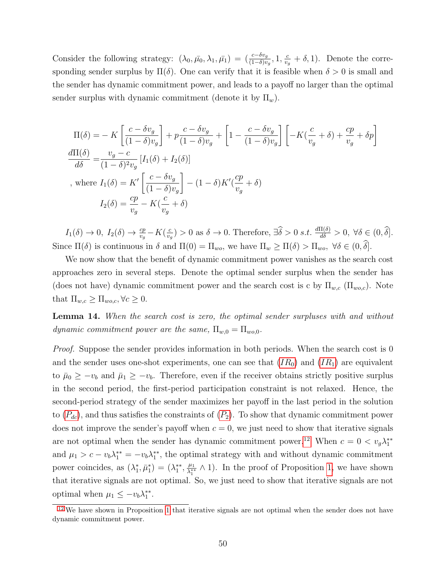Consider the following strategy:  $(\lambda_0, \bar{\mu_0}, \lambda_1, \bar{\mu_1}) = \left(\frac{c - \delta v_g}{(1 - \delta)v_g}, 1, \frac{c}{v_g}\right)$  $\frac{c}{v_g} + \delta$ , 1). Denote the corresponding sender surplus by  $\Pi(\delta)$ . One can verify that it is feasible when  $\delta > 0$  is small and the sender has dynamic commitment power, and leads to a payoff no larger than the optimal sender surplus with dynamic commitment (denote it by  $\Pi_w$ ).

$$
\Pi(\delta) = -K \left[ \frac{c - \delta v_g}{(1 - \delta)v_g} \right] + p \frac{c - \delta v_g}{(1 - \delta)v_g} + \left[ 1 - \frac{c - \delta v_g}{(1 - \delta)v_g} \right] \left[ -K(\frac{c}{v_g} + \delta) + \frac{cp}{v_g} + \delta p \right]
$$
\n
$$
\frac{d\Pi(\delta)}{d\delta} = \frac{v_g - c}{(1 - \delta)^2 v_g} \left[ I_1(\delta) + I_2(\delta) \right]
$$
\n, where  $I_1(\delta) = K' \left[ \frac{c - \delta v_g}{(1 - \delta)v_g} \right] - (1 - \delta)K'(\frac{cp}{v_g} + \delta)$ 

\n
$$
I_2(\delta) = \frac{cp}{v_g} - K(\frac{c}{v_g} + \delta)
$$

 $I_1(\delta) \to 0$ ,  $I_2(\delta) \to \frac{cp}{v_g} - K(\frac{c}{v_g})$  $\frac{c}{v_g}$  > 0 as  $\delta \to 0$ . Therefore,  $\exists \widehat{\delta} > 0$  s.t.  $\frac{d\Pi(\delta)}{d\delta} > 0$ ,  $\forall \delta \in (0, \widehat{\delta}]$ . Since  $\Pi(\delta)$  is continuous in  $\delta$  and  $\Pi(0) = \Pi_{wo}$ , we have  $\Pi_w \ge \Pi(\delta) > \Pi_{wo}$ ,  $\forall \delta \in (0, \delta].$ 

We now show that the benefit of dynamic commitment power vanishes as the search cost approaches zero in several steps. Denote the optimal sender surplus when the sender has (does not have) dynamic commitment power and the search cost is c by  $\Pi_{w,c}$  ( $\Pi_{wo,c}$ ). Note that  $\Pi_{w,c} \geq \Pi_{wo,c}, \forall c \geq 0.$ 

Lemma 14. When the search cost is zero, the optimal sender surpluses with and without dynamic commitment power are the same,  $\Pi_{w,0} = \Pi_{wo,0}$ .

Proof. Suppose the sender provides information in both periods. When the search cost is 0 and the sender uses one-shot experiments, one can see that  $(IR_0)$  $(IR_0)$  $(IR_0)$  and  $(IR_1)$  are equivalent to  $\bar{\mu}_0 \geq -v_b$  and  $\bar{\mu}_1 \geq -v_b$ . Therefore, even if the receiver obtains strictly positive surplus in the second period, the first-period participation constraint is not relaxed. Hence, the second-period strategy of the sender maximizes her payoff in the last period in the solution to  $(P_{dc})$  $(P_{dc})$  $(P_{dc})$ , and thus satisfies the constraints of  $(P_2)$ . To show that dynamic commitment power does not improve the sender's payoff when  $c = 0$ , we just need to show that iterative signals are not optimal when the sender has dynamic commitment power.<sup>[12](#page-51-0)</sup> When  $c = 0 < v_g \lambda_1^{**}$ and  $\mu_1 > c - v_b \lambda_1^{**} = -v_b \lambda_1^{**}$ , the optimal strategy with and without dynamic commitment power coincides, as  $(\lambda_1^*, \bar{\mu}_1^*) = (\lambda_1^{**}, \frac{\mu_1}{\lambda_1^{**}})$  $\frac{\mu_1}{\lambda_1^{**}} \wedge 1$ . In the proof of Proposition [1,](#page-13-0) we have shown that iterative signals are not optimal. So, we just need to show that iterative signals are not optimal when  $\mu_1 \leq -v_b \lambda_1^{**}$ .

<span id="page-51-1"></span><span id="page-51-0"></span><sup>&</sup>lt;sup>[12](#page-51-1)</sup> We have shown in Proposition [1](#page-13-0) that iterative signals are not optimal when the sender does not have dynamic commitment power.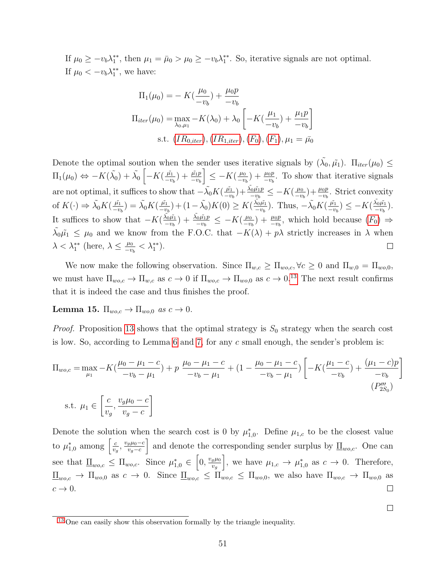If  $\mu_0 \ge -v_b \lambda_1^{**}$ , then  $\mu_1 = \bar{\mu}_0 > \mu_0 \ge -v_b \lambda_1^{**}$ . So, iterative signals are not optimal. If  $\mu_0 < -v_b \lambda_1^{**}$ , we have:

$$
\Pi_1(\mu_0) = -K(\frac{\mu_0}{-v_b}) + \frac{\mu_0 p}{-v_b}
$$
\n
$$
\Pi_{iter}(\mu_0) = \max_{\lambda_0, \mu_1} -K(\lambda_0) + \lambda_0 \left[ -K(\frac{\mu_1}{-v_b}) + \frac{\mu_1 p}{-v_b} \right]
$$
\n
$$
s.t. \ (IR_{0,iter}), (IR_{1,iter}), (F_0), (F_1), \mu_1 = \bar{\mu_0}
$$

Denote the optimal soution when the sender uses iterative signals by  $(\tilde{\lambda_0}, \tilde{\mu_1})$ .  $\Pi_{iter}(\mu_0) \leq$  $\Pi_1(\mu_0) \Leftrightarrow -K(\tilde{\lambda_0}) + \tilde{\lambda_0} \left[ -K(\frac{\tilde{\mu_1}}{-v}) \right]$  $\Big] \leq -K(\frac{\mu_0}{\mu_0})$  $\frac{\tilde{\mu_1}}{-v_b}\big) + \frac{\tilde{\mu_1}p}{-v_b}$  $\frac{\mu_0}{-\nu_b}$  +  $\frac{\mu_0 p}{-\nu_b}$ . To show that iterative signals are not optimal, it suffices to show that  $-\tilde{\lambda_0}K(\frac{\tilde{\mu_1}}{-n})$  $\frac{\tilde{\mu_1}}{-v_b}\big) + \frac{\tilde{\lambda_0}\tilde{\mu_1}p}{-v_b}$  $\frac{v_0\tilde{\mu_1}p}{-v_b} \leq -K(\frac{\mu_0}{-v_b})$  $(\frac{\mu_0}{-\nu_b}) + \frac{\mu_0 p}{-\nu_b}$ . Strict convexity  $\frac{\tilde{\mu_1}}{-v_b}$ ) +  $(1-\tilde{\lambda_0})K(0) \geq K(\frac{\tilde{\lambda_0}\tilde{\mu_1}}{-v_b})$  $\frac{\tilde{\mu_1}}{-v_b}$ )  $\leq -K(\frac{\tilde{\lambda_0}\tilde{\mu_1}}{-v_b}$ of  $K(\cdot) \Rightarrow \tilde{\lambda_0} K(\frac{\tilde{\mu_1}}{-v})$  $\frac{\tilde{\mu_1}}{-v_b}$ ) =  $\tilde{\lambda_0} K(\frac{\tilde{\mu_1}}{-v_b}$  $\frac{\tilde{\lambda_0}\tilde{\mu_1}}{-v_b}$ ). Thus,  $-\tilde{\lambda_0}K(\frac{\tilde{\mu_1}}{-v_b})$  $\frac{\lambda_0\mu_1}{-v_b}$ . It suffices to show that  $-K(\frac{\tilde{\lambda_0}\tilde{\mu_1}}{m})$  $\frac{\tilde{\lambda_0}\tilde{\mu_1}}{-v_b} ) + \frac{\tilde{\lambda_0}\tilde{\mu_1} p}{-v_b}$  $\frac{100\tilde{\mu_1}p}{-v_b} \leq -K(\frac{\mu_0}{-v})$  $(\frac{\mu_0}{-\nu_b}) + \frac{\mu_0 p}{-\nu_b}$ , which hold because  $(F_0) \Rightarrow$  $(F_0) \Rightarrow$  $(F_0) \Rightarrow$  $\tilde{\lambda_0}\tilde{\mu_1} \leq \mu_0$  and we know from the F.O.C. that  $-K(\lambda) + p\lambda$  strictly increases in  $\lambda$  when  $\lambda < \lambda_1^{**}$  (here,  $\lambda \leq \frac{\mu_0}{-v}$  $\frac{\mu_0}{-v_b} < \lambda_1^{**}$ .  $\Box$ 

<span id="page-52-1"></span>We now make the following observation. Since  $\Pi_{w,c} \geq \Pi_{wo,c}, \forall c \geq 0$  and  $\Pi_{w,0} = \Pi_{wo,0}$ , we must have  $\Pi_{wo,c} \to \Pi_{w,c}$  as  $c \to 0$  if  $\Pi_{wo,c} \to \Pi_{wo,0}$  as  $c \to 0.13$  $c \to 0.13$  The next result confirms that it is indeed the case and thus finishes the proof.

Lemma 15.  $\Pi_{wo,c} \to \Pi_{wo,0}$  as  $c \to 0$ .

*Proof.* Proposition [13](#page-45-2) shows that the optimal strategy is  $S_0$  strategy when the search cost is low. So, according to Lemma [6](#page-38-2) and [7,](#page-39-1) for any c small enough, the sender's problem is:

$$
\Pi_{wo,c} = \max_{\mu_1} -K\left(\frac{\mu_0 - \mu_1 - c}{-v_b - \mu_1}\right) + p \frac{\mu_0 - \mu_1 - c}{-v_b - \mu_1} + (1 - \frac{\mu_0 - \mu_1 - c}{-v_b - \mu_1}) \left[-K\left(\frac{\mu_1 - c}{-v_b}\right) + \frac{(\mu_1 - c)p}{-v_b}\right]
$$
\n
$$
\text{s.t. } \mu_1 \in \left[\frac{c}{v_g}, \frac{v_g \mu_0 - c}{v_g - c}\right] \tag{P'''}_{2S_0}
$$

Denote the solution when the search cost is 0 by  $\mu_{1,0}^*$ . Define  $\mu_{1,c}$  to be the closest value to  $\mu_{1,0}^*$  among  $\left[\frac{c}{v_c}\right]$ and denote the corresponding sender surplus by  $\mathcal{I}_{w_o,c}$ . One can  $\frac{c}{v_g}, \frac{v_g \mu_0 - c}{v_g - c}$  $v_g-c$ see that  $\underline{\Pi}_{wo,c} \leq \Pi_{wo,c}$ . Since  $\mu_{1,0}^* \in \left[0, \frac{v_g \mu_0}{v_o}\right]$ , we have  $\mu_{1,c} \to \mu_{1,0}^*$  as  $c \to 0$ . Therefore,  $v_g$  $\underline{\Pi}_{wo,c} \to \Pi_{wo,0}$  as  $c \to 0$ . Since  $\underline{\Pi}_{wo,c} \leq \Pi_{wo,c} \leq \Pi_{wo,0}$ , we also have  $\Pi_{wo,c} \to \Pi_{wo,0}$  as  $c \rightarrow 0$ .  $\Box$ 

 $\Box$ 

<span id="page-52-0"></span><sup>&</sup>lt;sup>[13](#page-52-1)</sup> One can easily show this observation formally by the triangle inequality.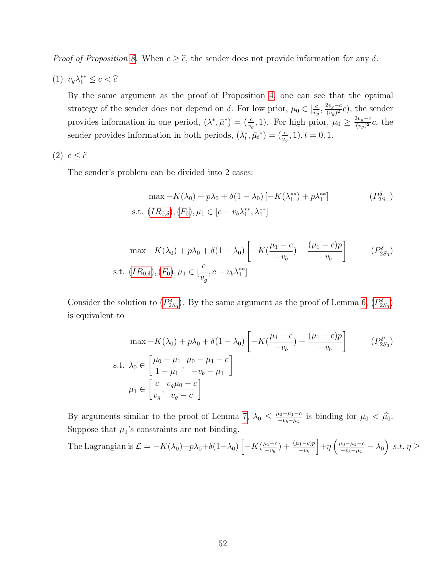*Proof of Proposition [8.](#page-24-0)* When  $c \geq \hat{c}$ , the sender does not provide information for any  $\delta$ .

(1)  $v_g \lambda_1^{**} \leq c < \widehat{c}$ 

By the same argument as the proof of Proposition [4,](#page-17-0) one can see that the optimal strategy of the sender does not depend on  $\delta$ . For low prior,  $\mu_0 \in \left[\frac{c}{n}\right]$  $\frac{c}{v_g}, \frac{2v_g-c}{(v_g)^2}$  $\frac{2v_g-c}{(v_g)^2}c$ , the sender provides information in one period,  $(\lambda^*, \bar{\mu}^*) = (\frac{c}{v_g}, 1)$ . For high prior,  $\mu_0 \geq \frac{2v_g - c}{(v_g)^2}$  $\frac{2v_g-c}{(v_g)^2}c$ , the sender provides information in both periods,  $(\lambda_t^*, \bar{\mu}_t^*) = (\frac{c}{v_g}, 1), t = 0, 1$ .

### (2)  $c \leq \tilde{c}$

The sender's problem can be divided into 2 cases:

<span id="page-53-0"></span>
$$
\max -K(\lambda_0) + p\lambda_0 + \delta(1 - \lambda_0) [-K(\lambda_1^{**}) + p\lambda_1^{**}]
$$
\n
$$
\text{s.t. } (IR_{0,\delta}), (F_0), \mu_1 \in [c - v_b\lambda_1^{**}, \lambda_1^{**}]
$$
\n(P<sub>2S<sub>+</sub></sub>)

$$
\max -K(\lambda_0) + p\lambda_0 + \delta(1 - \lambda_0) \left[ -K(\frac{\mu_1 - c}{-v_b}) + \frac{(\mu_1 - c)p}{-v_b} \right]
$$
 (P<sub>2S<sub>0</sub></sub>)  
s.t.  $(IR_{0,\delta})$ ,  $(F_0)$ ,  $\mu_1 \in [\frac{c}{v_g}, c - v_b \lambda_1^{**}]$ 

Consider the solution to  $(P_{2S_0}^{\delta})$  $(P_{2S_0}^{\delta})$  $(P_{2S_0}^{\delta})$ . By the same argument as the proof of Lemma [6,](#page-38-2)  $(P_{2S_0}^{\delta})$ is equivalent to

$$
\max -K(\lambda_0) + p\lambda_0 + \delta(1 - \lambda_0) \left[ -K(\frac{\mu_1 - c}{-v_b}) + \frac{(\mu_1 - c)p}{-v_b} \right]
$$
  
s.t.  $\lambda_0 \in \left[ \frac{\mu_0 - \mu_1}{1 - \mu_1}, \frac{\mu_0 - \mu_1 - c}{-v_b - \mu_1} \right]$   
 $\mu_1 \in \left[ \frac{c}{v_g}, \frac{v_g \mu_0 - c}{v_g - c} \right]$  (P<sub>2S0</sub>)

By arguments similar to the proof of Lemma [7,](#page-39-1)  $\lambda_0 \leq \frac{\mu_0 - \mu_1 - c}{2 \mu_0 - \mu_1}$  $\frac{\mu_0 - \mu_1 - c}{-\nu_b - \mu_1}$  is binding for  $\mu_0 < \hat{\mu}_0$ . Suppose that  $\mu_1$ 's constraints are not binding.

The Lagrangian is 
$$
\mathcal{L} = -K(\lambda_0) + p\lambda_0 + \delta(1-\lambda_0) \left[ -K\left(\frac{\mu_1-c}{-v_b}\right) + \frac{(\mu_1-c)p}{-v_b} \right] + \eta \left( \frac{\mu_0-\mu_1-c}{-v_b-\mu_1} - \lambda_0 \right) \, s.t. \, \eta \geq 0
$$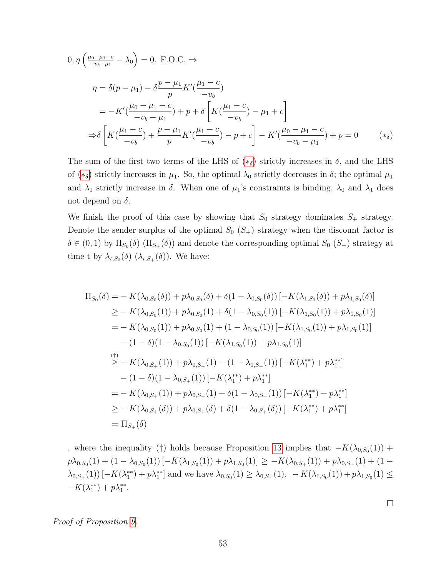$$
0, \eta \left( \frac{\mu_0 - \mu_1 - c}{-v_b - \mu_1} - \lambda_0 \right) = 0. \text{ F.O.C.} \Rightarrow
$$
  
\n
$$
\eta = \delta(p - \mu_1) - \delta \frac{p - \mu_1}{p} K'(\frac{\mu_1 - c}{-v_b})
$$
  
\n
$$
= -K'(\frac{\mu_0 - \mu_1 - c}{-v_b - \mu_1}) + p + \delta \left[ K(\frac{\mu_1 - c}{-v_b}) - \mu_1 + c \right]
$$
  
\n
$$
\Rightarrow \delta \left[ K(\frac{\mu_1 - c}{-v_b}) + \frac{p - \mu_1}{p} K'(\frac{\mu_1 - c}{-v_b}) - p + c \right] - K'(\frac{\mu_0 - \mu_1 - c}{-v_b - \mu_1}) + p = 0 \qquad (*)
$$

<span id="page-54-0"></span>The sum of the first two terms of the LHS of  $(*_{\delta})$  strictly increases in  $\delta$ , and the LHS of  $(*_{\delta})$  strictly increases in  $\mu_1$ . So, the optimal  $\lambda_0$  strictly decreases in  $\delta$ ; the optimal  $\mu_1$ and  $\lambda_1$  strictly increase in  $\delta$ . When one of  $\mu_1$ 's constraints is binding,  $\lambda_0$  and  $\lambda_1$  does not depend on  $\delta$ .

We finish the proof of this case by showing that  $S_0$  strategy dominates  $S_+$  strategy. Denote the sender surplus of the optimal  $S_0$   $(S_+)$  strategy when the discount factor is  $\delta \in (0,1)$  by  $\Pi_{S_0}(\delta)$   $(\Pi_{S_+}(\delta))$  and denote the corresponding optimal  $S_0$   $(S_+)$  strategy at time t by  $\lambda_{t,S_0}(\delta)$   $(\lambda_{t,S_+}(\delta))$ . We have:

$$
\Pi_{S_{0}}(\delta) = - K(\lambda_{0,S_{0}}(\delta)) + p\lambda_{0,S_{0}}(\delta) + \delta(1 - \lambda_{0,S_{0}}(\delta)) [-K(\lambda_{1,S_{0}}(\delta)) + p\lambda_{1,S_{0}}(\delta)]
$$
\n
$$
\geq - K(\lambda_{0,S_{0}}(1)) + p\lambda_{0,S_{0}}(1) + \delta(1 - \lambda_{0,S_{0}}(1)) [-K(\lambda_{1,S_{0}}(1)) + p\lambda_{1,S_{0}}(1)]
$$
\n
$$
= - K(\lambda_{0,S_{0}}(1)) + p\lambda_{0,S_{0}}(1) + (1 - \lambda_{0,S_{0}}(1)) [-K(\lambda_{1,S_{0}}(1)) + p\lambda_{1,S_{0}}(1)]
$$
\n
$$
- (1 - \delta)(1 - \lambda_{0,S_{0}}(1)) [-K(\lambda_{1,S_{0}}(1)) + p\lambda_{1,S_{0}}(1)]
$$
\n
$$
\stackrel{\text{(t)}}{\geq} - K(\lambda_{0,S_{+}}(1)) + p\lambda_{0,S_{+}}(1) + (1 - \lambda_{0,S_{+}}(1)) [-K(\lambda_{1}^{**}) + p\lambda_{1}^{**}]
$$
\n
$$
- (1 - \delta)(1 - \lambda_{0,S_{+}}(1)) [-K(\lambda_{1}^{**}) + p\lambda_{1}^{**}]
$$
\n
$$
= - K(\lambda_{0,S_{+}}(1)) + p\lambda_{0,S_{+}}(1) + \delta(1 - \lambda_{0,S_{+}}(1)) [-K(\lambda_{1}^{**}) + p\lambda_{1}^{**}]
$$
\n
$$
\geq - K(\lambda_{0,S_{+}}(\delta)) + p\lambda_{0,S_{+}}(\delta) + \delta(1 - \lambda_{0,S_{+}}(\delta)) [-K(\lambda_{1}^{**}) + p\lambda_{1}^{**}]
$$
\n
$$
= \Pi_{S_{+}}(\delta)
$$

, where the inequality (†) holds because Proposition [13](#page-45-2) implies that  $-K(\lambda_{0,S_0}(1))$  +  $p\lambda_{0,S_0}(1) + (1-\lambda_{0,S_0}(1))[-K(\lambda_{1,S_0}(1)) + p\lambda_{1,S_0}(1)] \ge -K(\lambda_{0,S_+}(1)) + p\lambda_{0,S_+}(1) + (1-\lambda_{0,S_+}(1))$  $\lambda_{0,S_+}(1)$   $[-K(\lambda_1^{**}) + p\lambda_1^{**}]$  and we have  $\lambda_{0,S_0}(1) \geq \lambda_{0,S_+}(1)$ ,  $-K(\lambda_{1,S_0}(1)) + p\lambda_{1,S_0}(1) \leq$  $-K(\lambda_1^{**})+p\lambda_1^{**}.$ 

 $\Box$ 

Proof of Proposition [9.](#page-25-0)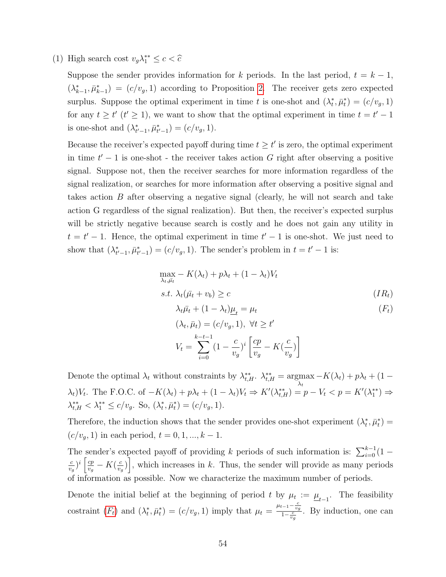(1) High search cost  $v_g \lambda_1^{**} \leq c < \hat{c}$ 

Suppose the sender provides information for k periods. In the last period,  $t = k - 1$ ,  $(\lambda_{k-1}^*, \bar{\mu}_{k-1}^*) = (c/v_g, 1)$  according to Proposition [2.](#page-14-1) The receiver gets zero expected surplus. Suppose the optimal experiment in time t is one-shot and  $(\lambda_t^*, \bar{\mu}_t^*) = (c/v_g, 1)$ for any  $t \geq t'$  ( $t' \geq 1$ ), we want to show that the optimal experiment in time  $t = t' - 1$ is one-shot and  $(\lambda_{t'-1}^*, \bar{\mu}_{t'-1}^*) = (c/v_g, 1)$ .

Because the receiver's expected payoff during time  $t \geq t'$  is zero, the optimal experiment in time  $t' - 1$  is one-shot - the receiver takes action G right after observing a positive signal. Suppose not, then the receiver searches for more information regardless of the signal realization, or searches for more information after observing a positive signal and takes action B after observing a negative signal (clearly, he will not search and take action G regardless of the signal realization). But then, the receiver's expected surplus will be strictly negative because search is costly and he does not gain any utility in  $t = t' - 1$ . Hence, the optimal experiment in time  $t' - 1$  is one-shot. We just need to show that  $(\lambda_{t'-1}^*, \bar{\mu}_{t'-1}^*) = (c/v_g, 1)$ . The sender's problem in  $t = t'-1$  is:

<span id="page-55-0"></span>
$$
\max_{\lambda_t, \bar{\mu}_t} - K(\lambda_t) + p\lambda_t + (1 - \lambda_t)V_t
$$
  
s.t.  $\lambda_t(\bar{\mu}_t + v_b) \ge c$  (IR<sub>t</sub>)  
 $\lambda_t \bar{\mu}_t + (1 - \lambda_t)\underline{\mu}_t = \mu_t$  (F<sub>t</sub>)  
 $(\lambda_t, \bar{\mu}_t) = (c/v_g, 1), \forall t \ge t'$   
 $V_t = \sum_{i=0}^{k-t-1} (1 - \frac{c}{v_g})^i \left[ \frac{cp}{v_g} - K(\frac{c}{v_g}) \right]$ 

Denote the optimal  $\lambda_t$  without constraints by  $\lambda_{t,H}^{**}$ .  $\lambda_{t,H}^{**} = \arg \max -K(\lambda_t) + p\lambda_t + (1 - p\lambda_t)$  $\lambda_t$  $\lambda_t V_t$ . The F.O.C. of  $-K(\lambda_t) + p\lambda_t + (1 - \lambda_t)V_t \Rightarrow K'(\lambda_{t,H}^{**}) = p - V_t < p = K'(\lambda_1^{**}) \Rightarrow$  $\lambda_{t,H}^{**} < \lambda_1^{**} \le c/v_g$ . So,  $(\lambda_t^*, \bar{\mu}_t^*) = (c/v_g, 1)$ .

Therefore, the induction shows that the sender provides one-shot experiment  $(\lambda_t^*, \bar{\mu}_t^*)$  $(c/v_g, 1)$  in each period,  $t = 0, 1, ..., k - 1$ .

The sender's expected payoff of providing k periods of such information is:  $\sum_{i=0}^{k-1} (1$ c  $\frac{c}{v_g}$ <sup> $i \left[\frac{cp}{v_g}\right]$ </sup>  $\frac{cp}{v_g} - K(\frac{c}{v_g})$  $\left[\frac{c}{v_g}\right)$ , which increases in k. Thus, the sender will provide as many periods of information as possible. Now we characterize the maximum number of periods.

Denote the initial belief at the beginning of period t by  $\mu_t := \underline{\mu}_{t-1}$ . The feasibility costraint  $(F_t)$  $(F_t)$  $(F_t)$  and  $(\lambda_t^*, \bar{\mu}_t^*) = (c/v_g, 1)$  imply that  $\mu_t = \frac{\mu_{t-1} - \frac{c}{v_g}}{1 - \frac{c}{v_g}}$ . By induction, one can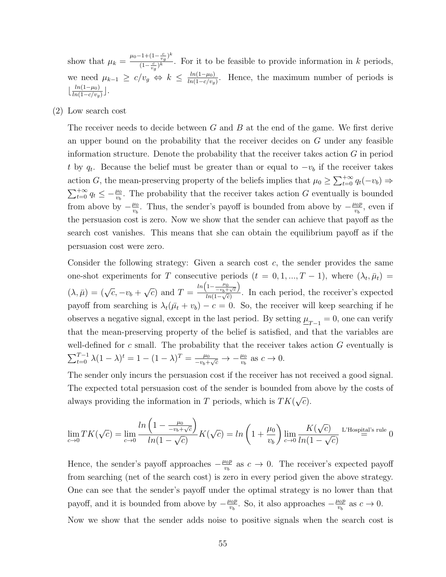show that  $\mu_k = \frac{\mu_0 - 1 + (1 - \frac{c}{v_g})^k}{(1 - \frac{c}{v_g})^k}$  $\frac{f(x - v_g)}{(1 - \frac{c}{x})^k}$ . For it to be feasible to provide information in k periods,  $v_g$ we need  $\mu_{k-1} \geq c/v_g \Leftrightarrow k \leq \frac{\ln(1-\mu_0)}{\ln(1-c/v_g)}$  $\frac{ln(1-\mu_0)}{ln(1-c/v_g)}$ . Hence, the maximum number of periods is  $\frac{\ln(1-\mu_0)}{\ln(1-c/n)}$  $\frac{\ln(1-\mu_0)}{\ln(1-c/v_g)}$ .

(2) Low search cost

The receiver needs to decide between  $G$  and  $B$  at the end of the game. We first derive an upper bound on the probability that the receiver decides on G under any feasible information structure. Denote the probability that the receiver takes action  $G$  in period t by  $q_t$ . Because the belief must be greater than or equal to  $-v_b$  if the receiver takes action G, the mean-preserving property of the beliefs implies that  $\mu_0 \geq \sum_{t=0}^{+\infty} q_t(-v_b) \Rightarrow$  $\sum_{t=0}^{+\infty} q_t \leq -\frac{\mu_0}{v_b}$ . The probability that the receiver takes action G eventually is bounded from above by  $-\frac{\mu_0}{w}$  $\frac{\mu_0}{v_b}$ . Thus, the sender's payoff is bounded from above by  $-\frac{\mu_0 p}{v_b}$  $\frac{\iota_{0} p}{v_{b}},$  even if the persuasion cost is zero. Now we show that the sender can achieve that payoff as the search cost vanishes. This means that she can obtain the equilibrium payoff as if the persuasion cost were zero.

Consider the following strategy: Given a search cost  $c$ , the sender provides the same one-shot experiments for T consecutive periods  $(t = 0, 1, ..., T - 1)$ , where  $(\lambda_t, \bar{\mu}_t)$  $(\lambda, \bar{\mu}) = (\sqrt{c}, -v_b +$ √  $\overline{c}$  and  $T =$  $ln\left(1-\frac{\mu_0}{-v_b+\sqrt{c}}\right)$  $\frac{(-v_b + \sqrt{c})}{\ln(1-\sqrt{c})}$ . In each period, the receiver's expected payoff from searching is  $\lambda_t(\bar{\mu}_t + v_b) - c = 0$ . So, the receiver will keep searching if he observes a negative signal, except in the last period. By setting  $\underline{\mu}_{T-1} = 0$ , one can verify that the mean-preserving property of the belief is satisfied, and that the variables are well-defined for c small. The probability that the receiver takes action  $G$  eventually is  $\sum_{t=0}^{T-1} \lambda (1-\lambda)^t = 1 - (1-\lambda)^T = \frac{\mu_0}{-v_b+1}$  $\frac{\mu_0}{-v_b+\sqrt{c}} \to -\frac{\mu_0}{v_b}$  as  $c \to 0$ .

The sender only incurs the persuasion cost if the receiver has not received a good signal. The expected total persuasion cost of the sender is bounded from above by the costs of always providing the information in  $T$  periods, which is  $TK($ √  $\overline{c}).$ 

$$
\lim_{c \to 0} TK(\sqrt{c}) = \lim_{c \to 0} \frac{\ln\left(1 - \frac{\mu_0}{-v_b + \sqrt{c}}\right)}{\ln(1 - \sqrt{c})} K(\sqrt{c}) = \ln\left(1 + \frac{\mu_0}{v_b}\right) \lim_{c \to 0} \frac{K(\sqrt{c})}{\ln(1 - \sqrt{c})} {\rm L'Hospital's rule}
$$
0

Hence, the sender's payoff approaches  $-\frac{\mu_0 p}{n}$  $\frac{\mu_0 p}{v_b}$  as  $c \to 0$ . The receiver's expected payoff from searching (net of the search cost) is zero in every period given the above strategy. One can see that the sender's payoff under the optimal strategy is no lower than that payoff, and it is bounded from above by  $-\frac{\mu_0 p}{n}$  $\frac{u_0 p}{v_b}$ . So, it also approaches  $-\frac{\mu_0 p}{v_b}$  $\frac{\iota_0 p}{v_b}$  as  $c \to 0$ . Now we show that the sender adds noise to positive signals when the search cost is